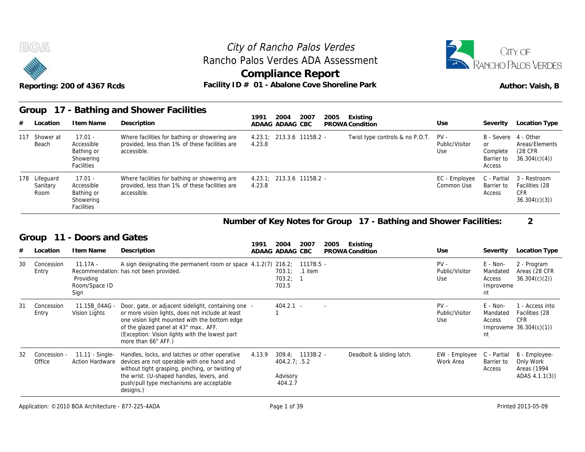



#### **Group 17 - Bathing and Shower Facilities**

| BOA   |                                   | Reporting: 200 of 4367 Rcds                                      |                                                                                                                     | City of Rancho Palos Verdes<br>Rancho Palos Verdes ADA Assessment<br>Compliance Report<br>Facility ID # 01 - Abalone Cove Shoreline Park |                                 |                                                             | CITY OF<br><b>ANCHO PALOS VERDES</b><br>Author: Vaish, B     |
|-------|-----------------------------------|------------------------------------------------------------------|---------------------------------------------------------------------------------------------------------------------|------------------------------------------------------------------------------------------------------------------------------------------|---------------------------------|-------------------------------------------------------------|--------------------------------------------------------------|
| Group |                                   |                                                                  | 17 - Bathing and Shower Facilities                                                                                  | 2007<br>2005<br>1991<br>2004<br>Existing                                                                                                 |                                 |                                                             |                                                              |
| #     | Location                          | I tem Name                                                       | Description                                                                                                         | ADAAG ADAAG CBC<br>PROWA Condition                                                                                                       | Use                             | Severity                                                    | Location Type                                                |
|       | 117 Shower at<br>Beach            | $17.01 -$<br>Accessible<br>Bathing or<br>Showering<br>Facilities | Where facilities for bathing or showering are<br>provided, less than 1% of these facilities are<br>accessible.      | $4.23.1$ ; 213.3.6 1115B.2 -<br>Twist type controls & no P.O.T.<br>4.23.8                                                                | $PV -$<br>Public/Visitor<br>Use | B - Severe<br><b>or</b><br>Complete<br>Barrier to<br>Access | 4 - Other<br>Areas/Elements<br>(28 CFR)<br>36.304(c)(4)      |
|       | 178 Lifequard<br>Sanitary<br>Room | $17.01 -$<br>Accessible<br>Bathing or<br>Showering<br>Facilities | Where facilities for bathing or showering are<br>provided, less than 1% of these facilities are<br>accessible.      | 213.3.6 1115B.2 -<br>4.23.1<br>4.23.8                                                                                                    | EC - Employee<br>Common Use     | C - Partial<br>Barrier to<br>Access                         | 3 - Restroom<br>Facilities (28<br><b>CFR</b><br>36.304(c)(3) |
|       |                                   |                                                                  |                                                                                                                     | Number of Key Notes for Group 17 - Bathing and Shower Facilities:                                                                        |                                 |                                                             | $\overline{2}$                                               |
| Group |                                   | - Doors and Gates                                                |                                                                                                                     |                                                                                                                                          |                                 |                                                             |                                                              |
| #     | Location                          | I tem Name                                                       | Description                                                                                                         | 1991<br>2004<br>2007<br>2005<br>Existing<br>ADAAG ADAAG CBC<br>PROWA Condition                                                           | Use                             | Severity                                                    | Location Type                                                |
| 30    | Concession<br>Fntrv               | $11.17A -$                                                       | A sign designating the permanent room or space $4.1.2(7)$ 216.2; 1117B.5 -<br>Recommendation: has not been provided | $703.11$ 1 item                                                                                                                          | $PV -$<br>Public/Visitor        | $E - Non-$                                                  | 2 - Program<br>Mandated Areas (28 CFR                        |

#### **Number of Key Notes for Group 17 - Bathing and Shower Facilities: 2**

#### **Group 11 - Doors and Gates**

|    | 178 Lifeguard<br>Sanitary<br>Room | $17.01 -$<br>Accessible<br>Bathing or<br>Showering<br>Facilities | Where facilities for bathing or showering are<br>provided, less than 1% of these facilities are<br>accessible.                                                                                                                                                           | 4.23.1:<br>4.23.8 | 213.3.6 1115B.2 -                                          |                      |        |                                                                   | EC - Employee<br>Common Use     | C - Partial<br>Barrier to<br>Access               | 3 - Restroom<br>Facilities (28<br><b>CFR</b><br>36.304(c)(3)                |
|----|-----------------------------------|------------------------------------------------------------------|--------------------------------------------------------------------------------------------------------------------------------------------------------------------------------------------------------------------------------------------------------------------------|-------------------|------------------------------------------------------------|----------------------|--------|-------------------------------------------------------------------|---------------------------------|---------------------------------------------------|-----------------------------------------------------------------------------|
|    |                                   |                                                                  |                                                                                                                                                                                                                                                                          |                   |                                                            |                      |        | Number of Key Notes for Group 17 - Bathing and Shower Facilities: |                                 |                                                   | $\overline{2}$                                                              |
|    | Group                             | 11 - Doors and Gates                                             |                                                                                                                                                                                                                                                                          |                   |                                                            |                      |        |                                                                   |                                 |                                                   |                                                                             |
| #  | Location                          | I tem Name                                                       | Description                                                                                                                                                                                                                                                              | 1991              | 2004<br>ADAAG ADAAG CBC                                    | 2007                 | 2005   | Existing<br>PROWA Condition                                       | Use                             | Severity                                          | Location Type                                                               |
| 30 | Concession<br>Entry               | $11.17A -$<br>Providing<br>Room/Space ID<br>Sign                 | A sign designating the permanent room or space 4.1.2(7) 216.2;<br>Recommendation: has not been provided.                                                                                                                                                                 |                   | 703.1:<br>703.2:<br>703.5                                  | 1117B.5 -<br>.1 item |        |                                                                   | $PV -$<br>Public/Visitor<br>Use | E - Non-<br>Mandated<br>Access<br>Improveme<br>nt | 2 - Program<br>Areas (28 CFR<br>36.304(c)(2)                                |
| 31 | Concession<br>Entry               | 11.15B 04AG -<br>Vision Lights                                   | Door, gate, or adjacent sidelight, containing one -<br>or more vision lights, does not include at least<br>one vision light mounted with the bottom edge<br>of the glazed panel at 43" max AFF.<br>(Exception: Vision lights with the lowest part<br>more than 66" AFF.) |                   | $404.2.1 -$                                                |                      | $\sim$ |                                                                   | $PV -$<br>Public/Visitor<br>Use | $E - Non-$<br>Mandated<br>Access<br>nt            | 1 - Access into<br>Facilities (28<br><b>CFR</b><br>Improveme $36.304(c)(1)$ |
| 32 | Concession -<br>Office            | 11.11 - Single-<br><b>Action Hardware</b>                        | Handles, locks, and latches or other operative<br>devices are not operable with one hand and<br>without tight grasping, pinching, or twisting of<br>the wrist. (U-shaped handles, levers, and<br>push/pull type mechanisms are acceptable<br>designs.)                   | 4.13.9            | $309.4: 1133B.2 -$<br>404.2.7; .5.2<br>Advisory<br>404.2.7 |                      |        | Deadbolt & sliding latch.                                         | EW - Employee<br>Work Area      | C - Partial<br>Barrier to<br>Access               | 6 - Employee-<br>Only Work<br>Areas (1994<br>ADAS 4.1.1(3))                 |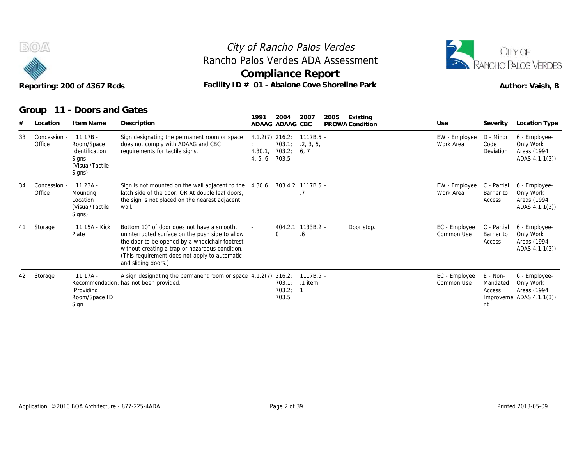



| B(0)/4                       | Reporting: 200 of 4367 Rcds                                                       | Rancho Palos Verdes ADA Assessment<br>Facility ID # 01 - Abalone Cove Shoreline Park                                                                                                                                                                                       | City of Rancho Palos Verdes<br>Compliance Report |                           |                                        |      |                             |                             |                                        | CITY OF<br>RANCHO PALOS VERDES<br>Author: Vaish, B                       |
|------------------------------|-----------------------------------------------------------------------------------|----------------------------------------------------------------------------------------------------------------------------------------------------------------------------------------------------------------------------------------------------------------------------|--------------------------------------------------|---------------------------|----------------------------------------|------|-----------------------------|-----------------------------|----------------------------------------|--------------------------------------------------------------------------|
| Group<br>Location            | 11 - Doors and Gates<br>I tem Name                                                | Description                                                                                                                                                                                                                                                                | 1991                                             | 2004<br>ADAAG ADAAG CBC   | 2007                                   | 2005 | Existing<br>PROWA Condition | Use                         | Severity                               | <b>Location Type</b>                                                     |
| 33<br>Concession -<br>Office | $11.17B -$<br>Room/Space<br>Identification<br>Signs<br>(Visual/Tactile)<br>Signs) | Sign designating the permanent room or space<br>does not comply with ADAAG and CBC<br>requirements for tactile signs.                                                                                                                                                      | $4.1.2(7)$ 216.2;<br>4.30.1<br>4.5.6             | 703.1;<br>703.2;<br>703.5 | $1117B.5 -$<br>.2, 3, 5,<br>6, 7       |      |                             | EW - Employee<br>Work Area  | D - Minor<br>Code<br>Deviation         | 6 - Employee-<br>Only Work<br>Areas (1994<br>ADAS 4.1.1(3))              |
| Concession -<br>34<br>Office | $11.23A -$<br>Mounting<br>Location<br>(Visual/Tactile)<br>Signs)                  | Sign is not mounted on the wall adjacent to the<br>latch side of the door. OR At double leaf doors.<br>the sign is not placed on the nearest adjacent<br>wall.                                                                                                             | 4.30.6                                           |                           | 703.4.2 1117B.5 -<br>.7                |      |                             | EW - Employee<br>Work Area  | C - Partial<br>Barrier to<br>Access    | 6 - Employee-<br>Only Work<br>Areas (1994<br>ADAS 4.1.1(3))              |
| Storage<br>41                | 11.15A - Kick<br>Plate                                                            | Bottom 10" of door does not have a smooth.<br>uninterrupted surface on the push side to allow<br>the door to be opened by a wheelchair footrest<br>without creating a trap or hazardous condition.<br>(This requirement does not apply to automatic<br>and sliding doors.) |                                                  | $\Omega$                  | 404.2.1 1133B.2 -<br>.6                |      | Door stop.                  | EC - Employee<br>Common Use | C - Partial<br>Barrier to<br>Access    | 6 - Employee-<br>Only Work<br>Areas (1994<br>ADAS 4.1.1(3))              |
| Storage<br>42                | $11.17A -$<br>Providing<br>Room/Space ID<br>Sign                                  | A sign designating the permanent room or space $4.1.2(7)$ 216.2;<br>Recommendation: has not been provided.                                                                                                                                                                 |                                                  | 703.1:<br>703.2:<br>703.5 | $1117B.5 -$<br>.1 item<br>$\mathbf{1}$ |      |                             | EC - Employee<br>Common Use | $E - Non-$<br>Mandated<br>Access<br>nt | 6 - Employee-<br>Only Work<br>Areas (1994<br>Improveme ADAS $4.1.1(3)$ ) |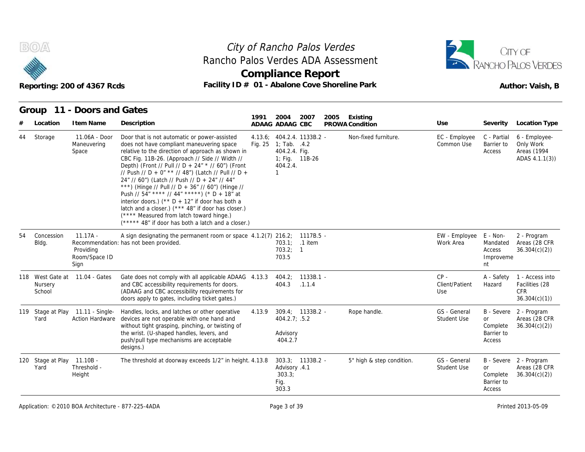





|    |                           | Reporting: 200 of 4367 Rcds                                 | Facility ID # 01 - Abalone Cove Shoreline Park                                                                                                                                                                                                                                                                                                                                                                                                                                                                                                                                                                                                                               |         | <b>Compliance Report</b>                                                                    |                       |      |                             |                                    |                                                   | Author: Vaish, B                                                |
|----|---------------------------|-------------------------------------------------------------|------------------------------------------------------------------------------------------------------------------------------------------------------------------------------------------------------------------------------------------------------------------------------------------------------------------------------------------------------------------------------------------------------------------------------------------------------------------------------------------------------------------------------------------------------------------------------------------------------------------------------------------------------------------------------|---------|---------------------------------------------------------------------------------------------|-----------------------|------|-----------------------------|------------------------------------|---------------------------------------------------|-----------------------------------------------------------------|
|    | Group                     | 11 - Doors and Gates                                        |                                                                                                                                                                                                                                                                                                                                                                                                                                                                                                                                                                                                                                                                              | 1991    |                                                                                             |                       |      |                             |                                    |                                                   |                                                                 |
| #  | Location                  | I tem Name                                                  | Description                                                                                                                                                                                                                                                                                                                                                                                                                                                                                                                                                                                                                                                                  |         | 2004<br>ADAAG ADAAG CBC                                                                     | 2007                  | 2005 | Existing<br>PROWA Condition | Use                                | Severity                                          | Location Type                                                   |
| 44 | Storage                   | 11.06A - Door<br>Maneuvering<br>Space                       | Door that is not automatic or power-assisted<br>does not have compliant maneuvering space<br>relative to the direction of approach as shown in<br>CBC Fig. 11B-26. (Approach // Side // Width //<br>Depth) (Front // Pull // D + 24" * // 60") (Front<br>// Push // D + 0" ** // 48") (Latch // Pull // D +<br>24" // 60") (Latch // Push // D + 24" // 44"<br>***) (Hinge // Pull // D + 36" // 60") (Hinge //<br>Push // 54" **** // 44" *****) (* D + 18" at<br>interior doors.) ( $*$ D + 12" if door has both a<br>latch and a closer.) (*** 48" if door has closer.)<br>(**** Measured from latch toward hinge.)<br>(***** 48" if door has both a latch and a closer.) | Fig. 25 | 4.13.6: 404.2.4. 1133B.2 -<br>1; Tab. $.4.2$<br>404.2.4. Fig.<br>1; Fig. 11B-26<br>404.2.4. |                       |      | Non-fixed furniture.        | EC - Employee<br>Common Use        | C - Partial<br>Barrier to<br>Access               | 6 - Employee-<br>Only Work<br>Areas (1994<br>ADAS 4.1.1(3))     |
| 54 | Concession<br>Bldg.       | $11.17A -$<br>Providing<br>Room/Space ID<br>Sign            | A sign designating the permanent room or space $4.1.2(7)$ 216.2;<br>Recommendation: has not been provided.                                                                                                                                                                                                                                                                                                                                                                                                                                                                                                                                                                   |         | 703.1; .1 item<br>703.2; 1<br>703.5                                                         | $1117B.5 -$           |      |                             | EW - Employee<br>Work Area         | E - Non-<br>Mandated<br>Access<br>Improveme<br>nt | 2 - Program<br>Areas (28 CFR<br>36.304(c)(2)                    |
|    | Nursery<br>School         | 118 West Gate at 11.04 - Gates                              | Gate does not comply with all applicable ADAAG 4.13.3<br>and CBC accessibility requirements for doors.<br>(ADAAG and CBC accessibility requirements for<br>doors apply to gates, including ticket gates.)                                                                                                                                                                                                                                                                                                                                                                                                                                                                    |         | 404.2<br>404.3                                                                              | $1133B.1 -$<br>.1.1.4 |      |                             | $CP -$<br>Client/Patient<br>Use    | A - Safety<br>Hazard                              | 1 - Access into<br>Facilities (28<br><b>CFR</b><br>36.304(c)(1) |
|    | Yard                      | 119 Stage at Play 11.11 - Single-<br><b>Action Hardware</b> | Handles, locks, and latches or other operative<br>devices are not operable with one hand and<br>without tight grasping, pinching, or twisting of<br>the wrist. (U-shaped handles, levers, and<br>push/pull type mechanisms are acceptable<br>designs.)                                                                                                                                                                                                                                                                                                                                                                                                                       | 4.13.9  | 404.2.7; .5.2<br>Advisory<br>404.2.7                                                        | 309.4; 1133B.2 -      |      | Rope handle.                | GS - General<br><b>Student Use</b> | or<br>Complete<br>Barrier to<br>Access            | B - Severe 2 - Program<br>Areas (28 CFR<br>36.304(c)(2)         |
|    | 120 Stage at Play<br>Yard | $11.10B -$<br>Threshold -<br>Height                         | The threshold at doorway exceeds 1/2" in height. 4.13.8                                                                                                                                                                                                                                                                                                                                                                                                                                                                                                                                                                                                                      |         | Advisory .4.1<br>303.3;<br>Fig.<br>303.3                                                    | 303.3; 1133B.2 -      |      | 5" high & step condition.   | GS - General<br>Student Use        | or<br>Complete<br>Barrier to<br>Access            | B - Severe 2 - Program<br>Areas (28 CFR<br>36.304(c)(2)         |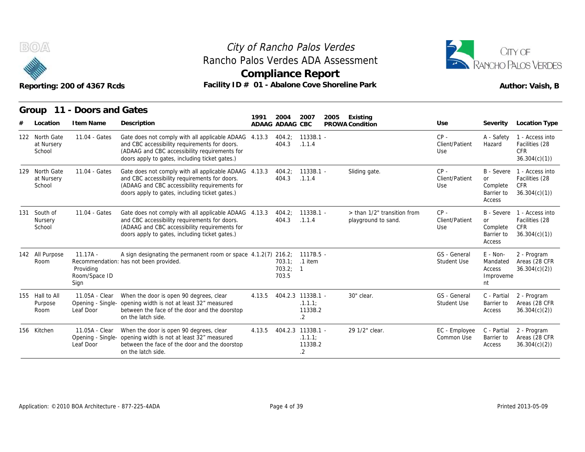



|     |                                        | Reporting: 200 of 4367 Rcds                      | Facility ID # 01 - Abalone Cove Shoreline Park                                                                                                                                                            |        | <b>Compliance Report</b>            |                                               |      |                                                    |                                    |                                                             | RANCHO PALOS VERDES<br>Author: Vaish, B                                    |
|-----|----------------------------------------|--------------------------------------------------|-----------------------------------------------------------------------------------------------------------------------------------------------------------------------------------------------------------|--------|-------------------------------------|-----------------------------------------------|------|----------------------------------------------------|------------------------------------|-------------------------------------------------------------|----------------------------------------------------------------------------|
|     |                                        | Group 11 - Doors and Gates                       |                                                                                                                                                                                                           | 1991   | 2004                                | 2007                                          | 2005 | Existing                                           |                                    |                                                             |                                                                            |
| #   | Location                               | I tem Name                                       | Description                                                                                                                                                                                               |        | ADAAG ADAAG CBC                     |                                               |      | PROWA Condition                                    | Use                                | Severity                                                    | Location Type                                                              |
|     | 122 North Gate<br>at Nursery<br>School | 11.04 - Gates                                    | Gate does not comply with all applicable ADAAG 4.13.3<br>and CBC accessibility requirements for doors.<br>(ADAAG and CBC accessibility requirements for<br>doors apply to gates, including ticket gates.) |        | 404.2;<br>404.3                     | 1133B.1 -<br>.1.1.4                           |      |                                                    | $CP -$<br>Client/Patient<br>Use    | A - Safety<br>Hazard                                        | 1 - Access into<br>Facilities (28<br><b>CFR</b><br>36.304(c)(1)            |
| 129 | North Gate<br>at Nursery<br>School     | 11.04 - Gates                                    | Gate does not comply with all applicable ADAAG 4.13.3<br>and CBC accessibility requirements for doors.<br>(ADAAG and CBC accessibility requirements for<br>doors apply to gates, including ticket gates.) |        | 404.2;<br>404.3                     | $1133B.1 -$<br>.1.1.4                         |      | Sliding gate.                                      | $CP -$<br>Client/Patient<br>Use    | <b>or</b><br>Complete<br>Barrier to<br>Access               | B - Severe 1 - Access into<br>Facilities (28<br><b>CFR</b><br>36.304(c)(1) |
|     | 131 South of<br>Nursery<br>School      | 11.04 - Gates                                    | Gate does not comply with all applicable ADAAG 4.13.3<br>and CBC accessibility requirements for doors.<br>(ADAAG and CBC accessibility requirements for<br>doors apply to gates, including ticket gates.) |        | 404.2:<br>404.3                     | $1133B.1 -$<br>.1.1.4                         |      | > than 1/2" transition from<br>playground to sand. | $CP -$<br>Client/Patient<br>Use    | B - Severe<br><b>or</b><br>Complete<br>Barrier to<br>Access | 1 - Access into<br>Facilities (28<br>CFR<br>36.304(c)(1)                   |
|     | 142 All Purpose<br>Room                | $11.17A -$<br>Providing<br>Room/Space ID<br>Sign | A sign designating the permanent room or space 4.1.2(7) 216.2;<br>Recommendation: has not been provided.                                                                                                  |        | 703.1; .1 item<br>703.2; 1<br>703.5 | 1117B.5 -                                     |      |                                                    | GS - General<br><b>Student Use</b> | E - Non-<br>Mandated<br>Access<br>Improveme<br>nt           | 2 - Program<br>Areas (28 CFR<br>36.304(c)(2)                               |
|     | 155 Hall to All<br>Purpose<br>Room     | 11.05A - Clear<br>Leaf Door                      | When the door is open 90 degrees, clear<br>Opening - Single- opening width is not at least 32" measured<br>between the face of the door and the doorstop<br>on the latch side.                            | 4.13.5 |                                     | 404.2.3 1133B.1 -<br>.1.1.1:<br>1133B.2<br>.2 |      | 30" clear.                                         | GS - General<br>Student Use        | C - Partial<br>Barrier to<br>Access                         | 2 - Program<br>Areas (28 CFR<br>36.304(c)(2)                               |
|     | 156 Kitchen                            | 11.05A - Clear<br>Leaf Door                      | When the door is open 90 degrees, clear<br>Opening - Single- opening width is not at least 32" measured<br>between the face of the door and the doorstop<br>on the latch side.                            |        | 4.13.5  404.2.3  1133B.1 -          | .1.1.1:<br>1133B.2<br>.2                      |      | 29 1/2" clear.                                     | EC - Employee<br>Common Use        | C - Partial<br>Barrier to<br>Access                         | 2 - Program<br>Areas (28 CFR<br>36.304(c)(2)                               |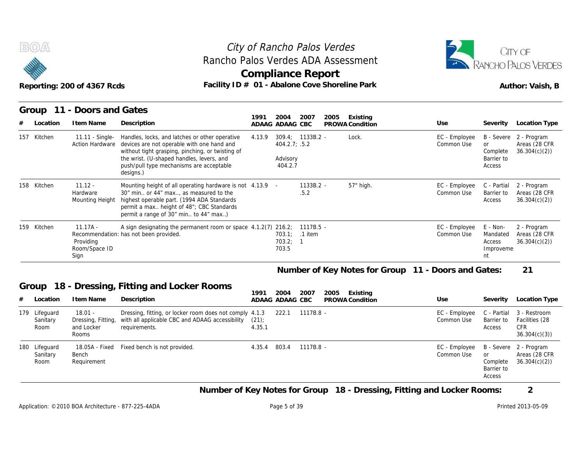



|                                   | Reporting: 200 of 4367 Rcds                            | Rancho Palos Verdes ADA Assessment<br>Facility ID # 01 - Abalone Cove Shoreline Park                                                                                                                                                                                                   |                |                                      | City of Rancho Palos Verdes<br><b>Compliance Report</b> |      |                                                     |     |                             |                                                             | <b>CITY OF</b><br>RANCHO PALOS VERDES<br>Author: Vaish, B    |
|-----------------------------------|--------------------------------------------------------|----------------------------------------------------------------------------------------------------------------------------------------------------------------------------------------------------------------------------------------------------------------------------------------|----------------|--------------------------------------|---------------------------------------------------------|------|-----------------------------------------------------|-----|-----------------------------|-------------------------------------------------------------|--------------------------------------------------------------|
| Location                          | Group 11 - Doors and Gates<br>I tem Name               | Description                                                                                                                                                                                                                                                                            | 1991           | 2004<br>ADAAG ADAAG CBC              | 2007                                                    | 2005 | Existing<br>PROWA Condition                         | Use |                             | Severity                                                    | <b>Location Type</b>                                         |
| 157 Kitchen                       |                                                        | 11.11 - Single- Handles, locks, and latches or other operative<br>Action Hardware devices are not operable with one hand and<br>without tight grasping, pinching, or twisting of<br>the wrist. (U-shaped handles, levers, and<br>push/pull type mechanisms are acceptable<br>designs.) | 4.13.9         | 404.2.7: .5.2<br>Advisory<br>404.2.7 | $309.4; 1133B.2 -$                                      |      | Lock.                                               |     | EC - Employee<br>Common Use | or<br>Complete<br>Barrier to<br>Access                      | B - Severe 2 - Program<br>Areas (28 CFR<br>36.304(c)(2)      |
| 158 Kitchen                       | $11.12 -$<br>Hardware                                  | Mounting height of all operating hardware is not 4.13.9 -<br>30" min or 44" max, as measured to the<br>Mounting Height highest operable part. (1994 ADA Standards<br>permit a max height of 48"; CBC Standards<br>permit a range of 30" min to 44" max)                                |                |                                      | $1133B.2 -$<br>.5.2                                     |      | 57" high.                                           |     | EC - Employee<br>Common Use | C - Partial<br>Barrier to<br>Access                         | 2 - Program<br>Areas (28 CFR<br>36.304(c)(2)                 |
| 159 Kitchen                       | $11.17A -$<br>Providing<br>Room/Space ID<br>Sign       | A sign designating the permanent room or space 4.1.2(7) 216.2; 1117B.5 -<br>Recommendation: has not been provided.                                                                                                                                                                     |                | 703.2; 1<br>703.5                    | 703.1: .1 item                                          |      |                                                     |     | EC - Employee<br>Common Use | $E - Non-$<br>Mandated<br>Access<br>Improveme<br>nt         | 2 - Program<br>Areas (28 CFR<br>36.304(c)(2)                 |
|                                   |                                                        |                                                                                                                                                                                                                                                                                        |                |                                      |                                                         |      | Number of Key Notes for Group 11 - Doors and Gates: |     |                             |                                                             | 21                                                           |
| Group<br>Location                 | I tem Name                                             | 18 - Dressing, Fitting and Locker Rooms<br>Description                                                                                                                                                                                                                                 | 1991           | 2004<br>ADAAG ADAAG CBC              | 2007                                                    | 2005 | Existing<br>PROWA Condition                         | Use |                             | Severity                                                    | <b>Location Type</b>                                         |
| 179 Lifeguard<br>Sanitary<br>Room | $18.01 -$<br>Dressing, Fitting,<br>and Locker<br>Rooms | Dressing, fitting, or locker room does not comply 4.1.3<br>with all applicable CBC and ADAAG accessibility<br>requirements.                                                                                                                                                            | (21)<br>4.35.1 | 222.1                                | 1117B.8 -                                               |      |                                                     |     | EC - Employee<br>Common Use | C - Partial<br>Barrier to<br>Access                         | 3 - Restroom<br>Facilities (28<br><b>CFR</b><br>36.304(c)(3) |
| 180 Lifeguard<br>Sanitary<br>Room | Bench<br>Requirement                                   | 18.05A - Fixed Fixed bench is not provided.                                                                                                                                                                                                                                            | 4.35.4         | 803.4                                | 1117B.8 -                                               |      |                                                     |     | EC - Employee<br>Common Use | B - Severe<br><b>or</b><br>Complete<br>Barrier to<br>Access | 2 - Program<br>Areas (28 CFR<br>36.304(c)(2)                 |

**Number of Key Notes for Group 18 - Dressing, Fitting and Locker Rooms: 2**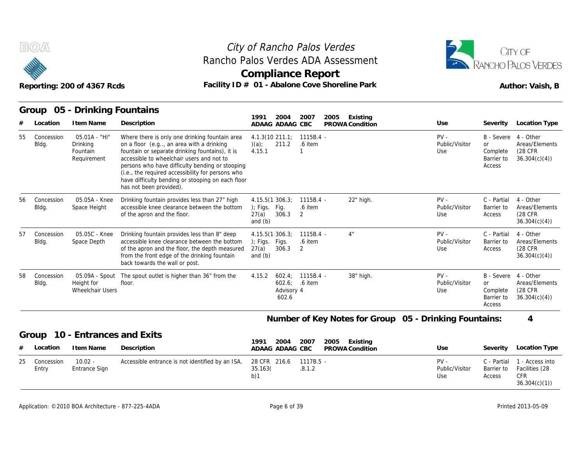



|    |                     | Reporting: 200 of 4367 Rcds                             | Facility ID # 01 - Abalone Cove Shoreline Park                                                                                                                                                                                                                                                                                                                                     | <b>Compliance Report</b>                             |                                   |                                      |      |                             |                                                        |                                                                       | Author: Vaish, B                                                |
|----|---------------------|---------------------------------------------------------|------------------------------------------------------------------------------------------------------------------------------------------------------------------------------------------------------------------------------------------------------------------------------------------------------------------------------------------------------------------------------------|------------------------------------------------------|-----------------------------------|--------------------------------------|------|-----------------------------|--------------------------------------------------------|-----------------------------------------------------------------------|-----------------------------------------------------------------|
|    | Group<br>Location   | 05 - Drinking Fountains<br>I tem Name                   | Description                                                                                                                                                                                                                                                                                                                                                                        | 1991                                                 | 2004<br>ADAAG ADAAG CBC           | 2007                                 | 2005 | Existing<br>PROWA Condition | Use                                                    | Severity                                                              | Location Type                                                   |
| 55 | Concession<br>Bldg. | 05.01A - "Hi"<br>Drinking<br>Fountain<br>Requirement    | Where there is only one drinking fountain area<br>on a floor (e.g, an area with a drinking<br>fountain or separate drinking fountains), it is<br>accessible to wheelchair users and not to<br>persons who have difficulty bending or stooping<br>(i.e., the required accessibility for persons who<br>have difficulty bending or stooping on each floor<br>has not been provided). | (a)<br>4.15.1                                        | $4.1.3(10\ 211.1)$<br>211.2       | 1115B.4 -<br>.6 item<br>$\mathbf{1}$ |      |                             | $PV -$<br>Public/Visitor<br>Use                        | B - Severe 4 - Other<br><b>or</b><br>Complete<br>Barrier to<br>Access | Areas/Elements<br>(28 CFR<br>36.304(c)(4)                       |
| 56 | Concession<br>Bldg. | 05.05A - Knee<br>Space Height                           | Drinking fountain provides less than 27" high<br>accessible knee clearance between the bottom<br>of the apron and the floor.                                                                                                                                                                                                                                                       | 4.15.5(1.306.3)<br>$)$ ; Figs.<br>27(a)<br>and $(b)$ | Fig.<br>306.3                     | $1115B.4 -$<br>.6 item<br>2          |      | 22" high.                   | $PV -$<br>Public/Visitor<br>Use                        | C - Partial<br>Barrier to<br>Access                                   | 4 - Other<br>Areas/Elements<br>(28 CFR)<br>36.304(c)(4)         |
| 57 | Concession<br>Bldg. | 05.05C - Knee<br>Space Depth                            | Drinking fountain provides less than 8" deep<br>accessible knee clearance between the bottom<br>of the apron and the floor, the depth measured<br>from the front edge of the drinking fountain<br>back towards the wall or post.                                                                                                                                                   | ); Figs.<br>27(a)<br>and $(b)$                       | 4.15.5(1.306.3)<br>Figs.<br>306.3 | $1115B.4 -$<br>.6 item<br>2          |      | 4"                          | $PV -$<br>Public/Visitor<br>Use                        | C - Partial<br>Barrier to<br>Access                                   | 4 - Other<br>Areas/Elements<br>(28 CFR)<br>36.304(c)(4)         |
| 58 | Concession<br>Bldg. | 05.09A - Spout<br>Height for<br><b>Wheelchair Users</b> | The spout outlet is higher than 36" from the<br>floor.                                                                                                                                                                                                                                                                                                                             | 4.15.2                                               | 602.6<br>Advisory 4<br>602.6      | $602.4$ ; 1115B.4 -<br>.6 item       |      | 38" high.                   | $PV -$<br>Public/Visitor<br>Use                        | B - Severe 4 - Other<br><b>or</b><br>Complete<br>Barrier to<br>Access | Areas/Elements<br>(28 CFR)<br>36.304(c)(4)                      |
|    |                     |                                                         |                                                                                                                                                                                                                                                                                                                                                                                    |                                                      |                                   |                                      |      |                             | Number of Key Notes for Group 05 - Drinking Fountains: |                                                                       | $\overline{4}$                                                  |
|    | Group               | 10 - Entrances and Exits                                |                                                                                                                                                                                                                                                                                                                                                                                    | 1991                                                 | 2004                              | 2007                                 | 2005 | Existing                    |                                                        |                                                                       |                                                                 |
| #  | Location            | I tem Name                                              | Description                                                                                                                                                                                                                                                                                                                                                                        |                                                      | ADAAG ADAAG CBC                   |                                      |      | PROWA Condition             | Use                                                    | Severity                                                              | Location Type                                                   |
| 25 | Concession<br>Entry | $10.02 -$<br>Entrance Sign                              | Accessible entrance is not identified by an ISA.                                                                                                                                                                                                                                                                                                                                   | 28 CFR 216.6<br>35.163(<br>b)1                       |                                   | 1117B.5 -<br>.8.1.2                  |      |                             | $PV -$<br>Public/Visitor<br>Use                        | C - Partial<br>Barrier to<br>Access                                   | 1 - Access into<br>Facilities (28<br><b>CFR</b><br>36.304(c)(1) |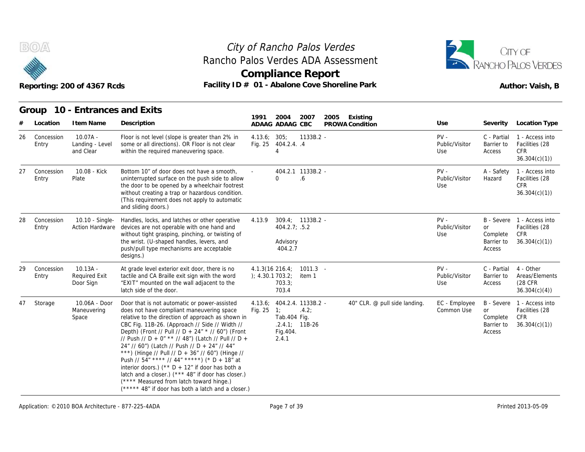



|    |                     | Reporting: 200 of 4367 Rcds                |                                                                                                                                                                                                                                                                                                                                                                                                                                                                                                                                                                                                                                                                                        |                    |                                                          | <b>Compliance Report</b>                        | Facility ID # 01 - Abalone Cove Shoreline Park |                                 |                                               | Author: Vaish, B                                                           |
|----|---------------------|--------------------------------------------|----------------------------------------------------------------------------------------------------------------------------------------------------------------------------------------------------------------------------------------------------------------------------------------------------------------------------------------------------------------------------------------------------------------------------------------------------------------------------------------------------------------------------------------------------------------------------------------------------------------------------------------------------------------------------------------|--------------------|----------------------------------------------------------|-------------------------------------------------|------------------------------------------------|---------------------------------|-----------------------------------------------|----------------------------------------------------------------------------|
|    | Group<br>Location   | 10 - Entrances and Exits<br>I tem Name     | Description                                                                                                                                                                                                                                                                                                                                                                                                                                                                                                                                                                                                                                                                            | 1991               | 2004<br>ADAAG ADAAG CBC                                  | 2007                                            | 2005<br>Existing<br>PROWA Condition            | Use                             | Severity                                      | Location Type                                                              |
| 26 | Concession<br>Entry | $10.07A -$<br>Landing - Level<br>and Clear | Floor is not level (slope is greater than 2% in<br>some or all directions). OR Floor is not clear<br>within the required maneuvering space.                                                                                                                                                                                                                                                                                                                                                                                                                                                                                                                                            | 4.13.6; 305;       | Fig. 25 404.2.4. .4                                      | 1133B.2 -                                       |                                                | $PV -$<br>Public/Visitor<br>Use | C - Partial<br>Barrier to<br>Access           | 1 - Access into<br>Facilities (28<br><b>CFR</b><br>36.304(c)(1)            |
| 27 | Concession<br>Entry | 10.08 - Kick<br>Plate                      | Bottom 10" of door does not have a smooth.<br>uninterrupted surface on the push side to allow<br>the door to be opened by a wheelchair footrest<br>without creating a trap or hazardous condition.<br>(This requirement does not apply to automatic<br>and sliding doors.)                                                                                                                                                                                                                                                                                                                                                                                                             |                    | $\Omega$                                                 | 404.2.1 1133B.2 -<br>.6                         |                                                | $PV -$<br>Public/Visitor<br>Use | A - Safety<br>Hazard                          | 1 - Access into<br>Facilities (28<br><b>CFR</b><br>36.304(c)(1)            |
| 28 | Concession<br>Entry | 10.10 - Single-<br><b>Action Hardware</b>  | Handles, locks, and latches or other operative<br>devices are not operable with one hand and<br>without tight grasping, pinching, or twisting of<br>the wrist. (U-shaped handles, levers, and<br>push/pull type mechanisms are acceptable<br>designs.)                                                                                                                                                                                                                                                                                                                                                                                                                                 | 4.13.9             | 404.2.7; .5.2<br>Advisory<br>404.2.7                     | 309.4; 1133B.2 -                                |                                                | $PV -$<br>Public/Visitor<br>Use | <b>or</b><br>Complete<br>Barrier to<br>Access | B - Severe 1 - Access into<br>Facilities (28<br><b>CFR</b><br>36.304(c)(1) |
| 29 | Concession<br>Entry | $10.13A -$<br>Required Exit<br>Door Sign   | At grade level exterior exit door, there is no<br>tactile and CA Braille exit sign with the word<br>"EXIT" mounted on the wall adjacent to the<br>latch side of the door.                                                                                                                                                                                                                                                                                                                                                                                                                                                                                                              |                    | $4.1.3(16\ 216.4)$<br>); 4.30.1703.2;<br>703.3;<br>703.4 | $1011.3 -$<br>item 1                            |                                                | $PV -$<br>Public/Visitor<br>Use | C - Partial<br>Barrier to<br>Access           | 4 - Other<br>Areas/Elements<br>(28 CFR)<br>36.304(c)(4)                    |
| 47 | Storage             | 10.06A - Door<br>Maneuvering<br>Space      | Door that is not automatic or power-assisted<br>does not have compliant maneuvering space<br>relative to the direction of approach as shown in<br>CBC Fig. 11B-26. (Approach // Side // Width //<br>Depth) (Front // Pull // D + 24" * // 60") (Front<br>// Push // D + 0" ** // 48") (Latch // Pull // D +<br>24" // 60") (Latch // Push // D + 24" // 44"<br>***) (Hinge // Pull // D + 36" // 60") (Hinge //<br>Push // $54''$ **** // $44''$ *****) (* D + $18''$ at<br>interior doors.) (** $D + 12$ " if door has both a<br>latch and a closer.) (*** 48" if door has closer.)<br>(**** Measured from latch toward hinge.)<br>(***** 48" if door has both a latch and a closer.) | 4.13.6;<br>Fig. 25 | 1;<br>Tab.404 Fig.<br>Fig. 404.<br>2.4.1                 | 404.2.4. 1133B.2 -<br>.4.2;<br>$.2.4.1; 11B-26$ | 40" CLR. @ pull side landing.                  | EC - Employee<br>Common Use     | or<br>Complete<br>Barrier to<br>Access        | B - Severe 1 - Access into<br>Facilities (28<br>CFR<br>36.304(c)(1)        |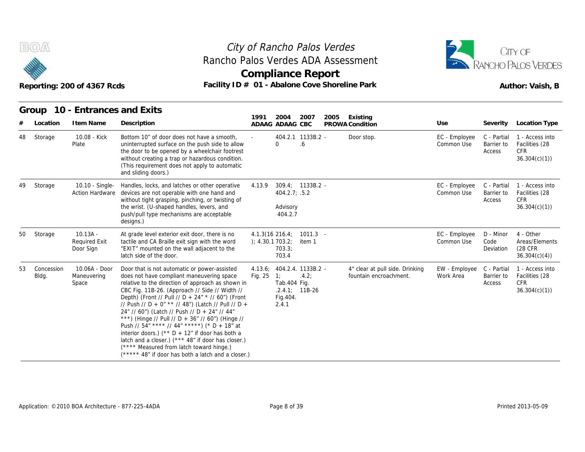

# **Compliance Report** Rancho Palos Verdes ADA Assessment



|    |                     | Reporting: 200 of 4367 Rcds                     | Rancho Palos Verdes ADA Assessment<br>Facility ID # 01 - Abalone Cove Shoreline Park                                                                                                                                                                                                                                                                                                                                                                                                                                                                                                                                                                                          |                            | <b>Compliance Report</b>                                                     |                         |      |                                                           |                             |                                     | <b>RANCHO PALOS VERDES</b><br>Author: Vaish, B                  |
|----|---------------------|-------------------------------------------------|-------------------------------------------------------------------------------------------------------------------------------------------------------------------------------------------------------------------------------------------------------------------------------------------------------------------------------------------------------------------------------------------------------------------------------------------------------------------------------------------------------------------------------------------------------------------------------------------------------------------------------------------------------------------------------|----------------------------|------------------------------------------------------------------------------|-------------------------|------|-----------------------------------------------------------|-----------------------------|-------------------------------------|-----------------------------------------------------------------|
| #  | Location            | Group 10 - Entrances and Exits<br>I tem Name    | Description                                                                                                                                                                                                                                                                                                                                                                                                                                                                                                                                                                                                                                                                   | 1991                       | 2004<br>ADAAG ADAAG CBC                                                      | 2007                    | 2005 | Existing<br>PROWA Condition                               | Use                         | Severity                            | Location Type                                                   |
| 48 | Storage             | 10.08 - Kick<br>Plate                           | Bottom 10" of door does not have a smooth.<br>uninterrupted surface on the push side to allow<br>the door to be opened by a wheelchair footrest<br>without creating a trap or hazardous condition.<br>(This requirement does not apply to automatic<br>and sliding doors.)                                                                                                                                                                                                                                                                                                                                                                                                    |                            | $\Omega$                                                                     | 404.2.1 1133B.2 -<br>.6 |      | Door stop.                                                | EC - Employee<br>Common Use | C - Partial<br>Barrier to<br>Access | 1 - Access into<br>Facilities (28<br><b>CFR</b><br>36.304(c)(1) |
| 49 | Storage             | 10.10 - Single-<br><b>Action Hardware</b>       | Handles, locks, and latches or other operative<br>devices are not operable with one hand and<br>without tight grasping, pinching, or twisting of<br>the wrist. (U-shaped handles, levers, and<br>push/pull type mechanisms are acceptable<br>designs.)                                                                                                                                                                                                                                                                                                                                                                                                                        | 4.13.9                     | 309.4; 1133B.2 -<br>404.2.7; .5.2<br>Advisory<br>404.2.7                     |                         |      |                                                           | EC - Employee<br>Common Use | C - Partial<br>Barrier to<br>Access | 1 - Access into<br>Facilities (28<br>CFR<br>36.304(c)(1)        |
| 50 | Storage             | $10.13A -$<br><b>Required Exit</b><br>Door Sign | At grade level exterior exit door, there is no<br>tactile and CA Braille exit sign with the word<br>"EXIT" mounted on the wall adjacent to the<br>latch side of the door.                                                                                                                                                                                                                                                                                                                                                                                                                                                                                                     |                            | $4.1.3(16\ 216.4)$<br>); 4.30.1703.2;<br>703.3;<br>703.4                     | $1011.3 -$<br>item 1    |      |                                                           | EC - Employee<br>Common Use | D - Minor<br>Code<br>Deviation      | 4 - Other<br>Areas/Elements<br>(28 CFR<br>36.304(c)(4)          |
| 53 | Concession<br>Bldg. | 10.06A - Door<br>Maneuvering<br>Space           | Door that is not automatic or power-assisted<br>does not have compliant maneuvering space<br>relative to the direction of approach as shown in<br>CBC Fig. 11B-26. (Approach // Side // Width //<br>Depth) (Front // Pull // D + 24" * // 60") (Front<br>// Push // D + 0" ** // 48") (Latch // Pull // D +<br>24" // 60") (Latch // Push // D + 24" // 44"<br>***) (Hinge // Pull // D + 36" // 60") (Hinge //<br>Push // 54" **** // 44" *****) (* D + 18" at<br>interior doors.) (** $D + 12$ " if door has both a<br>latch and a closer.) (*** 48" if door has closer.)<br>(**** Measured from latch toward hinge.)<br>(***** 48" if door has both a latch and a closer.) | 4.13.6;<br>Fig. $25 \t1$ ; | 404.2.4. 1133B.2 -<br>Tab.404 Fig.<br>$.2.4.1; 11B-26$<br>Fig. 404.<br>2.4.1 | .4.2:                   |      | 4" clear at pull side. Drinking<br>fountain encroachment. | EW - Employee<br>Work Area  | C - Partial<br>Barrier to<br>Access | 1 - Access into<br>Facilities (28<br><b>CFR</b><br>36.304(c)(1) |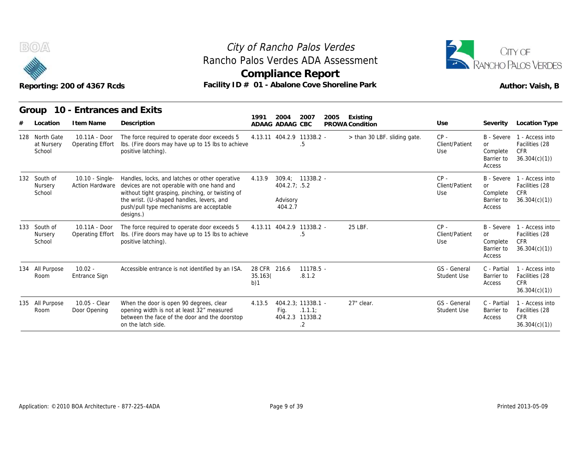



|   | B(0)                                   | Reporting: 200 of 4367 Rcds               | Rancho Palos Verdes ADA Assessment<br>Facility ID # 01 - Abalone Cove Shoreline Park                                                                                                                                                                   |                                | City of Rancho Palos Verdes<br><b>Compliance Report</b>  |                       |      |                              |                                    |                                                             | CITY OF<br>RANCHO PALOS VERDES<br>Author: Vaish, B                         |
|---|----------------------------------------|-------------------------------------------|--------------------------------------------------------------------------------------------------------------------------------------------------------------------------------------------------------------------------------------------------------|--------------------------------|----------------------------------------------------------|-----------------------|------|------------------------------|------------------------------------|-------------------------------------------------------------|----------------------------------------------------------------------------|
| # | Group<br>Location                      | 10 - Entrances and Exits<br>I tem Name    | Description                                                                                                                                                                                                                                            | 1991                           | 2004<br>ADAAG ADAAG CBC                                  | 2007                  | 2005 | Existing<br>PROWA Condition  | Use                                | Severity                                                    | Location Type                                                              |
|   | 128 North Gate<br>at Nursery<br>School | 10.11A - Door<br>Operating Effort         | The force required to operate door exceeds 5<br>Ibs. (Fire doors may have up to 15 lbs to achieve<br>positive latching).                                                                                                                               |                                | 4.13.11 404.2.9 1133B.2 -                                | .5                    |      | > than 30 LBF. sliding gate. | $CP -$<br>Client/Patient<br>Use    | or<br>Complete<br>Barrier to<br>Access                      | B - Severe 1 - Access into<br>Facilities (28<br><b>CFR</b><br>36.304(c)(1) |
|   | 132 South of<br>Nursery<br>School      | 10.10 - Single-<br><b>Action Hardware</b> | Handles, locks, and latches or other operative<br>devices are not operable with one hand and<br>without tight grasping, pinching, or twisting of<br>the wrist. (U-shaped handles, levers, and<br>push/pull type mechanisms are acceptable<br>designs.) | 4.13.9                         | 309.4; 1133B.2 -<br>404.2.7; .5.2<br>Advisory<br>404.2.7 |                       |      |                              | $CP -$<br>Client/Patient<br>Use    | B - Severe<br><b>or</b><br>Complete<br>Barrier to<br>Access | 1 - Access into<br>Facilities (28<br><b>CFR</b><br>36.304(c)(1)            |
|   | 133 South of<br>Nursery<br>School      | 10.11A - Door<br>Operating Effort         | The force required to operate door exceeds 5<br>Ibs. (Fire doors may have up to 15 lbs to achieve<br>positive latching).                                                                                                                               |                                | 4.13.11 404.2.9 1133B.2 -                                | .5                    |      | 25 LBF.                      | $CP -$<br>Client/Patient<br>Use    | <b>or</b><br>Complete<br>Barrier to<br>Access               | B - Severe 1 - Access into<br>Facilities (28<br><b>CFR</b><br>36.304(c)(1) |
|   | 134 All Purpose<br>Room                | $10.02 -$<br><b>Entrance Sign</b>         | Accessible entrance is not identified by an ISA.                                                                                                                                                                                                       | 28 CFR 216.6<br>35.163(<br>b)1 |                                                          | $1117B.5 -$<br>.8.1.2 |      |                              | GS - General<br><b>Student Use</b> | C - Partial<br>Barrier to<br>Access                         | 1 - Access into<br>Facilities (28<br><b>CFR</b><br>36.304(c)(1)            |
|   | 135 All Purpose<br>Room                | 10.05 - Clear<br>Door Opening             | When the door is open 90 degrees, clear<br>opening width is not at least 32" measured<br>between the face of the door and the doorstop<br>on the latch side.                                                                                           | 4.13.5                         | 404.2.3; 1133B.1 -<br>Fig.<br>404.2.3 1133B.2            | .1.1.1<br>.2          |      | 27" clear.                   | GS - General<br><b>Student Use</b> | C - Partial<br>Barrier to<br>Access                         | 1 - Access into<br>Facilities (28<br><b>CFR</b><br>36.304(c)(1)            |

Application: ©2010 BOA Architecture - 877-225-4ADA Page 9 of 39 Page 9 of 39 Printed 2013-05-09 Printed 2013-05-09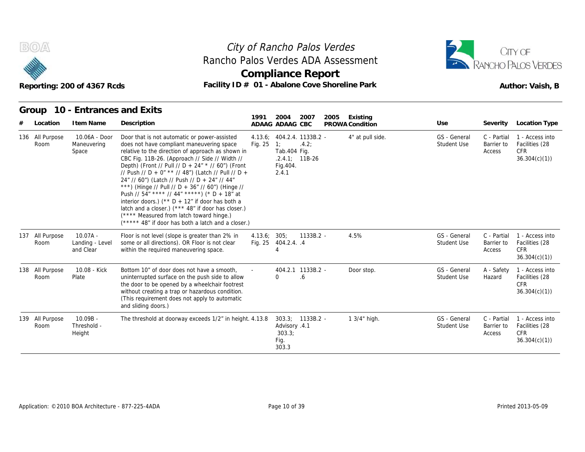



#### **Group 10 - Entrances and Exits INSURANCE 10.064367 Rcds**<br> **Item Name Description**<br> **Item Name Description**<br> **IO.064 - Door Door that is not automatic or power-assisted Maneuvering does not have compliant maneuvering state 1991 ADAAG 2004 ADAAG CBC PROWA 2007 2005 Existing # Location Condition Use Severity Location Type** 10.06A - Door Room Maneuvering does not Space The relative to the direction of approach as shown in Table 3. Table 7. Door that is not automatic or power-assisted does not have compliant maneuvering space Fig. 25 1; CBC Fig. 11B-26. (Approach // Side // Width // Depth) (Front // Pull // D + 24" \* // 60") (Front // Push // D + 0" \*\* // 48") (Latch // Pull // D + 24" // 60") (Latch // Push // D + 24" // 44" \*\*\*) (Hinge // Pull // D + 36" // 60") (Hinge // Push // 54" \*\*\*\* // 44" \*\*\*\*\*) (\* D + 18" at interior doors.) (\*\*  $D + 12$ " if door has both a latch and a closer.) (\*\*\* 48" if door has closer.) (\*\*\*\* Measured from latch toward hinge.) (\*\*\*\*\* 48" if door has both a latch and a closer.) 4.13.6; 404.2.4. Fig. 25 1; .4.2; Tab.404 Fig. .2.4.1; 11B-26 Fig.404. 2.4.1 4" at pull side. Verdes<br>
Assessment<br>
Ort<br>
Shoreline Park<br>
Au<br>
2005 Existing<br>
PROWA Condition<br>
4" at pull side. GS - General C - Partia<br>
Student Use<br>
Student Use<br>
Access Student Use Barrier to C - Partial 1 - Access into Barrier to Facilities (28 Access CFR 36.304(c)(1)) BOA<br>
Reporting: 200 of 436<br>
Group 10 - Entrar<br>
# Location Item Nam<br>
136 All Purpose 10.06A -<br>
Room Maneuverir<br>
Space 10.07A - Room Landing - Level some or al and Clear Floor is not level (slope is greater than 2% in some or all directions). OR Floor is not clear Fig. 25 within the required maneuvering space. 4.13.6; Fig. 25 404.2.4. 305; 1133B.2 4 .4 Student Use Barrier to<br>Access<br>Access<br>4.5% GS - General C - Partia<br>Student Use Barrier to<br>Access Student Use Barrier to C - Partial 1 - Access into Barrier to Facilities (28 Access CFR 36.304(c)(1)) Room Maneuverir<br>
Space<br>
137 All Purpose 10.07A<br>
Room Landing - L<br>
and Clear 10.08 - Kick Plate uninterrupted surface on the push side to allow Bottom 10" of door does not have a smooth, the door to be opened by a wheelchair footrest without creating a trap or hazardous condition. (This requirement does not apply to automatic and sliding doors.) 4.13.6; 305; 1133B.2 - 4.5<br>Fig. 25 404.2.4. .4<br>- 404.2.1 1133B.2 - Dou<br>0 .6  $0 \qquad .6$ 404.2.1 1133B.2 - Door stop. .6 4.5% GS - General C - Partia<br>Student Use Barrier to<br>Access<br>- Door stop. GS - General A - Safet<br>Student Use Hazard Student Use Hazard A - Safety 1 - Access into Hazard Facilities (28 CFR 36.304(c)(1)) 137 All Purpose 10.07A -<br>
Room Landing - Landing - Landing - Landing - Landing - Landing - Landing - Landing - Landing - Landing - Landing - Landing - Landing - Landing - Landing - Landing - Landing - Landing - Landing - L Room Plate uninte<br>the divitho<br>witho (This<br>and s<br>All Purpose 10.09B - The t Room Threshold -Height Floor is not level (slope is greater than 2% in  $4.13.6$ ; 305; 1133B.2 -<br>
some or all directions). OR Floor is not clear Fig. 25  $404.2.4$ . 4<br>
within the required maneuvering space.  $4$ <br>
Bottom 10" of door does not have a Advisory .4.1 303.3; Fig. 303.3 303.3; 1133B.2 - 1 3/4" high. 4.5% GS - General C - Partia<br>
Student Use Barrier to<br>
Access<br>
- Door stop. GS - General A - Safet<br>
Student Use Hazard<br>
- 1 3/4" high. GS - General C - Partia<br>
Student Use Barrier to<br>
Access Student Use Barrier to C - Partial 1 - Access into Barrier to Facilities (28 Access CFR 36.304(c)(1)) Tarry All Purpose 10.07A -<br>
Room Landing - Landing - Landing - Landing - Landing - Landing - Landing - Landing - Landing - Landing - Landing - Landing - Landing - Landing - Landing - Landing - Landing - Landing - Landing -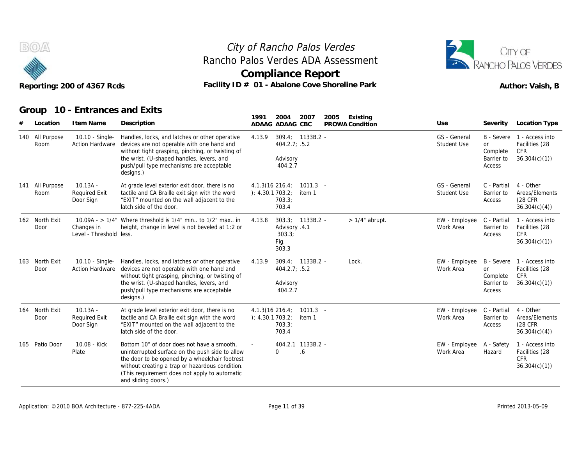



|                         | Reporting: 200 of 4367 Rcds                     |                                                                                                                                                                                                                                                                            | <b>Compliance Report</b><br>Facility ID # 01 - Abalone Cove Shoreline Park       |                                     |                                       |                                        | Author: Vaish, B                                                           |
|-------------------------|-------------------------------------------------|----------------------------------------------------------------------------------------------------------------------------------------------------------------------------------------------------------------------------------------------------------------------------|----------------------------------------------------------------------------------|-------------------------------------|---------------------------------------|----------------------------------------|----------------------------------------------------------------------------|
| Group<br>Location       | 10 - Entrances and Exits<br>I tem Name          | Description                                                                                                                                                                                                                                                                | 1991<br>2004<br>2007<br>ADAAG ADAAG CBC                                          | 2005<br>Existing<br>PROWA Condition | Use                                   | Severity                               | <b>Location Type</b>                                                       |
| 140 All Purpose<br>Room | 10.10 - Single-<br><b>Action Hardware</b>       | Handles, locks, and latches or other operative<br>devices are not operable with one hand and<br>without tight grasping, pinching, or twisting of<br>the wrist. (U-shaped handles, levers, and<br>push/pull type mechanisms are acceptable<br>designs.)                     | 4.13.9<br>$309.4; 1133B.2 -$<br>404.2.7; .5.2<br>Advisory<br>404.2.7             |                                     | GS - General<br><b>Student Use</b>    | or<br>Complete<br>Barrier to<br>Access | B - Severe 1 - Access into<br>Facilities (28<br>CFR<br>36.304(c)(1)        |
| 141 All Purpose<br>Room | $10.13A -$<br><b>Required Exit</b><br>Door Sign | At grade level exterior exit door, there is no<br>tactile and CA Braille exit sign with the word<br>"EXIT" mounted on the wall adjacent to the<br>latch side of the door.                                                                                                  | $4.1.3(16\ 216.4)$<br>$1011.3 -$<br>); 4.30.1703.2;<br>item 1<br>703.3;<br>703.4 |                                     | GS - General<br>Student Use           | C - Partial<br>Barrier to<br>Access    | 4 - Other<br>Areas/Elements<br>(28 CFR)<br>36.304(c)(4)                    |
| 162 North Exit<br>Door  | Changes in<br>Level - Threshold less.           | 10.09A - $> 1/4$ " Where threshold is 1/4" min to 1/2" max in<br>height, change in level is not beveled at 1:2 or                                                                                                                                                          | 303.3; 1133B.2 -<br>4.13.8<br>Advisory .4.1<br>303.3;<br>Fig.<br>303.3           | $>1/4$ " abrupt.                    | EW - Employee<br>Work Area            | C - Partial<br>Barrier to<br>Access    | 1 - Access into<br>Facilities (28<br><b>CFR</b><br>36.304(c)(1)            |
| 163 North Exit<br>Door  | 10.10 - Single-<br><b>Action Hardware</b>       | Handles, locks, and latches or other operative<br>devices are not operable with one hand and<br>without tight grasping, pinching, or twisting of<br>the wrist. (U-shaped handles, levers, and<br>push/pull type mechanisms are acceptable<br>designs.)                     | 309.4; 1133B.2 -<br>4.13.9<br>404.2.7; .5.2<br>Advisory<br>404.2.7               | Lock.                               | EW - Employee<br>Work Area            | or<br>Complete<br>Barrier to<br>Access | B - Severe 1 - Access into<br>Facilities (28<br><b>CFR</b><br>36.304(c)(1) |
| 164 North Exit<br>Door  | $10.13A -$<br><b>Required Exit</b><br>Door Sign | At grade level exterior exit door, there is no<br>tactile and CA Braille exit sign with the word<br>"EXIT" mounted on the wall adjacent to the<br>latch side of the door.                                                                                                  | $4.1.3(16\ 216.4)$<br>$1011.3 -$<br>); 4.30.1703.2;<br>item 1<br>703.3;<br>703.4 |                                     | EW - Employee<br>Work Area            | C - Partial<br>Barrier to<br>Access    | 4 - Other<br>Areas/Elements<br>(28 CFR<br>36.304(c)(4)                     |
| 165 Patio Door          | 10.08 - Kick<br>Plate                           | Bottom 10" of door does not have a smooth,<br>uninterrupted surface on the push side to allow<br>the door to be opened by a wheelchair footrest<br>without creating a trap or hazardous condition.<br>(This requirement does not apply to automatic<br>and sliding doors.) | 404.2.1 1133B.2 -<br>$\Omega$<br>.6                                              |                                     | EW - Employee A - Safety<br>Work Area | Hazard                                 | 1 - Access into<br>Facilities (28<br><b>CFR</b><br>36.304(c)(1)            |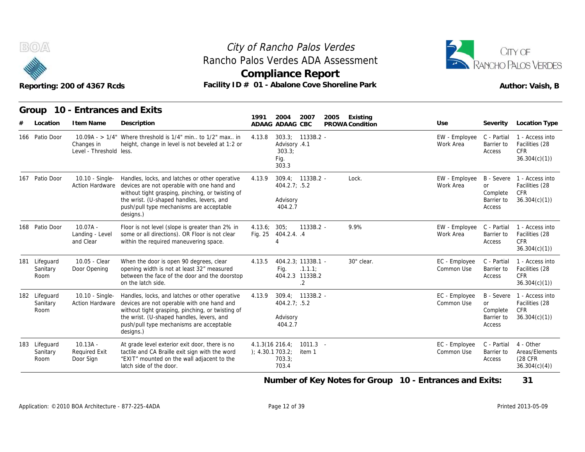



| B(0)                  |                       | Reporting: 200 of 4367 Rcds                     | Rancho Palos Verdes ADA Assessment<br>Facility ID # 01 - Abalone Cove Shoreline Park                                                                                                                                                                   |                                    |                                          | City of Rancho Palos Verdes<br><b>Compliance Report</b> |      |                             |                             |                                               | CITY OF<br>RANCHO PALOS VERDES<br>Author: Vaish, B                  |
|-----------------------|-----------------------|-------------------------------------------------|--------------------------------------------------------------------------------------------------------------------------------------------------------------------------------------------------------------------------------------------------------|------------------------------------|------------------------------------------|---------------------------------------------------------|------|-----------------------------|-----------------------------|-----------------------------------------------|---------------------------------------------------------------------|
|                       | Location              | Group 10 - Entrances and Exits<br>I tem Name    | Description                                                                                                                                                                                                                                            | 1991                               | 2004<br>ADAAG ADAAG CBC                  | 2007                                                    | 2005 | Existing<br>PROWA Condition | Use                         | Severity                                      | Location Type                                                       |
| 166 Patio Door        |                       | Changes in<br>Level - Threshold less.           | 10.09A - $> 1/4$ " Where threshold is 1/4" min., to 1/2" max., in<br>height, change in level is not beveled at 1:2 or                                                                                                                                  | 4.13.8                             | Advisory .4.1<br>303.3;<br>Fig.<br>303.3 | 303.3; 1133B.2 -                                        |      |                             | EW - Employee<br>Work Area  | C - Partial<br>Barrier to<br>Access           | 1 - Access into<br>Facilities (28<br><b>CFR</b><br>36.304(c)(1)     |
| 167 Patio Door        |                       | 10.10 - Single-<br><b>Action Hardware</b>       | Handles, locks, and latches or other operative<br>devices are not operable with one hand and<br>without tight grasping, pinching, or twisting of<br>the wrist. (U-shaped handles, levers, and<br>push/pull type mechanisms are acceptable<br>designs.) | 4.13.9                             | 404.2.7; .5.2<br>Advisory<br>404.2.7     | 309.4; 1133B.2 -                                        |      | Lock.                       | EW - Employee<br>Work Area  | or<br>Complete<br>Barrier to<br>Access        | B - Severe 1 - Access into<br>Facilities (28<br>CFR<br>36.304(c)(1) |
| 168 Patio Door        |                       | $10.07A -$<br>Landing - Level<br>and Clear      | Floor is not level (slope is greater than 2% in<br>some or all directions). OR Floor is not clear<br>within the required maneuvering space.                                                                                                            | 4.13.6; 305;<br>Fig. 25            | 404.2.4. .4                              | $1133B.2 -$                                             |      | 9.9%                        | EW - Employee<br>Work Area  | C - Partial<br>Barrier to<br>Access           | 1 - Access into<br>Facilities (28<br><b>CFR</b><br>36.304(c)(1)     |
| 181<br>Room           | Lifeguard<br>Sanitary | 10.05 - Clear<br>Door Opening                   | When the door is open 90 degrees, clear<br>opening width is not at least 32" measured<br>between the face of the door and the doorstop<br>on the latch side.                                                                                           | 4.13.5                             | Fig.                                     | 404.2.3; 1133B.1 -<br>.1.1.1<br>404.2.3 1133B.2<br>.2   |      | 30" clear.                  | EC - Employee<br>Common Use | C - Partial<br>Barrier to<br>Access           | 1 - Access into<br>Facilities (28<br><b>CFR</b><br>36.304(c)(1)     |
| 182 Lifequard<br>Room | Sanitary              | 10.10 - Single-<br>Action Hardware              | Handles, locks, and latches or other operative<br>devices are not operable with one hand and<br>without tight grasping, pinching, or twisting of<br>the wrist. (U-shaped handles, levers, and<br>push/pull type mechanisms are acceptable<br>designs.) | 4.13.9                             | $404.2.7$ ; .5.2<br>Advisory<br>404.2.7  | 309.4; 1133B.2 -                                        |      |                             | EC - Employee<br>Common Use | <b>or</b><br>Complete<br>Barrier to<br>Access | B - Severe 1 - Access into<br>Facilities (28<br>CFR<br>36.304(c)(1) |
| 183 Lifequard<br>Room | Sanitary              | $10.13A -$<br><b>Required Exit</b><br>Door Sign | At grade level exterior exit door, there is no<br>tactile and CA Braille exit sign with the word<br>"EXIT" mounted on the wall adjacent to the<br>latch side of the door                                                                               | 4.1.3(16.216.4)<br>); 4.30.1703.2; | 703.3;<br>703 4                          | $1011.3 -$<br>item 1                                    |      |                             | EC - Employee<br>Common Use | C - Partial<br>Barrier to<br>Access           | 4 - Other<br>Areas/Elements<br>(28 CFR<br>36.304(c)(1)              |

Sanitary Required Exit tactile ar Door Sign "EXIT" mounted on the wall adjacent to the At grade level exterior exit door, there is no 4.1.3(1 tactile and CA Braille exit sign with the word latch side of the door. 4.1.3(16  $); 4.30.1703.2;$ 216.4; 703.2; item 1 703.3; 703.4 1011.3 - The EC - Employee C - Partial Common Use Barrier to C - Partial 4 - Other Barrier to Areas/Elements Access (28 CFR 36.304(c)(4)) Room Door Sign

**Number of Key Notes for Group 10 - Entrances and Exits: 31**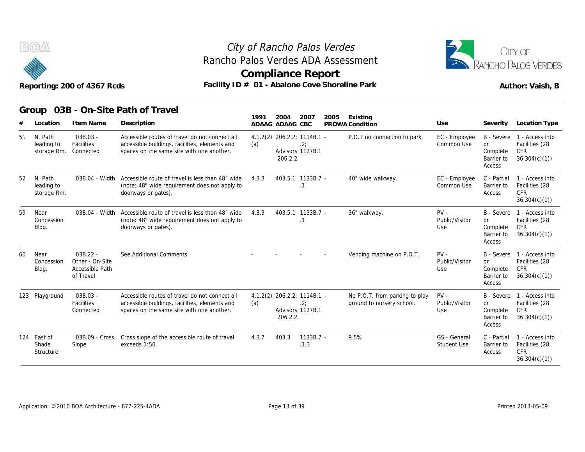



|    |                                          | Reporting: 200 of 4367 Rcds                                   | Rancho Palos Verdes ADA Assessment<br>Facility ID # 01 - Abalone Cove Shoreline Park                                                          |       |                         | City of Rancho Palos Verdes<br><b>Compliance Report</b> |      |                                                             |                                    |                                                             | CITY OF<br>RANCHO PALOS VERDES<br>Author: Vaish, B              |
|----|------------------------------------------|---------------------------------------------------------------|-----------------------------------------------------------------------------------------------------------------------------------------------|-------|-------------------------|---------------------------------------------------------|------|-------------------------------------------------------------|------------------------------------|-------------------------------------------------------------|-----------------------------------------------------------------|
|    | Location                                 | I tem Name                                                    | Group 03B - On-Site Path of Travel<br>Description                                                                                             | 1991  | 2004<br>ADAAG ADAAG CBC | 2007                                                    | 2005 | Existing<br>PROWA Condition                                 | Use                                | Severity                                                    | <b>Location Type</b>                                            |
| 51 | N. Path<br>leading to<br>storage Rm.     | $03B.03 -$<br>Facilities<br>Connected                         | Accessible routes of travel do not connect all<br>accessible buildings, facilities, elements and<br>spaces on the same site with one another. | (a)   | 206.2.2                 | 4.1.2(2) 206.2.2; 1114B.1 -<br>.2:<br>Advisory 1127B.1  |      | P.O.T no connection to park.                                | EC - Employee<br>Common Use        | <b>B</b> - Severe<br>or<br>Complete<br>Barrier to<br>Access | 1 - Access into<br>Facilities (28<br><b>CFR</b><br>36.304(c)(1) |
| 52 | N. Path<br>leading to<br>storage Rm.     | 03B.04 - Width                                                | Accessible route of travel is less than 48" wide<br>(note: 48" wide requirement does not apply to<br>doorways or gates).                      | 4.3.3 |                         | 403.5.1 1133B.7 -<br>$\cdot$ 1                          |      | 40" wide walkway.                                           | EC - Employee<br>Common Use        | C - Partial<br>Barrier to<br>Access                         | 1 - Access into<br>Facilities (28<br>CFR<br>36.304(c)(1)        |
| 59 | Near<br>Concession<br>Bldg.              | 03B.04 - Width                                                | Accessible route of travel is less than 48" wide<br>(note: 48" wide requirement does not apply to<br>doorways or gates).                      | 4.3.3 |                         | 403.5.1 1133B.7 -<br>$\cdot$ 1                          |      | 36" walkway.                                                | $PV -$<br>Public/Visitor<br>Use    | B - Severe<br>or<br>Complete<br>Barrier to<br>Access        | 1 - Access into<br>Facilities (28<br><b>CFR</b><br>36.304(c)(1) |
| 60 | Near<br>Concession<br>Bldg.              | $03B.22 -$<br>Other - On-Site<br>Accessible Path<br>of Travel | See Additional Comments                                                                                                                       |       |                         |                                                         |      | Vending machine on P.O.T.                                   | $PV -$<br>Public/Visitor<br>Use    | B - Severe<br><b>or</b><br>Complete<br>Barrier to<br>Access | 1 - Access into<br>Facilities (28<br><b>CFR</b><br>36.304(c)(1) |
|    | 123 Playground                           | 03B.03 -<br><b>Facilities</b><br>Connected                    | Accessible routes of travel do not connect all<br>accessible buildings, facilities, elements and<br>spaces on the same site with one another. | (a)   | 206.2.2                 | 4.1.2(2) 206.2.2; 1114B.1 -<br>.2:<br>Advisory 1127B.1  |      | No P.O.T. from parking to play<br>ground to nursery school. | $PV -$<br>Public/Visitor<br>Use    | B - Severe<br>or<br>Complete<br>Barrier to<br>Access        | 1 - Access into<br>Facilities (28<br><b>CFR</b><br>36.304(c)(1) |
|    | 124 East of<br>Shade<br><b>Structure</b> | 03B.09 - Cross<br>Slope                                       | Cross slope of the accessible route of travel<br>exceeds 1:50.                                                                                | 4.3.7 | 403.3                   | 1133B.7 -<br>.1.3                                       |      | 9.5%                                                        | GS - General<br><b>Student Use</b> | C - Partial<br>Barrier to<br>Access                         | 1 - Access into<br>Facilities (28<br><b>CFR</b><br>36.304(c)(1) |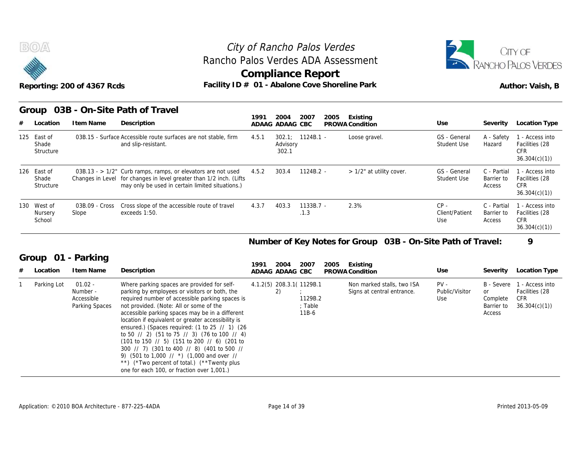



#### **Group 03B - On-Site Path of Travel**

|     | B(0)                              | Reporting: 200 of 4367 Rcds                           | Rancho Palos Verdes ADA Assessment<br>Facility ID # 01 - Abalone Cove Shoreline Park                                                                                                      | City of Rancho Palos Verdes<br>Compliance Report |                                |                     | CITY OF<br><b>RANCHO PALOS VERDES</b><br>Author: Vaish, B |                                                             |                                 |                                            |                                                                 |
|-----|-----------------------------------|-------------------------------------------------------|-------------------------------------------------------------------------------------------------------------------------------------------------------------------------------------------|--------------------------------------------------|--------------------------------|---------------------|-----------------------------------------------------------|-------------------------------------------------------------|---------------------------------|--------------------------------------------|-----------------------------------------------------------------|
|     | Group<br>Location                 | I tem Name                                            | 03B - On-Site Path of Travel<br>Description                                                                                                                                               | 1991                                             | 2004<br>ADAAG ADAAG CBC        | 2007                | 2005                                                      | Existing<br>PROWA Condition                                 | Use                             | Severity                                   | Location Type                                                   |
| 125 | East of<br>Shade<br>Structure     |                                                       | 03B.15 - Surface Accessible route surfaces are not stable, firm<br>and slip-resistant.                                                                                                    | 4.5.1                                            | Advisory<br>302.1              | $302.1$ ; 1124B.1 - |                                                           | Loose gravel.                                               | GS - General<br>Student Use     | A - Safety<br>Hazard                       | 1 - Access into<br>Facilities (28<br><b>CFR</b><br>36.304(c)(1) |
|     | 126 East of<br>Shade<br>Structure |                                                       | $03B.13 - 1/2$ " Curb ramps, ramps, or elevators are not used<br>Changes in Level for changes in level greater than 1/2 inch. (Lifts<br>may only be used in certain limited situations.)  | 4.5.2                                            | 303.4                          | $1124B.2 -$         |                                                           | > 1/2" at utility cover.                                    | GS - General<br>Student Use     | C - Partial<br>Barrier to<br>Access        | 1 - Access into<br>Facilities (28<br><b>CFR</b><br>36.304(c)(1) |
|     | 130 West of<br>Nursery<br>School  | 03B.09 - Cross<br>Slope                               | Cross slope of the accessible route of travel<br>exceeds 1:50.                                                                                                                            | 4.3.7                                            | 403.3                          | 1133B.7 -<br>.1.3   |                                                           | 2.3%                                                        | $CP -$<br>Client/Patient<br>Use | C - Partial<br>Barrier to<br>Access        | 1 - Access into<br>Facilities (28<br><b>CFR</b><br>36.304(c)(1) |
|     |                                   |                                                       |                                                                                                                                                                                           |                                                  |                                |                     |                                                           | Number of Key Notes for Group 03B - On-Site Path of Travel: |                                 |                                            | 9                                                               |
|     | Group                             | 01 - Parking                                          |                                                                                                                                                                                           |                                                  |                                |                     |                                                           |                                                             |                                 |                                            |                                                                 |
|     | Location                          | I tem Name                                            | Description                                                                                                                                                                               | 1991                                             | 2004<br>ADAAG ADAAG CBC        | 2007                | 2005                                                      | Existing<br>PROWA Condition                                 | Use                             | Severity                                   | Location Type                                                   |
|     | Parking Lot                       | $01.02 -$<br>Number -<br>Accessible<br>Darking Snaces | Where parking spaces are provided for self-<br>parking by employees or visitors or both, the<br>required number of accessible parking spaces is<br>not provided (Note: All or some of the |                                                  | 4.1.2(5) 208.3.1(1129B.1<br>2) | 1129B.2<br>. Tahla  |                                                           | Non marked stalls, two ISA<br>Signs at central entrance.    | $PV -$<br>Public/Visitor<br>Use | B - Severe<br>or<br>Complete<br>Rarriar to | 1 - Access into<br>Facilities (28<br><b>CFR</b><br>36.301(c)(1) |

#### **Number of Key Notes for Group 03B - On-Site Path of Travel: 9**

#### **Group 01 - Parking**

| # | Location    | I tem Name                                            | Description                                                                                                                                                                                                                                                                                                                                                                                                                                                                                                                                                                                                                                                                                                                                                                                                                           | 1991 | 2004<br>ADAAG ADAAG CBC        | 2007                        | 2005 | Existing<br>PROWA Condition                              | Use                           | Severity                                      | Location Type                                                       |
|---|-------------|-------------------------------------------------------|---------------------------------------------------------------------------------------------------------------------------------------------------------------------------------------------------------------------------------------------------------------------------------------------------------------------------------------------------------------------------------------------------------------------------------------------------------------------------------------------------------------------------------------------------------------------------------------------------------------------------------------------------------------------------------------------------------------------------------------------------------------------------------------------------------------------------------------|------|--------------------------------|-----------------------------|------|----------------------------------------------------------|-------------------------------|-----------------------------------------------|---------------------------------------------------------------------|
|   | Parking Lot | $01.02 -$<br>Number -<br>Accessible<br>Parking Spaces | Where parking spaces are provided for self-<br>parking by employees or visitors or both, the<br>required number of accessible parking spaces is<br>not provided. (Note: All or some of the<br>accessible parking spaces may be in a different<br>location if equivalent or greater accessibility is<br>ensured.) (Spaces required: $(1 to 25 \t/1)$ $(26$<br>to 50 $\frac{1}{2}$ (51 to 75 $\frac{1}{3}$ ) (76 to 100 $\frac{1}{4}$ )<br>$(101 \text{ to } 150 \text{ }$ // 5) $(151 \text{ to } 200 \text{ }$ // 6) $(201 \text{ to } 150 \text{ }$<br>300 // 7) (301 to 400 // 8) (401 to 500 //<br>9) $(501 \text{ to } 1,000 \text{ } \text{/} \text{/} \cdot \text{*})$ $(1,000 \text{ and over } \text{ } \text{/} \text{/} \cdot$<br>**) (*Two percent of total.) (**Twenty plus<br>one for each 100, or fraction over 1,001.) |      | 4.1.2(5) 208.3.1(1129B.1<br>2) | 1129B.2<br>: Table<br>11B-6 |      | Non marked stalls, two ISA<br>Signs at central entrance. | PV -<br>Public/Visitor<br>Use | <b>or</b><br>Complete<br>Barrier to<br>Access | B - Severe 1 - Access into<br>Facilities (28<br>CFR<br>36.304(c)(1) |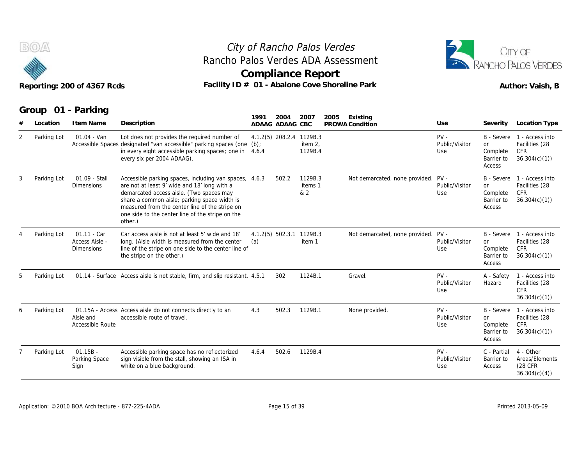



|                |             | Reporting: 200 of 4367 Rcds                          | Facility ID # 01 - Abalone Cove Shoreline Park                                                                                                                                                                                                                                                                      |       |                         | <b>Compliance Report</b>                       |      |                                     |                                 |                                                             | Author: Vaish, B                                                           |
|----------------|-------------|------------------------------------------------------|---------------------------------------------------------------------------------------------------------------------------------------------------------------------------------------------------------------------------------------------------------------------------------------------------------------------|-------|-------------------------|------------------------------------------------|------|-------------------------------------|---------------------------------|-------------------------------------------------------------|----------------------------------------------------------------------------|
|                | Location    | Group 01 - Parking<br>I tem Name                     | Description                                                                                                                                                                                                                                                                                                         | 1991  | 2004<br>ADAAG ADAAG CBC | 2007                                           | 2005 | Existing<br>PROWA Condition         | Use                             | Severity                                                    | Location Type                                                              |
| $\overline{2}$ | Parking Lot | $01.04 - Van$                                        | Lot does not provides the required number of<br>Accessible Spaces designated "van accessible" parking spaces (one (b);<br>in every eight accessible parking spaces; one in 4.6.4<br>every six per 2004 ADAAG).                                                                                                      |       |                         | 4.1.2(5) 208.2.4 1129B.3<br>item 2,<br>1129B.4 |      |                                     | $PV -$<br>Public/Visitor<br>Use | B - Severe<br><b>or</b><br>Complete<br>Barrier to<br>Access | 1 - Access into<br>Facilities (28<br>CFR<br>36.304(c)(1)                   |
|                | Parking Lot | 01.09 - Stall<br><b>Dimensions</b>                   | Accessible parking spaces, including van spaces, 4.6.3<br>are not at least 9' wide and 18' long with a<br>demarcated access aisle. (Two spaces may<br>share a common aisle; parking space width is<br>measured from the center line of the stripe on<br>one side to the center line of the stripe on the<br>other.) |       | 502.2                   | 1129B.3<br>items 1<br>& 2                      |      | Not demarcated, none provided. PV - | Public/Visitor<br>Use           | <b>or</b><br>Complete<br>Barrier to<br>Access               | B - Severe 1 - Access into<br>Facilities (28<br><b>CFR</b><br>36.304(c)(1) |
|                | Parking Lot | $01.11 - Car$<br>Access Aisle -<br><b>Dimensions</b> | Car access aisle is not at least 5' wide and 18'<br>long. (Aisle width is measured from the center<br>line of the stripe on one side to the center line of<br>the stripe on the other.)                                                                                                                             | (a)   |                         | 4.1.2(5) 502.3.1 1129B.3<br>item 1             |      | Not demarcated, none provided. PV - | Public/Visitor<br>Use           | or<br>Complete<br>Barrier to<br>Access                      | B - Severe 1 - Access into<br>Facilities (28<br><b>CFR</b><br>36.304(c)(1) |
|                | Parking Lot |                                                      | 01.14 - Surface Access aisle is not stable, firm, and slip resistant. 4.5.1                                                                                                                                                                                                                                         |       | 302                     | 1124B.1                                        |      | Gravel.                             | $PV -$<br>Public/Visitor<br>Use | A - Safety<br>Hazard                                        | 1 - Access into<br>Facilities (28<br><b>CFR</b><br>36.304(c)(1)            |
| 6              | Parking Lot | Aisle and<br><b>Accessible Route</b>                 | 01.15A - Access Access aisle do not connects directly to an<br>accessible route of travel.                                                                                                                                                                                                                          | 4.3   | 502.3                   | 1129B.1                                        |      | None provided.                      | $PV -$<br>Public/Visitor<br>Use | B - Severe<br>or<br>Complete<br>Barrier to<br>Access        | 1 - Access into<br>Facilities (28<br>CFR<br>36.304(c)(1)                   |
|                | Parking Lot | $01.15B -$<br>Parking Space<br>Sign                  | Accessible parking space has no reflectorized<br>sign visible from the stall, showing an ISA in<br>white on a blue background.                                                                                                                                                                                      | 4.6.4 | 502.6                   | 1129B.4                                        |      |                                     | $PV -$<br>Public/Visitor<br>Use | C - Partial<br>Barrier to<br>Access                         | 4 - Other<br>Areas/Elements<br>(28 CFR<br>36.304(c)(4)                     |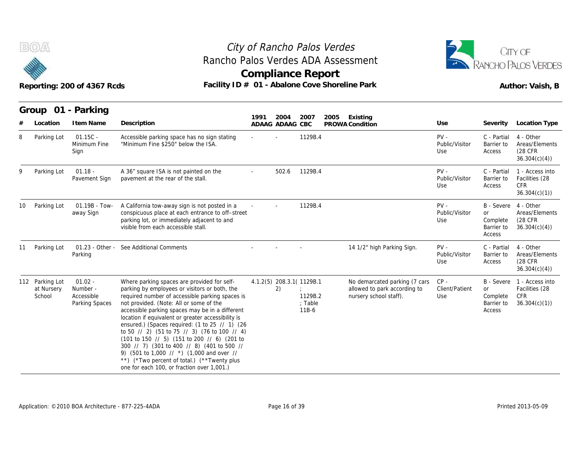



| B(0)                                    | Reporting: 200 of 4367 Rcds                           |                                                                                                                                                                                                                                                                                                                                                                                                                                                                                                                                                                                                                                              |      | <b>Compliance Report</b>       | City of Rancho Palos Verdes<br>Rancho Palos Verdes ADA Assessment<br>Facility ID # 01 - Abalone Cove Shoreline Park | CITY OF<br>RANCHO PALOS VERDES<br>Author: Vaish, B                                      |                                 |                                                                       |                                                                 |  |
|-----------------------------------------|-------------------------------------------------------|----------------------------------------------------------------------------------------------------------------------------------------------------------------------------------------------------------------------------------------------------------------------------------------------------------------------------------------------------------------------------------------------------------------------------------------------------------------------------------------------------------------------------------------------------------------------------------------------------------------------------------------------|------|--------------------------------|---------------------------------------------------------------------------------------------------------------------|-----------------------------------------------------------------------------------------|---------------------------------|-----------------------------------------------------------------------|-----------------------------------------------------------------|--|
|                                         | Group 01 - Parking                                    |                                                                                                                                                                                                                                                                                                                                                                                                                                                                                                                                                                                                                                              |      |                                |                                                                                                                     |                                                                                         |                                 |                                                                       |                                                                 |  |
| Location<br>#                           | I tem Name                                            | Description                                                                                                                                                                                                                                                                                                                                                                                                                                                                                                                                                                                                                                  | 1991 | 2004<br>ADAAG ADAAG CBC        | 2007                                                                                                                | 2005<br>Existing<br>PROWA Condition                                                     | Use                             | Severity                                                              | Location Type                                                   |  |
| 8<br>Parking Lot                        | $01.15C -$<br>Minimum Fine<br>Sign                    | Accessible parking space has no sign stating<br>"Minimum Fine \$250" below the ISA.                                                                                                                                                                                                                                                                                                                                                                                                                                                                                                                                                          |      |                                | 1129B.4                                                                                                             |                                                                                         | $PV -$<br>Public/Visitor<br>Use | C - Partial<br>Barrier to<br>Access                                   | 4 - Other<br>Areas/Elements<br>(28 CFR)<br>36.304(c)(4)         |  |
| Parking Lot<br>9                        | $01.18 -$<br>Pavement Sign                            | A 36" square ISA is not painted on the<br>pavement at the rear of the stall.                                                                                                                                                                                                                                                                                                                                                                                                                                                                                                                                                                 |      | 502.6                          | 1129B.4                                                                                                             |                                                                                         | $PV -$<br>Public/Visitor<br>Use | C - Partial<br>Barrier to<br>Access                                   | 1 - Access into<br>Facilities (28<br><b>CFR</b><br>36.304(c)(1) |  |
| Parking Lot<br>10                       | 01.19B - Tow-<br>away Sign                            | A California tow-away sign is not posted in a<br>conspicuous place at each entrance to off-street<br>parking lot, or immediately adjacent to and<br>visible from each accessible stall.                                                                                                                                                                                                                                                                                                                                                                                                                                                      |      |                                | 1129B.4                                                                                                             |                                                                                         | $PV -$<br>Public/Visitor<br>Use | B - Severe 4 - Other<br><b>or</b><br>Complete<br>Barrier to<br>Access | Areas/Elements<br>(28 CFR<br>36.304(c)(4)                       |  |
| Parking Lot<br>11                       | Parking                                               | 01.23 - Other - See Additional Comments                                                                                                                                                                                                                                                                                                                                                                                                                                                                                                                                                                                                      |      |                                |                                                                                                                     | 14 1/2" high Parking Sign.                                                              | $PV -$<br>Public/Visitor<br>Use | C - Partial<br>Barrier to<br>Access                                   | 4 - Other<br>Areas/Elements<br>(28 CFR)<br>36.304(c)(4)         |  |
| 112 Parking Lot<br>at Nursery<br>School | $01.02 -$<br>Number -<br>Accessible<br>Parking Spaces | Where parking spaces are provided for self-<br>parking by employees or visitors or both, the<br>required number of accessible parking spaces is<br>not provided. (Note: All or some of the<br>accessible parking spaces may be in a different<br>location if equivalent or greater accessibility is<br>ensured.) (Spaces required: (1 to 25 // 1) (26<br>to 50 // 2) (51 to 75 // 3) (76 to 100 // 4)<br>(101 to 150 // 5) (151 to 200 // 6) (201 to<br>300 // 7) (301 to 400 // 8) (401 to 500 //<br>9) (501 to 1,000 // *) (1,000 and over //<br>**) (*Two percent of total.) (**Twenty plus<br>one for each 100, or fraction over 1,001.) |      | 4.1.2(5) 208.3.1(1129B.1<br>2) | 1129B.2<br>; Table<br>11B-6                                                                                         | No demarcated parking (7 cars<br>allowed to park according to<br>nursery school staff). | $CP -$<br>Client/Patient<br>Use | B - Severe<br><b>or</b><br>Complete<br>Barrier to<br>Access           | 1 - Access into<br>Facilities (28<br>CFR<br>36.304(c)(1)        |  |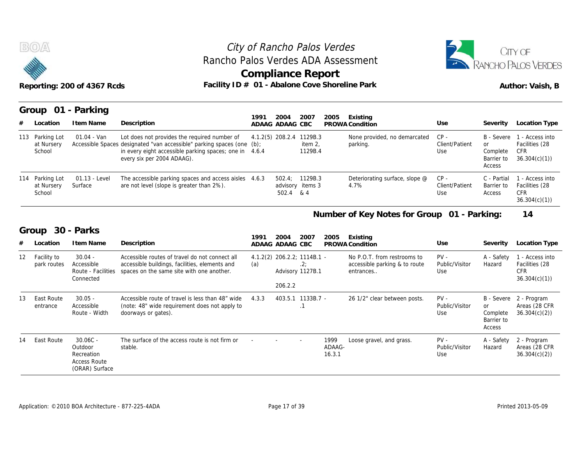



| <b>BOA</b>                                   | Reporting: 200 of 4367 Rcds | Rancho Palos Verdes ADA Assessment<br>Facility ID # 01 - Abalone Cove Shoreline Park                                                                                                                           | City of Rancho Palos Verdes<br><b>Compliance Report</b> |                               |                                    |      |                                                              |                                 |                                                      | CITY OF<br><b>RANCHO PALOS VERDES</b><br>Author: Vaish, B       |
|----------------------------------------------|-----------------------------|----------------------------------------------------------------------------------------------------------------------------------------------------------------------------------------------------------------|---------------------------------------------------------|-------------------------------|------------------------------------|------|--------------------------------------------------------------|---------------------------------|------------------------------------------------------|-----------------------------------------------------------------|
| Group<br>Location<br>#                       | 01 - Parking<br>I tem Name  | Description                                                                                                                                                                                                    | 1991                                                    | 2004<br>ADAAG ADAAG CBC       | 2007                               | 2005 | Existing<br>PROWA Condition                                  | Use                             | Severity                                             | Location Type                                                   |
| 113 Parking Lot<br>at Nursery<br>School      | 01.04 - Van                 | Lot does not provides the required number of<br>Accessible Spaces designated "van accessible" parking spaces (one (b);<br>in every eight accessible parking spaces; one in 4.6.4<br>every six per 2004 ADAAG). |                                                         | 4.1.2(5) 208.2.4 1129B.3      | item 2,<br>1129B.4                 |      | None provided, no demarcated<br>parking.                     | $CP -$<br>Client/Patient<br>Use | B - Severe<br>or<br>Complete<br>Barrier to<br>Access | 1 - Access into<br>Facilities (28<br><b>CFR</b><br>36.304(c)(1) |
| 114 Parking Lot<br>at Nursery<br>School      | 01.13 - Level<br>Surface    | The accessible parking spaces and access aisles 4.6.3<br>are not level (slope is greater than 2%).                                                                                                             |                                                         | $502.4 \& 4$                  | 502.4; 1129B.3<br>advisory items 3 |      | Deteriorating surface, slope @<br>4.7%                       | $CP -$<br>Client/Patient<br>Use | C - Partial<br>Barrier to<br>Access                  | 1 - Access into<br>Facilities (28<br><b>CFR</b><br>36.304(c)(1) |
|                                              |                             |                                                                                                                                                                                                                |                                                         |                               |                                    |      | Number of Key Notes for Group 01 - Parking:                  |                                 |                                                      | 14                                                              |
| Group 30 - Parks<br>Location<br>#            | I tem Name                  | Description                                                                                                                                                                                                    | 1991                                                    | 2004<br>ADAAG ADAAG CBC       | 2007                               | 2005 | Existing<br>PROWA Condition                                  | Use                             | Severity                                             | Location Type                                                   |
| Facility to<br>12.<br>nark routes Accessible | $30.04 -$                   | Accessible routes of travel do not connect all<br>accessible buildings facilities elements and                                                                                                                 | (a)                                                     | $4.1.2(2)$ 206.2.2; 1114B.1 - |                                    |      | No P.O.T. from restrooms to<br>accessible parking & to route | $PV -$<br>Public/Visitor        | A - Safety<br>Hazard                                 | 1 - Access into<br><b>Eacilities</b> (28                        |

#### **Number of Key Notes for Group 01 - Parking: 14**

#### **Group 30 - Parks**

|                 |                                         |                                                                              |                                                                                                                                               |       |                                        |                                    |                          |                                                                           |                                 | Access                                               |                                                                 |
|-----------------|-----------------------------------------|------------------------------------------------------------------------------|-----------------------------------------------------------------------------------------------------------------------------------------------|-------|----------------------------------------|------------------------------------|--------------------------|---------------------------------------------------------------------------|---------------------------------|------------------------------------------------------|-----------------------------------------------------------------|
|                 | 114 Parking Lot<br>at Nursery<br>School | 01.13 - Level<br>Surface                                                     | The accessible parking spaces and access aisles 4.6.3<br>are not level (slope is greater than 2%).                                            |       | 502.4<br>502.4                         | 1129B.3<br>advisory items 3<br>& 4 |                          | Deteriorating surface, slope @<br>4.7%                                    | $CP -$<br>Client/Patient<br>Use | C - Partial<br>Barrier to<br>Access                  | - Access into<br>Facilities (28<br><b>CFR</b><br>36.304(c)(1)   |
|                 |                                         |                                                                              |                                                                                                                                               |       |                                        |                                    |                          | Number of Key Notes for Group 01 - Parking:                               |                                 |                                                      | 14                                                              |
|                 | Group                                   | 30 - Parks                                                                   |                                                                                                                                               | 1991  | 2004                                   | 2007                               | 2005                     | Existing                                                                  |                                 |                                                      |                                                                 |
| #               | Location                                | I tem Name                                                                   | Description                                                                                                                                   |       | ADAAG ADAAG CBC                        |                                    |                          | PROWA Condition                                                           | Use                             | Severity                                             | Location Type                                                   |
| 12 <sup>2</sup> | Facility to<br>park routes              | $30.04 -$<br>Accessible<br>Route - Facilities<br>Connected                   | Accessible routes of travel do not connect all<br>accessible buildings, facilities, elements and<br>spaces on the same site with one another. | (a)   | 4.1.2(2) 206.2.2; 1114B.1 -<br>206.2.2 | .2:<br>Advisory 1127B.1            |                          | No P.O.T. from restrooms to<br>accessible parking & to route<br>entrances | $PV -$<br>Public/Visitor<br>Use | A - Safety<br>Hazard                                 | 1 - Access into<br>Facilities (28<br><b>CFR</b><br>36.304(c)(1) |
| 13              | East Route<br>entrance                  | $30.05 -$<br>Accessible<br>Route - Width                                     | Accessible route of travel is less than 48" wide<br>(note: 48" wide requirement does not apply to<br>doorways or gates).                      | 4.3.3 |                                        | 403.5.1 1133B.7 -                  |                          | 26 1/2" clear between posts.                                              | $PV -$<br>Public/Visitor<br>Use | B - Severe<br>or<br>Complete<br>Barrier to<br>Access | 2 - Program<br>Areas (28 CFR<br>36.304(c)(2)                    |
| 14              | East Route                              | $30.06C -$<br>Outdoor<br>Recreation<br><b>Access Route</b><br>(ORAR) Surface | The surface of the access route is not firm or<br>stable.                                                                                     |       |                                        |                                    | 1999<br>ADAAG-<br>16.3.1 | Loose gravel, and grass.                                                  | $PV -$<br>Public/Visitor<br>Use | A - Safety<br>Hazard                                 | 2 - Program<br>Areas (28 CFR<br>36.304(c)(2)                    |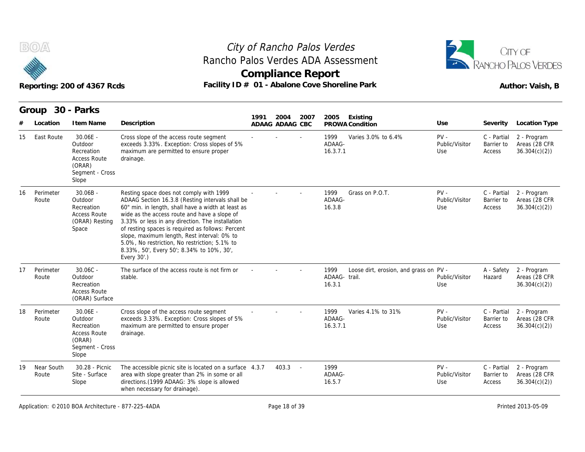



|    |                     | Reporting: 200 of 4367 Rcds                                                                    | Rancho Palos Verdes ADA Assessment<br>Facility ID # 01 - Abalone Cove Shoreline Park                                                                                                                                                                                                                                                                                                                                                                                   | <b>Compliance Report</b> |                 |               |                                 |                                        | RANCHO PALOS VERDES<br>Author: Vaish, B |                                     |                                              |
|----|---------------------|------------------------------------------------------------------------------------------------|------------------------------------------------------------------------------------------------------------------------------------------------------------------------------------------------------------------------------------------------------------------------------------------------------------------------------------------------------------------------------------------------------------------------------------------------------------------------|--------------------------|-----------------|---------------|---------------------------------|----------------------------------------|-----------------------------------------|-------------------------------------|----------------------------------------------|
|    | Group               | 30 - Parks                                                                                     |                                                                                                                                                                                                                                                                                                                                                                                                                                                                        | 1991                     | 2004            | 2007          |                                 |                                        |                                         |                                     |                                              |
|    | Location            | I tem Name                                                                                     | Description                                                                                                                                                                                                                                                                                                                                                                                                                                                            |                          | ADAAG ADAAG CBC |               | 2005                            | Existing<br>PROWA Condition            | Use                                     | Severity                            | Location Type                                |
| 15 | East Route          | 30.06E -<br>Outdoor<br>Recreation<br><b>Access Route</b><br>(ORAR)<br>Segment - Cross<br>Slope | Cross slope of the access route segment<br>exceeds 3.33%. Exception: Cross slopes of 5%<br>maximum are permitted to ensure proper<br>drainage.                                                                                                                                                                                                                                                                                                                         |                          |                 |               | 1999<br>ADAAG-<br>16.3.7.1      | Varies 3.0% to 6.4%                    | $PV -$<br>Public/Visitor<br>Use         | C - Partial<br>Barrier to<br>Access | 2 - Program<br>Areas (28 CFR<br>36.304(c)(2) |
| 16 | Perimeter<br>Route  | $30.06B -$<br>Outdoor<br>Recreation<br><b>Access Route</b><br>(ORAR) Resting<br>Space          | Resting space does not comply with 1999<br>ADAAG Section 16.3.8 (Resting intervals shall be<br>60" min. in length, shall have a width at least as<br>wide as the access route and have a slope of<br>3.33% or less in any direction. The installation<br>of resting spaces is required as follows: Percent<br>slope, maximum length, Rest interval: 0% to<br>5.0%, No restriction, No restriction; 5.1% to<br>8.33%, 50', Every 50'; 8.34% to 10%, 30',<br>Every 30'.) |                          |                 |               | 1999<br>ADAAG-<br>16.3.8        | Grass on P.O.T.                        | $PV -$<br>Public/Visitor<br>Use         | C - Partial<br>Barrier to<br>Access | 2 - Program<br>Areas (28 CFR<br>36.304(c)(2) |
| 17 | Perimeter<br>Route  | $30.06C -$<br>Outdoor<br>Recreation<br><b>Access Route</b><br>(ORAR) Surface                   | The surface of the access route is not firm or<br>stable.                                                                                                                                                                                                                                                                                                                                                                                                              |                          |                 |               | 1999<br>ADAAG- trail.<br>16.3.1 | Loose dirt, erosion, and grass on PV - | Public/Visitor<br>Use                   | A - Safety<br>Hazard                | 2 - Program<br>Areas (28 CFR<br>36.304(c)(2) |
| 18 | Perimeter<br>Route  | 30.06E -<br>Outdoor<br>Recreation<br><b>Access Route</b><br>(ORAR)<br>Segment - Cross<br>Slope | Cross slope of the access route segment<br>exceeds 3.33%. Exception: Cross slopes of 5%<br>maximum are permitted to ensure proper<br>drainage.                                                                                                                                                                                                                                                                                                                         |                          |                 |               | 1999<br>ADAAG-<br>16.3.7.1      | Varies 4.1% to 31%                     | $PV -$<br>Public/Visitor<br>Use         | C - Partial<br>Barrier to<br>Access | 2 - Program<br>Areas (28 CFR<br>36.304(c)(2) |
| 19 | Near South<br>Route | 30.28 - Picnic<br>Site - Surface<br>Slope                                                      | The accessible picnic site is located on a surface 4.3.7<br>area with slope greater than 2% in some or all<br>directions. (1999 ADAAG: 3% slope is allowed<br>when necessary for drainage).                                                                                                                                                                                                                                                                            |                          | 403.3           | $\sim$ $\sim$ | 1999<br>ADAAG-<br>16.5.7        |                                        | $PV -$<br>Public/Visitor<br>Use         | C - Partial<br>Barrier to<br>Access | 2 - Program<br>Areas (28 CFR<br>36.304(c)(2) |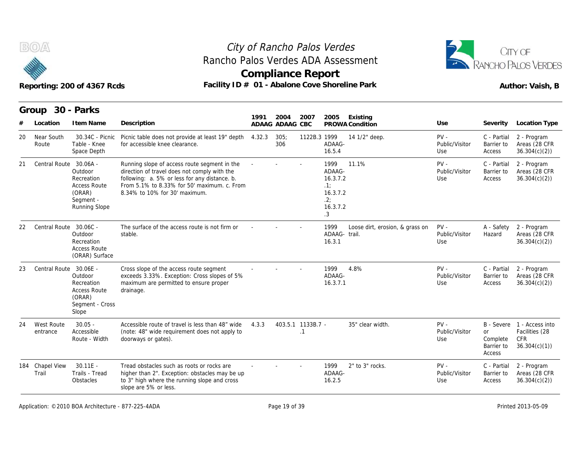



|    |                                 | Reporting: 200 of 4367 Rcds                                                          | Rancho Palos Verdes ADA Assessment<br>Facility ID # 01 - Abalone Cove Shoreline Park                                                                                                                                          | <b>Compliance Report</b> |                                |                                |                                                                        |                                  |                                 |                                                 | RANCHO PALOS VERDES<br>Author: Vaish, B                                    |
|----|---------------------------------|--------------------------------------------------------------------------------------|-------------------------------------------------------------------------------------------------------------------------------------------------------------------------------------------------------------------------------|--------------------------|--------------------------------|--------------------------------|------------------------------------------------------------------------|----------------------------------|---------------------------------|-------------------------------------------------|----------------------------------------------------------------------------|
|    | Group                           | 30 - Parks<br>I tem Name                                                             | Description                                                                                                                                                                                                                   | 1991                     | 2004                           | 2007                           | 2005                                                                   | Existing                         | Use                             |                                                 |                                                                            |
| 20 | Location<br>Near South<br>Route | 30.34C - Picnic<br>Table - Knee<br>Space Depth                                       | Picnic table does not provide at least 19" depth 4.32.3<br>for accessible knee clearance.                                                                                                                                     |                          | ADAAG ADAAG CBC<br>305:<br>306 | 1122B.3 1999                   | ADAAG-<br>16.5.4                                                       | PROWA Condition<br>14 1/2" deep. | $PV -$<br>Public/Visitor<br>Use | Severity<br>C - Partial<br>Barrier to<br>Access | Location Type<br>2 - Program<br>Areas (28 CFR<br>36.304(c)(2)              |
| 21 | Central Route 30.06A -          | Outdoor<br>Recreation<br><b>Access Route</b><br>(ORAR)<br>Segment -<br>Running Slope | Running slope of access route segment in the<br>direction of travel does not comply with the<br>following: a. 5% or less for any distance. b.<br>From 5.1% to 8.33% for 50' maximum. c. From<br>8.34% to 10% for 30' maximum. |                          |                                |                                | 1999<br>ADAAG-<br>16.3.7.2<br>.1:<br>16.3.7.2<br>.2:<br>16.3.7.2<br>.3 | 11.1%                            | $PV -$<br>Public/Visitor<br>Use | C - Partial<br>Barrier to<br>Access             | 2 - Program<br>Areas (28 CFR<br>36.304(c)(2)                               |
| 22 | Central Route 30.06C -          | Outdoor<br>Recreation<br><b>Access Route</b><br>(ORAR) Surface                       | The surface of the access route is not firm or<br>stable.                                                                                                                                                                     |                          |                                |                                | 1999<br>ADAAG- trail.<br>16.3.1                                        | Loose dirt, erosion, & grass on  | $PV -$<br>Public/Visitor<br>Use | A - Safety<br>Hazard                            | 2 - Program<br>Areas (28 CFR<br>36.304(c)(2)                               |
| 23 | Central Route 30.06E -          | Outdoor<br>Recreation<br><b>Access Route</b><br>(ORAR)<br>Segment - Cross<br>Slope   | Cross slope of the access route segment<br>exceeds 3.33%. Exception: Cross slopes of 5%<br>maximum are permitted to ensure proper<br>drainage.                                                                                |                          |                                |                                | 1999<br>ADAAG-<br>16.3.7.1                                             | 4.8%                             | $PV -$<br>Public/Visitor<br>Use | C - Partial<br>Barrier to<br>Access             | 2 - Program<br>Areas (28 CFR<br>36.304(c)(2)                               |
| 24 | West Route<br>entrance          | $30.05 -$<br>Accessible<br>Route - Width                                             | Accessible route of travel is less than 48" wide<br>(note: 48" wide requirement does not apply to<br>doorways or gates).                                                                                                      | 4.3.3                    |                                | 403.5.1 1133B.7 -<br>$\cdot$ 1 |                                                                        | 35" clear width.                 | $PV -$<br>Public/Visitor<br>Use | or<br>Complete<br>Barrier to<br>Access          | B - Severe 1 - Access into<br>Facilities (28<br><b>CFR</b><br>36.304(c)(1) |
|    | 184 Chapel View<br>Trail        | $30.11E -$<br>Trails - Tread<br>Obstacles                                            | Tread obstacles such as roots or rocks are<br>higher than 2". Exception: obstacles may be up<br>to 3" high where the running slope and cross<br>slope are 5% or less.                                                         |                          |                                |                                | 1999<br>ADAAG-<br>16.2.5                                               | 2" to 3" rocks.                  | $PV -$<br>Public/Visitor<br>Use | C - Partial<br>Barrier to<br>Access             | 2 - Program<br>Areas (28 CFR<br>36.304(c)(2)                               |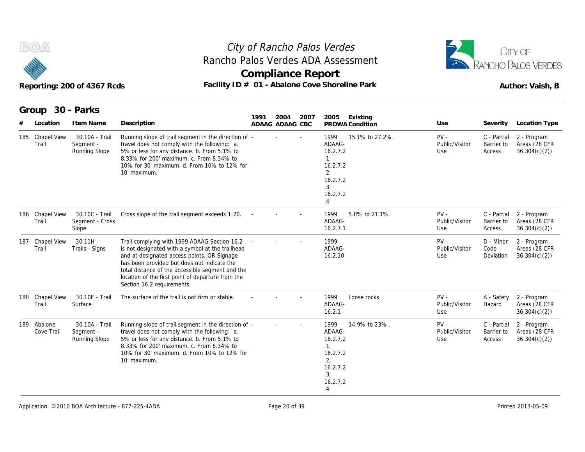



|       |                           | Reporting: 200 of 4367 Rcds                  | Facility ID # 01 - Abalone Cove Shoreline Park                                                                                                                                                                                                                                                                                        |      |                         | <b>Compliance Report</b> |                                                                                                |                             |                                 |                                     | Author: Vaish, B                             |
|-------|---------------------------|----------------------------------------------|---------------------------------------------------------------------------------------------------------------------------------------------------------------------------------------------------------------------------------------------------------------------------------------------------------------------------------------|------|-------------------------|--------------------------|------------------------------------------------------------------------------------------------|-----------------------------|---------------------------------|-------------------------------------|----------------------------------------------|
| Group | Location                  | 30 - Parks<br>I tem Name                     | Description                                                                                                                                                                                                                                                                                                                           | 1991 | 2004<br>ADAAG ADAAG CBC | 2007                     | 2005                                                                                           | Existing<br>PROWA Condition | Use                             | Severity                            | Location Type                                |
|       | 185 Chapel View<br>Trail  | 30.10A - Trail<br>Segment -<br>Running Slope | Running slope of trail segment in the direction of -<br>travel does not comply with the following: a.<br>5% or less for any distance. b. From 5.1% to<br>8.33% for 200' maximum. c. From 8.34% to<br>10% for 30' maximum. d. From 10% to 12% for<br>10' maximum.                                                                      |      |                         |                          | 1999<br>ADAAG-<br>16.2.7.2<br>.1:<br>16.2.7.2<br>.2:<br>16.2.7.2<br>.3:<br>16.2.7.2<br>.4      | 15.1% to 27.2%.             | $PV -$<br>Public/Visitor<br>Use | C - Partial<br>Barrier to<br>Access | 2 - Program<br>Areas (28 CFR<br>36.304(c)(2) |
|       | 186 Chapel View<br>Trail  | 30.10C - Trail<br>Segment - Cross<br>Slope   | Cross slope of the trail segment exceeds 1:20.                                                                                                                                                                                                                                                                                        |      |                         |                          | 1999<br>ADAAG-<br>16.2.7.1                                                                     | 5.8% to 21.1%               | $PV -$<br>Public/Visitor<br>Use | C - Partial<br>Barrier to<br>Access | 2 - Program<br>Areas (28 CFR<br>36.304(c)(2) |
|       | 187 Chapel View<br>Trail  | $30.11H -$<br>Trails - Signs                 | Trail complying with 1999 ADAAG Section 16.2<br>is not designated with a symbol at the trailhead<br>and at designated access points. OR Signage<br>has been provided but does not indicate the<br>total distance of the accessible segment and the<br>location of the first point of departure from the<br>Section 16.2 requirements. |      |                         |                          | 1999<br>ADAAG-<br>16.2.10                                                                      |                             | $PV -$<br>Public/Visitor<br>Use | D - Minor<br>Code<br>Deviation      | 2 - Program<br>Areas (28 CFR<br>36.304(c)(2) |
|       | 188 Chapel View<br>Trail  | 30.10E - Trail<br>Surface                    | The surface of the trail is not firm or stable.                                                                                                                                                                                                                                                                                       |      |                         |                          | 1999<br>ADAAG-<br>16.2.1                                                                       | Loose rocks.                | $PV -$<br>Public/Visitor<br>Use | A - Safety<br>Hazard                | 2 - Program<br>Areas (28 CFR<br>36.304(c)(2) |
|       | 189 Abalone<br>Cove Trail | 30.10A - Trail<br>Segment -<br>Running Slope | Running slope of trail segment in the direction of -<br>travel does not comply with the following: a.<br>5% or less for any distance. b. From 5.1% to<br>8.33% for 200' maximum. c. From 8.34% to<br>10% for 30' maximum. d. From 10% to 12% for<br>10' maximum.                                                                      |      |                         |                          | 1999<br>ADAAG-<br>16.2.7.2<br>.1:<br>16.2.7.2<br>.2:<br>16.2.7.2<br>.3;<br>16.2.7.2<br>$\cdot$ | 14.9% to 23%                | $PV -$<br>Public/Visitor<br>Use | C - Partial<br>Barrier to<br>Access | 2 - Program<br>Areas (28 CFR<br>36.304(c)(2) |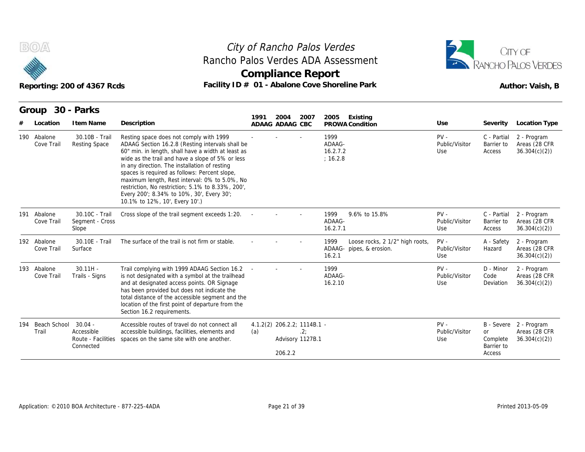



| B(0)/4<br>Reporting: 200 of 4367 Rcds<br>30 - Parks<br>Group |                                                            |                                                                                                                                                                                                                                                                                                                                                                                                                                                                                              | City of Rancho Palos Verdes<br>Rancho Palos Verdes ADA Assessment<br><b>Compliance Report</b><br>Facility ID # 01 - Abalone Cove Shoreline Park |                                                            |      |                                                                               |                                 |                                               |                                                         |  |
|--------------------------------------------------------------|------------------------------------------------------------|----------------------------------------------------------------------------------------------------------------------------------------------------------------------------------------------------------------------------------------------------------------------------------------------------------------------------------------------------------------------------------------------------------------------------------------------------------------------------------------------|-------------------------------------------------------------------------------------------------------------------------------------------------|------------------------------------------------------------|------|-------------------------------------------------------------------------------|---------------------------------|-----------------------------------------------|---------------------------------------------------------|--|
| Location                                                     | I tem Name                                                 | Description                                                                                                                                                                                                                                                                                                                                                                                                                                                                                  | 1991                                                                                                                                            | 2004<br>ADAAG ADAAG CBC                                    | 2007 | 2005<br>Existing<br>PROWA Condition                                           | Use                             | Severity                                      | Location Type                                           |  |
| 190 Abalone<br>Cove Trail                                    | 30.10B - Trail<br><b>Resting Space</b>                     | Resting space does not comply with 1999<br>ADAAG Section 16.2.8 (Resting intervals shall be<br>60" min. in length, shall have a width at least as<br>wide as the trail and have a slope of 5% or less<br>in any direction. The installation of resting<br>spaces is required as follows: Percent slope,<br>maximum length, Rest interval: 0% to 5.0%, No<br>restriction, No restriction; 5.1% to 8.33%, 200',<br>Every 200'; 8.34% to 10%, 30', Every 30';<br>10.1% to 12%, 10', Every 10'.) |                                                                                                                                                 |                                                            |      | 1999<br>ADAAG-<br>16.2.7.2<br>: 16.2.8                                        | $PV -$<br>Public/Visitor<br>Use | C - Partial<br>Barrier to<br>Access           | 2 - Program<br>Areas (28 CFR<br>36.304(c)(2)            |  |
| 191 Abalone<br>Cove Trail                                    | 30.10C - Trail<br>Segment - Cross<br>Slope                 | Cross slope of the trail segment exceeds 1:20.                                                                                                                                                                                                                                                                                                                                                                                                                                               |                                                                                                                                                 |                                                            |      | 1999<br>9.6% to 15.8%<br>ADAAG-<br>16.2.7.1                                   | $PV -$<br>Public/Visitor<br>Use | C - Partial<br>Barrier to<br>Access           | 2 - Program<br>Areas (28 CFR<br>36.304(c)(2)            |  |
| 192 Abalone<br>Cove Trail                                    | 30.10E - Trail<br>Surface                                  | The surface of the trail is not firm or stable.                                                                                                                                                                                                                                                                                                                                                                                                                                              |                                                                                                                                                 |                                                            |      | 1999<br>Loose rocks, 2 1/2" high roots,<br>ADAAG- pipes, & erosion.<br>16.2.1 | $PV -$<br>Public/Visitor<br>Use | A - Safety<br>Hazard                          | 2 - Program<br>Areas (28 CFR<br>36.304(c)(2)            |  |
| 193 Abalone<br>Cove Trail                                    | $30.11H -$<br>Trails - Signs                               | Trail complying with 1999 ADAAG Section 16.2<br>is not designated with a symbol at the trailhead<br>and at designated access points. OR Signage<br>has been provided but does not indicate the<br>total distance of the accessible segment and the<br>location of the first point of departure from the<br>Section 16.2 requirements.                                                                                                                                                        |                                                                                                                                                 |                                                            |      | 1999<br>ADAAG-<br>16.2.10                                                     | $PV -$<br>Public/Visitor<br>Use | D - Minor<br>Code<br>Deviation                | 2 - Program<br>Areas (28 CFR<br>36.304(c)(2)            |  |
| 194 Beach School<br>Trail                                    | $30.04 -$<br>Accessible<br>Route - Facilities<br>Connected | Accessible routes of travel do not connect all<br>accessible buildings, facilities, elements and<br>spaces on the same site with one another.                                                                                                                                                                                                                                                                                                                                                | (a)                                                                                                                                             | 4.1.2(2) 206.2.2; 1114B.1 -<br>Advisory 1127B.1<br>206.2.2 | .2:  |                                                                               | $PV -$<br>Public/Visitor<br>Use | <b>or</b><br>Complete<br>Barrier to<br>Access | B - Severe 2 - Program<br>Areas (28 CFR<br>36.304(c)(2) |  |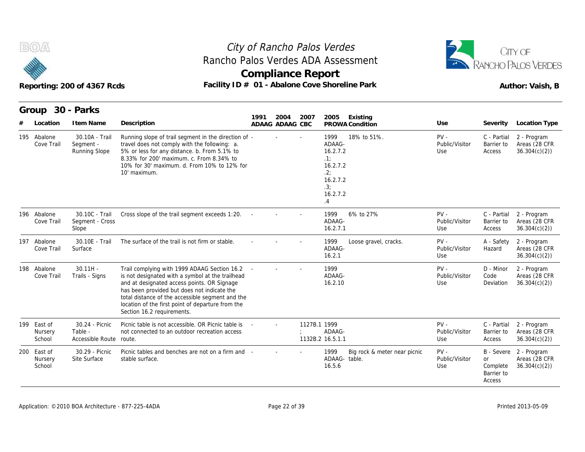



|     |                                  | Reporting: 200 of 4367 Rcds                          | Facility ID # 01 - Abalone Cove Shoreline Park                                                                                                                                                                                                                                                                                        |      |                         | <b>Compliance Report</b> |                                                                                           |                              | RANCHO PALOS VERDES             | Author: Vaish, B                       |                                                         |
|-----|----------------------------------|------------------------------------------------------|---------------------------------------------------------------------------------------------------------------------------------------------------------------------------------------------------------------------------------------------------------------------------------------------------------------------------------------|------|-------------------------|--------------------------|-------------------------------------------------------------------------------------------|------------------------------|---------------------------------|----------------------------------------|---------------------------------------------------------|
|     | Group<br>Location                | 30 - Parks<br>I tem Name                             | Description                                                                                                                                                                                                                                                                                                                           | 1991 | 2004<br>ADAAG ADAAG CBC | 2007                     | 2005                                                                                      | Existing<br>PROWA Condition  | Use                             | Severity                               | Location Type                                           |
|     | 195 Abalone<br>Cove Trail        | 30.10A - Trail<br>Segment -<br>Running Slope         | Running slope of trail segment in the direction of -<br>travel does not comply with the following: a.<br>5% or less for any distance. b. From 5.1% to<br>8.33% for 200' maximum. c. From 8.34% to<br>10% for 30' maximum, d. From 10% to 12% for<br>10' maximum.                                                                      |      |                         |                          | 1999<br>ADAAG-<br>16.2.7.2<br>.1:<br>16.2.7.2<br>.2:<br>16.2.7.2<br>.3:<br>16.2.7.2<br>.4 | 18% to 51%.                  | $PV -$<br>Public/Visitor<br>Use | C - Partial<br>Barrier to<br>Access    | 2 - Program<br>Areas (28 CFR<br>36.304(c)(2)            |
|     | 196 Abalone<br>Cove Trail        | 30.10C - Trail<br>Segment - Cross<br>Slope           | Cross slope of the trail segment exceeds 1:20.                                                                                                                                                                                                                                                                                        |      |                         |                          | 1999<br>ADAAG-<br>16.2.7.1                                                                | 6% to 27%                    | $PV -$<br>Public/Visitor<br>Use | C - Partial<br>Barrier to<br>Access    | 2 - Program<br>Areas (28 CFR<br>36.304(c)(2)            |
|     | 197 Abalone<br>Cove Trail        | 30.10E - Trail<br>Surface                            | The surface of the trail is not firm or stable.                                                                                                                                                                                                                                                                                       |      |                         |                          | 1999<br>ADAAG-<br>16.2.1                                                                  | Loose gravel, cracks.        | $PV -$<br>Public/Visitor<br>Use | A - Safety<br>Hazard                   | 2 - Program<br>Areas (28 CFR<br>36.304(c)(2)            |
|     | 198 Abalone<br>Cove Trail        | $30.11H -$<br>Trails - Signs                         | Trail complying with 1999 ADAAG Section 16.2<br>is not designated with a symbol at the trailhead<br>and at designated access points. OR Signage<br>has been provided but does not indicate the<br>total distance of the accessible segment and the<br>location of the first point of departure from the<br>Section 16.2 requirements. |      |                         |                          | 1999<br>ADAAG-<br>16.2.10                                                                 |                              | $PV -$<br>Public/Visitor<br>Use | D - Minor<br>Code<br>Deviation         | 2 - Program<br>Areas (28 CFR<br>36.304(c)(2)            |
|     | 199 East of<br>Nursery<br>School | 30.24 - Picnic<br>Table -<br>Accessible Route route. | Picnic table is not accessible. OR Picnic table is<br>not connected to an outdoor recreation access                                                                                                                                                                                                                                   |      |                         | 1127B.1 1999             | ADAAG-<br>1132B.2 16.5.1.1                                                                |                              | $PV -$<br>Public/Visitor<br>Use | C - Partial<br>Barrier to<br>Access    | 2 - Program<br>Areas (28 CFR<br>36.304(c)(2)            |
| 200 | East of<br>Nursery<br>School     | 30.29 - Picnic<br>Site Surface                       | Picnic tables and benches are not on a firm and -<br>stable surface.                                                                                                                                                                                                                                                                  |      |                         |                          | 1999<br>ADAAG-table.<br>16.5.6                                                            | Big rock & meter near picnic | $PV -$<br>Public/Visitor<br>Use | or<br>Complete<br>Barrier to<br>Access | B - Severe 2 - Program<br>Areas (28 CFR<br>36.304(c)(2) |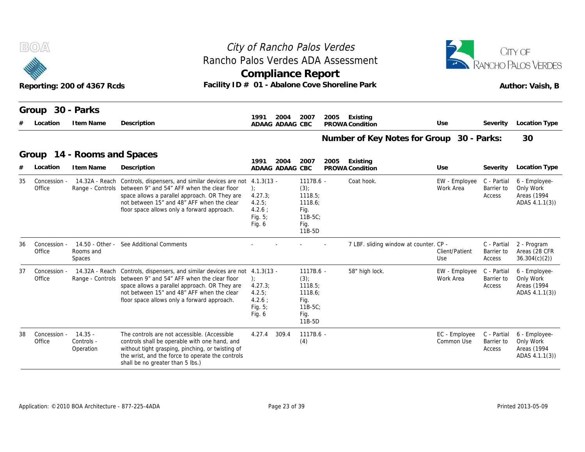| B(0) | Reporting: 200 of 4367 Rcds<br>30 - Parks<br>Group |                                      |                                                                                                                                                                                                                                                                                           | City of Rancho Palos Verdes<br>Rancho Palos Verdes ADA Assessment<br><b>Compliance Report</b><br>Facility ID # 01 - Abalone Cove Shoreline Park |                                                                                |      | CITY OF<br>RANCHO PALOS VERDES<br>Author: Vaish, B    |                             |                                     |                                                             |
|------|----------------------------------------------------|--------------------------------------|-------------------------------------------------------------------------------------------------------------------------------------------------------------------------------------------------------------------------------------------------------------------------------------------|-------------------------------------------------------------------------------------------------------------------------------------------------|--------------------------------------------------------------------------------|------|-------------------------------------------------------|-----------------------------|-------------------------------------|-------------------------------------------------------------|
|      | Location                                           | I tem Name                           | Description                                                                                                                                                                                                                                                                               | 2004<br>1991<br>ADAAG ADAAG CBC                                                                                                                 | 2007                                                                           | 2005 | Existing<br>PROWA Condition                           | Use                         | Severity                            | <b>Location Type</b>                                        |
|      | Group                                              | 14 - Rooms and Spaces                |                                                                                                                                                                                                                                                                                           | 1991<br>2004                                                                                                                                    | 2007                                                                           | 2005 | Number of Key Notes for Group 30 - Parks:<br>Existing |                             |                                     | 30                                                          |
|      | Location                                           | I tem Name                           | Description                                                                                                                                                                                                                                                                               | ADAAG ADAAG CBC                                                                                                                                 |                                                                                |      | PROWA Condition                                       | Use                         | Severity                            | Location Type                                               |
| 35   | Concession -<br>Office                             |                                      | 14.32A - Reach Controls, dispensers, and similar devices are not 4.1.3(13 -<br>Range - Controls between 9" and 54" AFF when the clear floor<br>space allows a parallel approach. OR They are<br>not between 15" and 48" AFF when the clear<br>floor space allows only a forward approach. | 4.27.3<br>4.2.5;<br>$4.2.6$ :<br>Fig. $5$ ;<br>Fig. 6                                                                                           | $1117B.6 -$<br>(3)<br>1118.5;<br>1118.6;<br>Fig.<br>$11B-5C$<br>Fig.<br>11B-5D |      | Coat hook.                                            | EW - Employee<br>Work Area  | C - Partial<br>Barrier to<br>Access | 6 - Employee-<br>Only Work<br>Areas (1994<br>ADAS 4.1.1(3)) |
| 36   | Concession -<br>Office                             | Rooms and<br><b>Spaces</b>           | 14.50 - Other - See Additional Comments                                                                                                                                                                                                                                                   |                                                                                                                                                 |                                                                                |      | 7 LBF. sliding window at counter. CP -                | Client/Patient<br>Use       | C - Partial<br>Barrier to<br>Access | 2 - Program<br>Areas (28 CFR<br>36.304(c)(2)                |
| 37   | Concession -<br>Office                             |                                      | 14.32A - Reach Controls, dispensers, and similar devices are not 4.1.3(13 -<br>Range - Controls between 9" and 54" AFF when the clear floor<br>space allows a parallel approach. OR They are<br>not between 15" and 48" AFF when the clear<br>floor space allows only a forward approach. | $\cdot$<br>4.27.3;<br>4.2.5;<br>$4.2.6$ :<br>Fig. $5$ ;<br>Fig. 6                                                                               | 1117B.6 -<br>(3)<br>1118.5;<br>1118.6;<br>Fig.<br>$11B-5C$<br>Fig.<br>11B-5D   |      | 58" high lock.                                        | EW - Employee<br>Work Area  | C - Partial<br>Barrier to<br>Access | 6 - Employee-<br>Only Work<br>Areas (1994<br>ADAS 4.1.1(3)) |
| 38   | Concession -<br>Office                             | $14.35 -$<br>Controls -<br>Operation | The controls are not accessible. (Accessible<br>controls shall be operable with one hand, and<br>without tight grasping, pinching, or twisting of<br>the wrist, and the force to operate the controls<br>shall be no greater than 5 lbs.)                                                 | 309.4<br>4.27.4                                                                                                                                 | 1117B.6 -<br>(4)                                                               |      |                                                       | EC - Employee<br>Common Use | C - Partial<br>Barrier to<br>Access | 6 - Employee-<br>Only Work<br>Areas (1994<br>ADAS 4.1.1(3)) |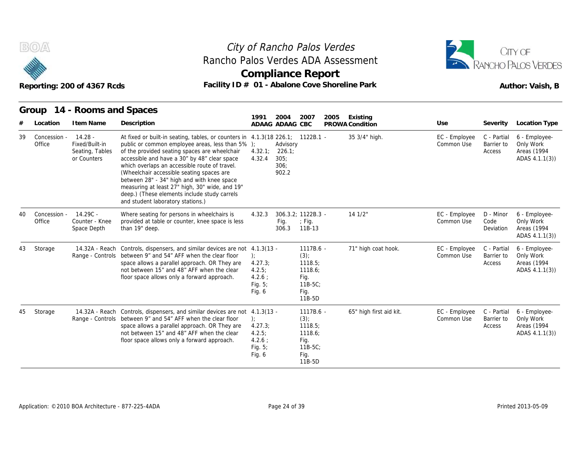



|    |                        | Reporting: 200 of 4367 Rcds                                   | Rancho Palos Verdes ADA Assessment<br>Facility ID # 01 - Abalone Cove Shoreline Park                                                                                                                                                                                                                                                                                                                                                                                                                                   |                                                               | <b>Compliance Report</b>                    |                                                                                    | City of Rancho Palos Verdes |                         |                             |                                     | CITY OF<br>RANCHO PALOS VERDES<br>Author: Vaish, B          |
|----|------------------------|---------------------------------------------------------------|------------------------------------------------------------------------------------------------------------------------------------------------------------------------------------------------------------------------------------------------------------------------------------------------------------------------------------------------------------------------------------------------------------------------------------------------------------------------------------------------------------------------|---------------------------------------------------------------|---------------------------------------------|------------------------------------------------------------------------------------|-----------------------------|-------------------------|-----------------------------|-------------------------------------|-------------------------------------------------------------|
|    | Group                  | 14 - Rooms and Spaces                                         |                                                                                                                                                                                                                                                                                                                                                                                                                                                                                                                        | 1991                                                          | 2004                                        | 2007                                                                               | 2005                        | Existing                |                             |                                     |                                                             |
|    | Location               | I tem Name                                                    | Description                                                                                                                                                                                                                                                                                                                                                                                                                                                                                                            |                                                               | ADAAG ADAAG CBC                             |                                                                                    |                             | PROWA Condition         | Use                         | Severity                            | Location Type                                               |
| 39 | Concession -<br>Office | $14.28 -$<br>Fixed/Built-in<br>Seating, Tables<br>or Counters | At fixed or built-in seating, tables, or counters in 4.1.3(18 226.1; 1122B.1 -<br>public or common employee areas, less than 5% );<br>of the provided seating spaces are wheelchair<br>accessible and have a 30" by 48" clear space<br>which overlaps an accessible route of travel.<br>(Wheelchair accessible seating spaces are<br>between 28" - 34" high and with knee space<br>measuring at least 27" high, 30" wide, and 19"<br>deep.) (These elements include study carrels<br>and student laboratory stations.) | 4.32.1<br>4.32.4                                              | Advisory<br>226.1;<br>305:<br>306:<br>902.2 |                                                                                    |                             | 35 3/4" high.           | EC - Employee<br>Common Use | C - Partial<br>Barrier to<br>Access | 6 - Employee-<br>Only Work<br>Areas (1994<br>ADAS 4.1.1(3)) |
| 40 | Concession -<br>Office | $14.29C -$<br>Counter - Knee<br>Space Depth                   | Where seating for persons in wheelchairs is<br>provided at table or counter, knee space is less<br>than 19" deep.                                                                                                                                                                                                                                                                                                                                                                                                      | 4.32.3                                                        | Fig.<br>306.3                               | 306.3.2: 1122B.3 -<br>$\therefore$ Fig.<br>11B-13                                  |                             | 141/2"                  | EC - Employee<br>Common Use | D - Minor<br>Code<br>Deviation      | 6 - Employee-<br>Only Work<br>Areas (1994<br>ADAS 4.1.1(3)) |
| 43 | Storage                |                                                               | 14.32A - Reach Controls, dispensers, and similar devices are not 4.1.3(13 -<br>Range - Controls between 9" and 54" AFF when the clear floor<br>space allows a parallel approach. OR They are<br>not between 15" and 48" AFF when the clear<br>floor space allows only a forward approach.                                                                                                                                                                                                                              | $\cdot$<br>4.27.3;<br>4.2.5;<br>4.2.6:<br>Fig. 5;<br>Fig. 6   |                                             | 1117B.6 -<br>$(3)$ ;<br>1118.5;<br>1118.6;<br>Fig.<br>11B-5C;<br>Fig.<br>11B-5D    |                             | 71" high coat hook.     | EC - Employee<br>Common Use | C - Partial<br>Barrier to<br>Access | 6 - Employee-<br>Only Work<br>Areas (1994<br>ADAS 4.1.1(3)) |
| 45 | Storage                |                                                               | 14.32A - Reach Controls, dispensers, and similar devices are not 4.1.3(13 -<br>Range - Controls between 9" and 54" AFF when the clear floor<br>space allows a parallel approach. OR They are<br>not between 15" and 48" AFF when the clear<br>floor space allows only a forward approach.                                                                                                                                                                                                                              | $\cdot$<br>4.27.3;<br>4.2.5<br>4.2.6:<br>Fig. $5$ ;<br>Fig. 6 |                                             | 1117B.6 -<br>$(3)$ ;<br>1118.5;<br>1118.6;<br>Fig.<br>$11B-5C$ ;<br>Fig.<br>11B-5D |                             | 65" high first aid kit. | EC - Employee<br>Common Use | C - Partial<br>Barrier to<br>Access | 6 - Employee-<br>Only Work<br>Areas (1994<br>ADAS 4.1.1(3)) |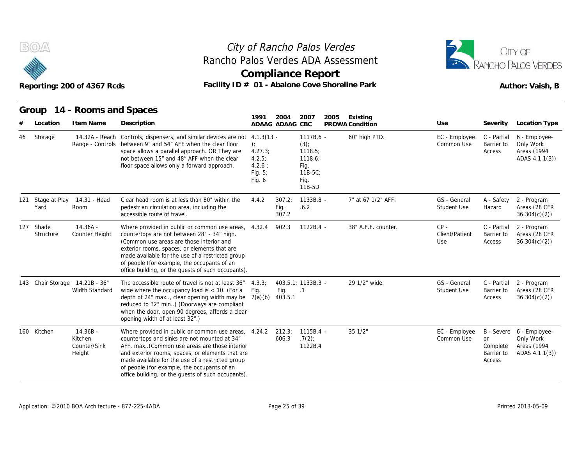



|     |                        | Reporting: 200 of 4367 Rcds                      | Facility ID # 01 - Abalone Cove Shoreline Park                                                                                                                                                                                                                                                                                                                    |                                                              |                         | <b>Compliance Report</b>                                                         |      |                     |                                    |                                        | Author: Vaish, B                                                       |
|-----|------------------------|--------------------------------------------------|-------------------------------------------------------------------------------------------------------------------------------------------------------------------------------------------------------------------------------------------------------------------------------------------------------------------------------------------------------------------|--------------------------------------------------------------|-------------------------|----------------------------------------------------------------------------------|------|---------------------|------------------------------------|----------------------------------------|------------------------------------------------------------------------|
|     |                        | Group 14 - Rooms and Spaces                      |                                                                                                                                                                                                                                                                                                                                                                   | 1991                                                         | 2004                    | 2007                                                                             | 2005 | Existing            |                                    |                                        |                                                                        |
|     | Location               | I tem Name                                       | Description                                                                                                                                                                                                                                                                                                                                                       |                                                              | ADAAG ADAAG CBC         |                                                                                  |      | PROWA Condition     | Use                                | Severity                               | Location Type                                                          |
| 46  | Storage                |                                                  | 14.32A - Reach Controls, dispensers, and similar devices are not 4.1.3(13 -<br>Range - Controls between 9" and 54" AFF when the clear floor<br>space allows a parallel approach. OR They are<br>not between 15" and 48" AFF when the clear<br>floor space allows only a forward approach.                                                                         | ):<br>4.27.3;<br>4.2.5:<br>$4.2.6$ ;<br>Fig. $5$ ;<br>Fig. 6 |                         | 1117B.6 -<br>$(3)$ ;<br>1118.5;<br>1118.6;<br>Fig.<br>$11B-5C$<br>Fig.<br>11B-5D |      | 60" high PTD.       | EC - Employee<br>Common Use        | C - Partial<br>Barrier to<br>Access    | 6 - Employee-<br>Only Work<br>Areas (1994<br>ADAS 4.1.1(3))            |
| 121 | Stage at Play<br>Yard  | 14.31 - Head<br>Room                             | Clear head room is at less than 80" within the<br>pedestrian circulation area, including the<br>accessible route of travel.                                                                                                                                                                                                                                       | 4.4.2                                                        | 307.2:<br>Fig.<br>307.2 | 1133B.8 -<br>.6.2                                                                |      | 7" at 67 1/2" AFF.  | GS - General<br>Student Use        | A - Safety<br>Hazard                   | 2 - Program<br>Areas (28 CFR<br>36.304(c)(2)                           |
|     | 127 Shade<br>Structure | $14.36A -$<br>Counter Height                     | Where provided in public or common use areas, 4.32.4<br>countertops are not between 28" - 34" high.<br>(Common use areas are those interior and<br>exterior rooms, spaces, or elements that are<br>made available for the use of a restricted group<br>of people (for example, the occupants of an<br>office building, or the guests of such occupants).          |                                                              | 902.3                   | 1122B.4 -                                                                        |      | 38" A.F.F. counter. | $CP -$<br>Client/Patient<br>Use    | C - Partial<br>Barrier to<br>Access    | 2 - Program<br>Areas (28 CFR<br>36.304(c)(2)                           |
|     |                        | 143 Chair Storage 14.21B - 36"<br>Width Standard | The accessible route of travel is not at least 36"<br>wide where the occupancy load is $<$ 10. (For a<br>depth of 24" max, clear opening width may be<br>reduced to 32" min) (Doorways are compliant<br>when the door, open 90 degrees, affords a clear<br>opening width of at least 32".)                                                                        | 4.3.3:<br>Fig.<br>7(a)(b)                                    | Fig.<br>403.5.1         | $403.5.1: 1133B.3 -$<br>$\cdot$ .1                                               |      | 29 1/2" wide.       | GS - General<br><b>Student Use</b> | C - Partial<br>Barrier to<br>Access    | 2 - Program<br>Areas (28 CFR<br>36.304(c)(2)                           |
|     | 160 Kitchen            | $14.36B -$<br>Kitchen<br>Counter/Sink<br>Height  | Where provided in public or common use areas, 4.24.2<br>countertops and sinks are not mounted at 34"<br>AFF. max(Common use areas are those interior<br>and exterior rooms, spaces, or elements that are<br>made available for the use of a restricted group<br>of people (for example, the occupants of an<br>office building, or the guests of such occupants). |                                                              | 212.3;<br>606.3         | 1115B.4 -<br>.7(2)<br>1122B.4                                                    |      | 35 1/2"             | EC - Employee<br>Common Use        | or<br>Complete<br>Barrier to<br>Access | B - Severe 6 - Employee-<br>Only Work<br>Areas (1994<br>ADAS 4.1.1(3)) |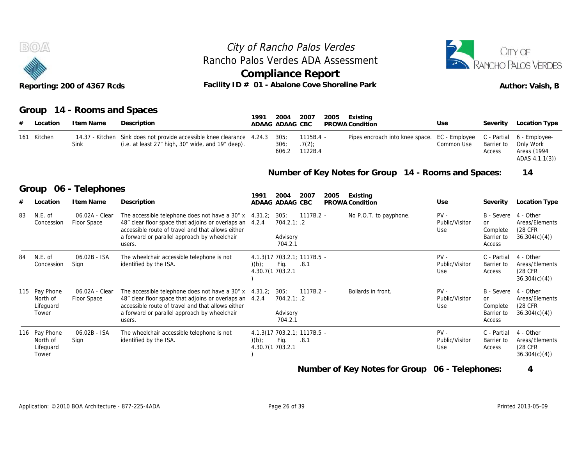

# **Compliance Report** Rancho Palos Verdes ADA Assessment





|                                                 | Facility ID # 01 - Abalone Cove Shoreline Park<br>Reporting: 200 of 4367 Rcds |                                                                                                                                                                                                                                       |      |                                                         | <b>Compliance Report</b>        |      | Rancho Palos Verdes ADA Assessment                               |                                 | RANCHO PALOS VERDES<br>Author: Vaish, B                                   |                                                                              |
|-------------------------------------------------|-------------------------------------------------------------------------------|---------------------------------------------------------------------------------------------------------------------------------------------------------------------------------------------------------------------------------------|------|---------------------------------------------------------|---------------------------------|------|------------------------------------------------------------------|---------------------------------|---------------------------------------------------------------------------|------------------------------------------------------------------------------|
|                                                 | Group 14 - Rooms and Spaces                                                   |                                                                                                                                                                                                                                       | 1991 | 2004                                                    | 2007                            | 2005 | Existing                                                         |                                 |                                                                           |                                                                              |
| Location<br>161 Kitchen                         | I tem Name<br>Sink                                                            | Description<br>14.37 - Kitchen Sink does not provide accessible knee clearance 4.24.3<br>(i.e. at least 27" high, 30" wide, and 19" deep).                                                                                            |      | ADAAG ADAAG CBC<br>305:<br>306:<br>606.2                | $1115B.4 -$<br>.7(2)<br>1122B.4 |      | PROWA Condition<br>Pipes encroach into knee space. EC - Employee | Use<br>Common Use               | Severity<br>C - Partial<br>Barrier to<br>Access                           | Location Type<br>6 - Employee-<br>Only Work<br>Areas (1994<br>ADAS 4.1.1(3)) |
|                                                 |                                                                               |                                                                                                                                                                                                                                       |      |                                                         |                                 |      | Number of Key Notes for Group 14 - Rooms and Spaces:             |                                 |                                                                           | 14                                                                           |
| Group<br>Location                               | 06 - Telephones<br>I tem Name                                                 | Description                                                                                                                                                                                                                           | 1991 | 2004<br>ADAAG ADAAG CBC                                 | 2007                            | 2005 | Existing<br>PROWA Condition                                      | Use                             | Severity                                                                  | <b>Location Type</b>                                                         |
| $N.E.$ of<br>83<br>Concession                   | 06.02A - Clear<br>Floor Space                                                 | The accessible telephone does not have a 30" x 4.31.2;<br>48" clear floor space that adjoins or overlaps an 4.2.4<br>accessible route of travel and that allows either<br>a forward or parallel approach by wheelchair<br>users.      |      | 305:<br>704.2.1: .2<br>Advisory<br>704.2.1              | $1117B.2 -$                     |      | No P.O.T. to payphone.                                           | $PV -$<br>Public/Visitor<br>Use | B - Severe 4 - Other<br><sub>or</sub><br>Complete<br>Barrier to<br>Access | Areas/Elements<br>(28 CFR<br>36.304(c)(4)                                    |
|                                                 |                                                                               |                                                                                                                                                                                                                                       |      |                                                         |                                 |      |                                                                  |                                 |                                                                           |                                                                              |
| N.E. of<br>84<br>Concession                     | 06.02B - ISA<br>Sign                                                          | The wheelchair accessible telephone is not<br>identified by the ISA.                                                                                                                                                                  | (b)  | 4.1.3(17 703.2.1; 1117B.5 -<br>Fig.<br>4.30.7(1 703.2.1 | .8.1                            |      |                                                                  | $PV -$<br>Public/Visitor<br>Use | C - Partial<br>Barrier to<br>Access                                       | 4 - Other<br>(28 CFR)<br>36.304(c)(4)                                        |
| 115 Pay Phone<br>North of<br>Lifeguard<br>Tower | 06.02A - Clear<br>Floor Space                                                 | The accessible telephone does not have a 30" x 4.31.2; 305;<br>48" clear floor space that adjoins or overlaps an 4.2.4<br>accessible route of travel and that allows either<br>a forward or parallel approach by wheelchair<br>users. |      | 704.2.1: .2<br>Advisory<br>704.2.1                      | $1117B.2 -$                     |      | Bollards in front.                                               | $PV -$<br>Public/Visitor<br>Use | B - Severe 4 - Other<br>or<br>Complete<br>Barrier to<br>Access            | Areas/Elements<br>Areas/Elements<br>(28 CFR<br>36.304(c)(4)                  |

**Number of Key Notes for Group 06 - Telephones: 4**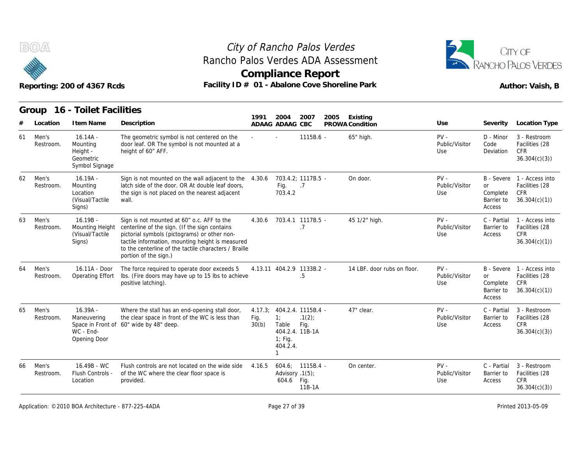



|    |                    | Reporting: 200 of 4367 Rcds                                       | Facility ID # 01 - Abalone Cove Shoreline Park                                                                                                                                                                                                                                    |               | <b>Compliance Report</b>                                                            |                                  |      |                             |                                 |                                               | RANCHO PALOS VERDES<br>Author: Vaish, B                                    |
|----|--------------------|-------------------------------------------------------------------|-----------------------------------------------------------------------------------------------------------------------------------------------------------------------------------------------------------------------------------------------------------------------------------|---------------|-------------------------------------------------------------------------------------|----------------------------------|------|-----------------------------|---------------------------------|-----------------------------------------------|----------------------------------------------------------------------------|
|    | Group              | 16 - Toilet Facilities                                            |                                                                                                                                                                                                                                                                                   | 1991          | 2004                                                                                | 2007                             | 2005 | Existing                    |                                 |                                               |                                                                            |
| #  | Location           | I tem Name                                                        | Description                                                                                                                                                                                                                                                                       |               | ADAAG ADAAG CBC                                                                     |                                  |      | PROWA Condition             | Use                             | Severity                                      | Location Type                                                              |
| 61 | Men's<br>Restroom. | $16.14A -$<br>Mounting<br>Height -<br>Geometric<br>Symbol Signage | The geometric symbol is not centered on the<br>door leaf. OR The symbol is not mounted at a<br>height of 60" AFF.                                                                                                                                                                 |               |                                                                                     | 1115B.6 -                        |      | 65" high.                   | $PV -$<br>Public/Visitor<br>Use | D - Minor<br>Code<br>Deviation                | 3 - Restroom<br>Facilities (28<br>CFR<br>36.304(c)(3)                      |
| 62 | Men's<br>Restroom. | $16.19A -$<br>Mounting<br>Location<br>(Visual/Tactile<br>Signs)   | Sign is not mounted on the wall adjacent to the 4.30.6<br>latch side of the door. OR At double leaf doors,<br>the sign is not placed on the nearest adjacent<br>wall.                                                                                                             |               | Fig.<br>703.4.2                                                                     | 703.4.2: 1117B.5 -<br>.7         |      | On door.                    | $PV -$<br>Public/Visitor<br>Use | <b>or</b><br>Complete<br>Barrier to<br>Access | B - Severe 1 - Access into<br>Facilities (28<br><b>CFR</b><br>36.304(c)(1) |
| 63 | Men's<br>Restroom. | $16.19B -$<br>Mounting Height<br>(Visual/Tactile)<br>Signs)       | Sign is not mounted at 60" o.c. AFF to the<br>centerline of the sign. (If the sign contains<br>pictorial symbols (pictograms) or other non-<br>tactile information, mounting height is measured<br>to the centerline of the tactile characters / Braille<br>portion of the sign.) | 4.30.6        |                                                                                     | 703.4.1 1117B.5 -<br>.7          |      | 45 1/2" high.               | $PV -$<br>Public/Visitor<br>Use | C - Partial<br>Barrier to<br>Access           | 1 - Access into<br>Facilities (28<br><b>CFR</b><br>36.304(c)(1)            |
| 64 | Men's<br>Restroom. | 16.11A - Door<br><b>Operating Effort</b>                          | The force required to operate door exceeds 5<br>Ibs. (Fire doors may have up to 15 lbs to achieve<br>positive latching).                                                                                                                                                          |               | 4.13.11 404.2.9 1133B.2 -                                                           | .5                               |      | 14 LBF, door rubs on floor. | $PV -$<br>Public/Visitor<br>Use | <b>or</b><br>Complete<br>Barrier to<br>Access | B - Severe 1 - Access into<br>Facilities (28<br>CFR<br>36.304(c)(1)        |
| 65 | Men's<br>Restroom. | $16.39A -$<br>Maneuvering<br>WC - End-<br>Opening Door            | Where the stall has an end-opening stall door,<br>the clear space in front of the WC is less than<br>Space in Front of 60" wide by 48" deep.                                                                                                                                      | Fig.<br>30(b) | 4.17.3: 404.2.4. 1115B.4 -<br>1:<br>Table<br>$1$ ; Fig.<br>404.2.4.<br>$\mathbf{1}$ | .1(2)<br>Fig.<br>404.2.4. 11B-1A |      | 47" clear.                  | $PV -$<br>Public/Visitor<br>Use | C - Partial<br>Barrier to<br>Access           | 3 - Restroom<br>Facilities (28<br><b>CFR</b><br>36.304(c)(3)               |
| 66 | Men's<br>Restroom. | 16.49B - WC<br>Flush Controls -<br>Location                       | Flush controls are not located on the wide side<br>of the WC where the clear floor space is<br>provided.                                                                                                                                                                          | 4.16.5        | Advisory $.1(5)$<br>604.6 Fig.                                                      | $604.6; 1115B.4 -$<br>11B-1A     |      | On center.                  | $PV -$<br>Public/Visitor<br>Use | C - Partial<br>Barrier to<br>Access           | 3 - Restroom<br>Facilities (28<br><b>CFR</b><br>36.304(c)(3)               |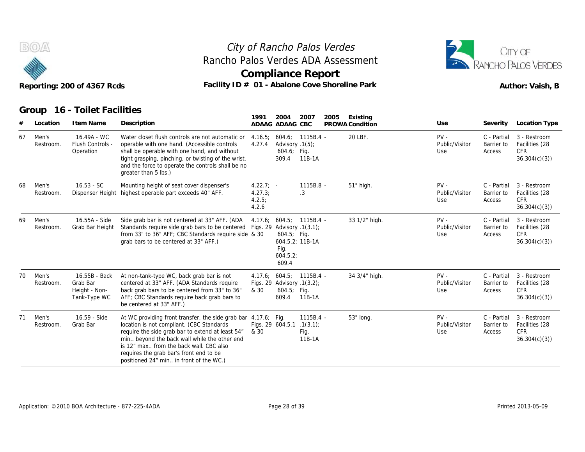



|    |                    | Reporting: 200 of 4367 Rcds                                | Rancho Palos Verdes ADA Assessment<br>Facility ID # 01 - Abalone Cove Shoreline Park                                                                                                                                                                                                                                                             |                                           |                                                               | City of Rancho Palos Verdes<br><b>Compliance Report</b> |      |                             |                                 |                                     | CITY OF<br>RANCHO PALOS VERDES<br>Author: Vaish, B           |
|----|--------------------|------------------------------------------------------------|--------------------------------------------------------------------------------------------------------------------------------------------------------------------------------------------------------------------------------------------------------------------------------------------------------------------------------------------------|-------------------------------------------|---------------------------------------------------------------|---------------------------------------------------------|------|-----------------------------|---------------------------------|-------------------------------------|--------------------------------------------------------------|
|    | Group              | 16 - Toilet Facilities                                     |                                                                                                                                                                                                                                                                                                                                                  |                                           |                                                               |                                                         |      |                             |                                 |                                     |                                                              |
| #  | Location           | I tem Name                                                 | Description                                                                                                                                                                                                                                                                                                                                      | 1991                                      | 2004<br>ADAAG ADAAG CBC                                       | 2007                                                    | 2005 | Existing<br>PROWA Condition | Use                             | Severity                            | Location Type                                                |
| 67 | Men's<br>Restroom. | 16.49A - WC<br>Flush Controls -<br>Operation               | Water closet flush controls are not automatic or<br>operable with one hand. (Accessible controls<br>shall be operable with one hand, and without<br>tight grasping, pinching, or twisting of the wrist,<br>and the force to operate the controls shall be no<br>greater than 5 lbs.)                                                             | 4.16.5;<br>4.27.4                         | Advisory .1(5);<br>604.6; Fig.<br>309.4                       | $604.6; 1115B.4 -$<br>11B-1A                            |      | 20 LBF.                     | $PV -$<br>Public/Visitor<br>Use | C - Partial<br>Barrier to<br>Access | 3 - Restroom<br>Facilities (28<br><b>CFR</b><br>36.304(c)(3) |
| 68 | Men's<br>Restroom. | $16.53 - SC$                                               | Mounting height of seat cover dispenser's<br>Dispenser Height highest operable part exceeds 40" AFF.                                                                                                                                                                                                                                             | $4.22.7: -$<br>4.27.3:<br>4.2.5;<br>4.2.6 |                                                               | 1115B.8 -<br>.3                                         |      | 51" high.                   | $PV -$<br>Public/Visitor<br>Use | C - Partial<br>Barrier to<br>Access | 3 - Restroom<br>Facilities (28<br><b>CFR</b><br>36.304(c)(3) |
| 69 | Men's<br>Restroom. | 16.55A - Side<br>Grab Bar Height                           | Side grab bar is not centered at 33" AFF. (ADA<br>Standards require side grab bars to be centered Figs. 29 Advisory .1(3.1);<br>from 33" to 36" AFF; CBC Standards require side & 30<br>grab bars to be centered at 33" AFF.)                                                                                                                    |                                           | $604.5$ ; Fig.<br>604.5.2; 11B-1A<br>Fig.<br>604.5.2<br>609.4 | 4.17.6; 604.5; 1115B.4 -                                |      | 33 1/2" high.               | $PV -$<br>Public/Visitor<br>Use | C - Partial<br>Barrier to<br>Access | 3 - Restroom<br>Facilities (28<br><b>CFR</b><br>36.304(c)(3) |
| 70 | Men's<br>Restroom. | 16.55B - Back<br>Grab Bar<br>Height - Non-<br>Tank-Type WC | At non-tank-type WC, back grab bar is not<br>centered at 33" AFF. (ADA Standards require<br>back grab bars to be centered from 33" to 36"<br>AFF; CBC Standards require back grab bars to<br>be centered at 33" AFF.)                                                                                                                            | & 30                                      | Figs. 29 Advisory .1(3.2);<br>$604.5$ ; Fig.<br>609.4         | 4.17.6; 604.5; 1115B.4 -<br>11B-1A                      |      | 34 3/4" high.               | $PV -$<br>Public/Visitor<br>Use | C - Partial<br>Barrier to<br>Access | 3 - Restroom<br>Facilities (28<br><b>CFR</b><br>36.304(c)(3) |
| 71 | Men's<br>Restroom. | 16.59 - Side<br>Grab Bar                                   | At WC providing front transfer, the side grab bar 4.17.6; Fig.<br>location is not compliant. (CBC Standards<br>require the side grab bar to extend at least 54"<br>min beyond the back wall while the other end<br>is 12" max from the back wall. CBC also<br>requires the grab bar's front end to be<br>positioned 24" min in front of the WC.) | & 30                                      | Figs. 29 604.5.1 .1(3.1);                                     | $1115B.4 -$<br>Fig.<br>11B-1A                           |      | 53" long.                   | $PV -$<br>Public/Visitor<br>Use | C - Partial<br>Barrier to<br>Access | 3 - Restroom<br>Facilities (28<br><b>CFR</b><br>36.304(c)(3) |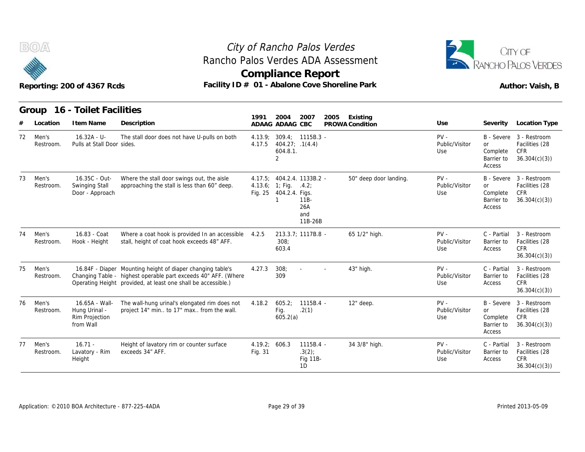



C - Partial 3 - Restroom Barrier to Facilities (28 CFR 36.304(c)(3))

|    | BOA                | Reporting: 200 of 4367 Rcds                                    |                                                                                                                                                                                               |         |                                     | City of Rancho Palos Verdes<br><b>Compliance Report</b><br>Facility ID # 01 - Abalone Cove Shoreline Park | Rancho Palos Verdes ADA Assessment |                                 |                                                                    | CITY OF<br>RANCHO PALOS VERDES<br>Author: Vaish, B                      |
|----|--------------------|----------------------------------------------------------------|-----------------------------------------------------------------------------------------------------------------------------------------------------------------------------------------------|---------|-------------------------------------|-----------------------------------------------------------------------------------------------------------|------------------------------------|---------------------------------|--------------------------------------------------------------------|-------------------------------------------------------------------------|
|    | Group<br>Location  | 16 - Toilet Facilities<br>I tem Name                           | Description                                                                                                                                                                                   | 1991    | 2004<br>ADAAG ADAAG CBC             | 2007<br>2005                                                                                              | Existing<br>PROWA Condition        | Use                             | Severity                                                           | Location Type                                                           |
| 72 | Men's<br>Restroom. | $16.32A - U -$<br>Pulls at Stall Door sides.                   | The stall door does not have U-pulls on both                                                                                                                                                  | 4.17.5  | 404.27; .1(4.4)<br>604.8.1.<br>2    | 4.13.9; 309.4; 1115B.3 -                                                                                  |                                    | $PV -$<br>Public/Visitor<br>Use | or<br>Complete<br>Barrier to<br>Access                             | B - Severe 3 - Restroom<br>Facilities (28<br><b>CFR</b><br>36.304(c)(3) |
| 73 | Men's<br>Restroom. | 16.35C - Out-<br>Swinging Stall<br>Door - Approach             | Where the stall door swings out, the aisle<br>approaching the stall is less than 60" deep.                                                                                                    | 4.13.6; | $1;$ Fig.<br>Fig. 25 404.2.4. Figs. | 4.17.5; 404.2.4. 1133B.2 -<br>.4.2;<br>$11B -$<br>26A<br>and<br>11B-26B                                   | 50" deep door landing.             | $PV -$<br>Public/Visitor<br>Use | <b>or</b><br>Complete<br>Barrier to<br>Access                      | B - Severe 3 - Restroom<br>Facilities (28<br><b>CFR</b><br>36.304(c)(3) |
| 74 | Men's<br>Restroom. | 16.83 - Coat<br>Hook - Height                                  | Where a coat hook is provided In an accessible 4.2.5<br>stall, height of coat hook exceeds 48" AFF.                                                                                           |         | 308;<br>603.4                       | 213.3.7; 1117B.8 -                                                                                        | 65 1/2" high.                      | $PV -$<br>Public/Visitor<br>Use | C - Partial<br>Barrier to<br>Access                                | 3 - Restroom<br>Facilities (28<br>CFR.<br>36.304(c)(3)                  |
| 75 | Men's<br>Restroom. |                                                                | 16.84F - Diaper Mounting height of diaper changing table's<br>Changing Table - highest operable part exceeds 40" AFF. (Where<br>Operating Height provided, at least one shall be accessible.) | 4.27.3  | 308;<br>309                         |                                                                                                           | 43" high.                          | $PV -$<br>Public/Visitor<br>Use | C - Partial<br>Barrier to<br>Access                                | 3 - Restroom<br>Facilities (28<br><b>CFR</b><br>36.304(c)(3)            |
| 76 | Men's<br>Restroom. | 16.65A - Wall-<br>Hung Urinal -<br>Rim Projection<br>from Wall | The wall-hung urinal's elongated rim does not<br>project 14" min to 17" max from the wall.                                                                                                    | 4.18.2  | 605.2;<br>Fig.<br>605.2(a)          | $1115B.4 -$<br>.2(1)                                                                                      | 12" deep.                          | $PV -$<br>Public/Visitor<br>Use | <b>B</b> - Severe<br><b>or</b><br>Complete<br>Barrier to<br>Access | 3 - Restroom<br>Facilities (28<br><b>CFR</b><br>36.304(c)(3)            |
| 77 | Men's<br>Restroom. | $16.71 -$<br>Lavatory - Rim<br>Height                          | Height of lavatory rim or counter surface<br>exceeds 34" AFF.                                                                                                                                 | Fig. 31 | 4.19.2; 606.3                       | 1115B.4 -<br>.3(2)<br>Fig 11B-<br>1 <sub>D</sub>                                                          | 34 3/8" high.                      | $PV -$<br>Public/Visitor<br>Use | C - Partial<br>Barrier to<br>Access                                | 3 - Restroom<br>Facilities (28<br>CFR<br>36.301(c)(3)                   |

1D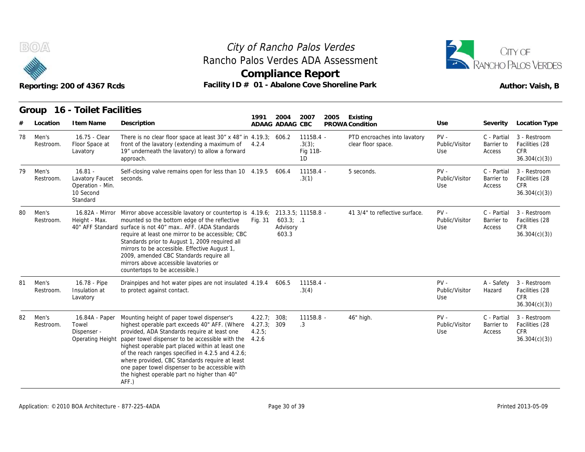



|    |                    | Reporting: 200 of 4367 Rcds                                               | Facility ID # 01 - Abalone Cove Shoreline Park                                                                                                                                                                                                                                                                                                                                                                                                                                             |                                       |                                | <b>Compliance Report</b>                |      |                                                    |                                 |                                     | Author: Vaish, B                                             |
|----|--------------------|---------------------------------------------------------------------------|--------------------------------------------------------------------------------------------------------------------------------------------------------------------------------------------------------------------------------------------------------------------------------------------------------------------------------------------------------------------------------------------------------------------------------------------------------------------------------------------|---------------------------------------|--------------------------------|-----------------------------------------|------|----------------------------------------------------|---------------------------------|-------------------------------------|--------------------------------------------------------------|
|    | Group<br>Location  | 16 - Toilet Facilities<br>I tem Name                                      | Description                                                                                                                                                                                                                                                                                                                                                                                                                                                                                | 1991                                  | 2004<br>ADAAG ADAAG CBC        | 2007                                    | 2005 | Existing<br>PROWA Condition                        | Use                             | Severity                            | Location Type                                                |
| 78 | Men's<br>Restroom. | 16.75 - Clear<br>Floor Space at<br>Lavatory                               | There is no clear floor space at least $30''$ x $48''$ in $4.19.3$ ; 606.2<br>front of the lavatory (extending a maximum of 4.2.4<br>19" underneath the lavatory) to allow a forward<br>approach.                                                                                                                                                                                                                                                                                          |                                       |                                | $1115B.4 -$<br>.3(3);<br>Fig 11B-<br>1D |      | PTD encroaches into lavatory<br>clear floor space. | $PV -$<br>Public/Visitor<br>Use | C - Partial<br>Barrier to<br>Access | 3 - Restroom<br>Facilities (28<br><b>CFR</b><br>36.304(c)(3) |
| 79 | Men's<br>Restroom. | $16.81 -$<br>Lavatory Faucet<br>Operation - Min.<br>10 Second<br>Standard | Self-closing valve remains open for less than 10 4.19.5 606.4<br>seconds.                                                                                                                                                                                                                                                                                                                                                                                                                  |                                       |                                | $1115B.4 -$<br>.3(1)                    |      | 5 seconds.                                         | $PV -$<br>Public/Visitor<br>Use | C - Partial<br>Barrier to<br>Access | 3 - Restroom<br>Facilities (28<br>CFR<br>36.304(c)(3)        |
| 80 | Men's<br>Restroom. | Height - Max.                                                             | 16.82A - Mirror Mirror above accessible lavatory or countertop is 4.19.6; 213.3.5; 1115B.8 -<br>mounted so the bottom edge of the reflective<br>40" AFF Standard surface is not 40" max AFF. (ADA Standards<br>require at least one mirror to be accessible; CBC<br>Standards prior to August 1, 2009 required all<br>mirrors to be accessible. Effective August 1,<br>2009, amended CBC Standards require all<br>mirrors above accessible lavatories or<br>countertops to be accessible.) | Fig. 31                               | 603.3; .1<br>Advisory<br>603.3 |                                         |      | 41 3/4" to reflective surface.                     | $PV -$<br>Public/Visitor<br>Use | C - Partial<br>Barrier to<br>Access | 3 - Restroom<br>Facilities (28<br><b>CFR</b><br>36.304(c)(3) |
| 81 | Men's<br>Restroom. | 16.78 - Pipe<br>Insulation at<br>Lavatory                                 | Drainpipes and hot water pipes are not insulated 4.19.4<br>to protect against contact.                                                                                                                                                                                                                                                                                                                                                                                                     |                                       | 606.5                          | 1115B.4 -<br>.3(4)                      |      |                                                    | $PV -$<br>Public/Visitor<br>Use | A - Safety<br>Hazard                | 3 - Restroom<br>Facilities (28<br><b>CFR</b><br>36.304(c)(3) |
| 82 | Men's<br>Restroom. | 16.84A - Paper<br>Towel<br>Dispenser -<br><b>Operating Height</b>         | Mounting height of paper towel dispenser's<br>highest operable part exceeds 40" AFF. (Where<br>provided, ADA Standards require at least one<br>paper towel dispenser to be accessible with the 4.2.6<br>highest operable part placed within at least one<br>of the reach ranges specified in 4.2.5 and 4.2.6;<br>where provided, CBC Standards require at least<br>one paper towel dispenser to be accessible with<br>the highest operable part no higher than 40"<br>AFF.)                | 4.22.7; 308;<br>4.27.3; 309<br>4.2.5: |                                | $1115B.8 -$<br>.3                       |      | 46" high.                                          | $PV -$<br>Public/Visitor<br>Use | C - Partial<br>Barrier to<br>Access | 3 - Restroom<br>Facilities (28<br><b>CFR</b><br>36.304(c)(3) |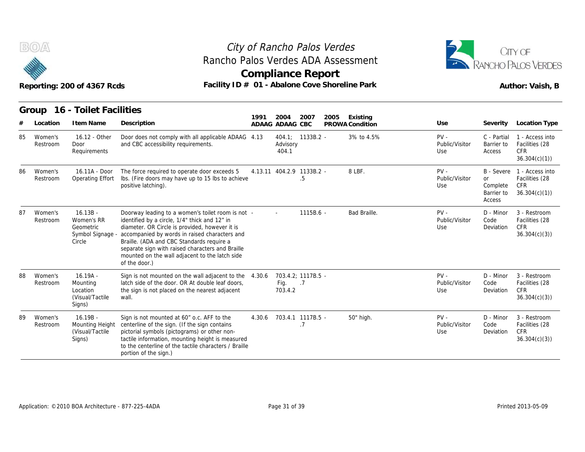



|    |                     | Reporting: 200 of 4367 Rcds                                       | Rancho Palos Verdes ADA Assessment<br>Facility ID # 01 - Abalone Cove Shoreline Park                                                                                                                                                                                                                                                                                      |        | <b>Compliance Report</b>  |                                                   |      |                 |                                 |                                        | RANCHO PALOS VERDES<br>Author: Vaish, B                                    |
|----|---------------------|-------------------------------------------------------------------|---------------------------------------------------------------------------------------------------------------------------------------------------------------------------------------------------------------------------------------------------------------------------------------------------------------------------------------------------------------------------|--------|---------------------------|---------------------------------------------------|------|-----------------|---------------------------------|----------------------------------------|----------------------------------------------------------------------------|
|    | Group               | 16 - Toilet Facilities                                            |                                                                                                                                                                                                                                                                                                                                                                           | 1991   | 2004                      | 2007                                              | 2005 | Existing        |                                 |                                        |                                                                            |
| #  | Location            | I tem Name                                                        | Description                                                                                                                                                                                                                                                                                                                                                               |        | ADAAG ADAAG CBC           |                                                   |      | PROWA Condition | Use                             | Severity                               | <b>Location Type</b>                                                       |
| 85 | Women's<br>Restroom | 16.12 - Other<br>Door<br>Requirements                             | Door does not comply with all applicable ADAAG 4.13<br>and CBC accessibility requirements.                                                                                                                                                                                                                                                                                |        | Advisory<br>404.1         | 404.1; 1133B.2 -                                  |      | 3% to 4.5%      | $PV -$<br>Public/Visitor<br>Use | C - Partial<br>Barrier to<br>Access    | 1 - Access into<br>Facilities (28<br><b>CFR</b><br>36.304(c)(1)            |
| 86 | Women's<br>Restroom | 16.11A - Door<br><b>Operating Effort</b>                          | The force required to operate door exceeds 5<br>Ibs. (Fire doors may have up to 15 lbs to achieve<br>positive latching).                                                                                                                                                                                                                                                  |        | 4.13.11 404.2.9 1133B.2 - | .5                                                |      | 8 LBF.          | $PV -$<br>Public/Visitor<br>Use | or<br>Complete<br>Barrier to<br>Access | B - Severe 1 - Access into<br>Facilities (28<br><b>CFR</b><br>36.304(c)(1) |
| 87 | Women's<br>Restroom | $16.13B -$<br>Women's RR<br>Geometric<br>Symbol Signage<br>Circle | Doorway leading to a women's toilet room is not -<br>identified by a circle, 1/4" thick and 12" in<br>diameter. OR Circle is provided, however it is<br>accompanied by words in raised characters and<br>Braille. (ADA and CBC Standards require a<br>separate sign with raised characters and Braille<br>mounted on the wall adjacent to the latch side<br>of the door.) |        |                           | 1115B.6 -                                         |      | Bad Braille.    | $PV -$<br>Public/Visitor<br>Use | D - Minor<br>Code<br>Deviation         | 3 - Restroom<br>Facilities (28<br><b>CFR</b><br>36.304(c)(3)               |
| 88 | Women's<br>Restroom | $16.19A -$<br>Mounting<br>Location<br>(Visual/Tactile<br>Signs)   | Sign is not mounted on the wall adjacent to the 4.30.6<br>latch side of the door. OR At double leaf doors,<br>the sign is not placed on the nearest adjacent<br>wall.                                                                                                                                                                                                     |        | Fig.<br>703.4.2           | 703.4.2: 1117B.5 -<br>$\overline{\phantom{0}}$ .7 |      |                 | $PV -$<br>Public/Visitor<br>Use | $D - Minor$<br>Code<br>Deviation       | 3 - Restroom<br>Facilities (28<br><b>CFR</b><br>36.304(c)(3)               |
| 89 | Women's<br>Restroom | $16.19B -$<br><b>Mounting Height</b><br>(Visual/Tactile<br>Signs) | Sign is not mounted at 60" o.c. AFF to the<br>centerline of the sign. (If the sign contains<br>pictorial symbols (pictograms) or other non-<br>tactile information, mounting height is measured<br>to the centerline of the tactile characters / Braille<br>portion of the sign.)                                                                                         | 4.30.6 | 703.4.1 1117B.5 -         | .7                                                |      | 50" high.       | $PV -$<br>Public/Visitor<br>Use | D - Minor<br>Code<br>Deviation         | 3 - Restroom<br>Facilities (28<br><b>CFR</b><br>36.304(c)(3)               |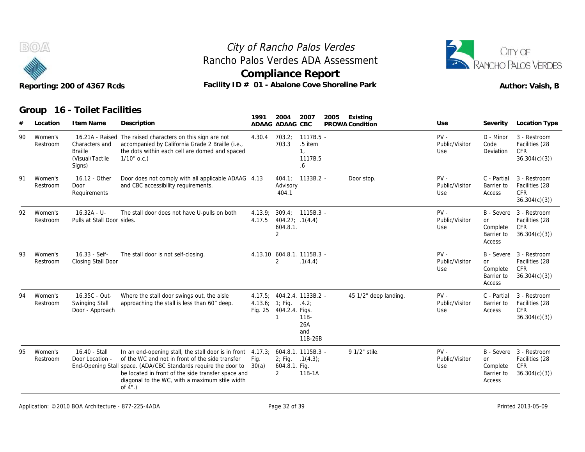



|    |                     | Reporting: 200 of 4367 Rcds                                    | Facility ID # 01 - Abalone Cove Shoreline Park                                                                                                                                                                                                                                                  | <b>Compliance Report</b> |                                                                 |                                                           |      |                             |                                 |                                               | Author: Vaish, B                                                        |
|----|---------------------|----------------------------------------------------------------|-------------------------------------------------------------------------------------------------------------------------------------------------------------------------------------------------------------------------------------------------------------------------------------------------|--------------------------|-----------------------------------------------------------------|-----------------------------------------------------------|------|-----------------------------|---------------------------------|-----------------------------------------------|-------------------------------------------------------------------------|
| #  | Group<br>Location   | 16 - Toilet Facilities<br>I tem Name                           | Description                                                                                                                                                                                                                                                                                     | 1991                     | 2004<br>ADAAG ADAAG CBC                                         | 2007                                                      | 2005 | Existing<br>PROWA Condition | Use                             | Severity                                      | Location Type                                                           |
| 90 | Women's<br>Restroom | Characters and<br><b>Braille</b><br>(Visual/Tactile)<br>Signs) | 16.21A - Raised The raised characters on this sign are not<br>accompanied by California Grade 2 Braille (i.e.,<br>the dots within each cell are domed and spaced<br>$1/10"$ o.c.)                                                                                                               | 4.30.4                   | 703.2:<br>703.3                                                 | $1117B.5 -$<br>.5 item<br>1 <sub>1</sub><br>1117B.5<br>.6 |      |                             | $PV -$<br>Public/Visitor<br>Use | D - Minor<br>Code<br>Deviation                | 3 - Restroom<br>Facilities (28<br><b>CFR</b><br>36.304(c)(3)            |
| 91 | Women's<br>Restroom | 16.12 - Other<br>Door<br>Requirements                          | Door does not comply with all applicable ADAAG 4.13<br>and CBC accessibility requirements.                                                                                                                                                                                                      |                          | Advisory<br>404.1                                               | 404.1; 1133B.2 -                                          |      | Door stop.                  | $PV -$<br>Public/Visitor<br>Use | C - Partial<br>Barrier to<br>Access           | 3 - Restroom<br>Facilities (28<br><b>CFR</b><br>36.304(c)(3)            |
| 92 | Women's<br>Restroom | $16.32A - U -$<br>Pulls at Stall Door sides.                   | The stall door does not have U-pulls on both                                                                                                                                                                                                                                                    | 4.13.9;<br>4.17.5        | 604.8.1.<br>2                                                   | $309.4; 1115B.3 -$<br>404.27; .1(4.4)                     |      |                             | $PV -$<br>Public/Visitor<br>Use | <b>or</b><br>Complete<br>Barrier to<br>Access | B - Severe 3 - Restroom<br>Facilities (28<br><b>CFR</b><br>36.304(c)(3) |
| 93 | Women's<br>Restroom | 16.33 - Self-<br>Closing Stall Door                            | The stall door is not self-closing.                                                                                                                                                                                                                                                             |                          | 4.13.10 604.8.1. 1115B.3 -<br>$\overline{2}$                    | .1(4.4)                                                   |      |                             | $PV -$<br>Public/Visitor<br>Use | <b>or</b><br>Complete<br>Barrier to<br>Access | B - Severe 3 - Restroom<br>Facilities (28<br><b>CFR</b><br>36.304(c)(3) |
| 94 | Women's<br>Restroom | 16.35C - Out-<br>Swinging Stall<br>Door - Approach             | Where the stall door swings out, the aisle<br>approaching the stall is less than 60" deep.                                                                                                                                                                                                      | Fig. 25                  | 4.17.5; 404.2.4. 1133B.2 -<br>4.13.6; 1; Fig.<br>404.2.4. Figs. | .4.2;<br>$11B -$<br>26A<br>and<br>11B-26B                 |      | 45 1/2" deep landing.       | $PV -$<br>Public/Visitor<br>Use | C - Partial<br>Barrier to<br>Access           | 3 - Restroom<br>Facilities (28<br><b>CFR</b><br>36.304(c)(3)            |
| 95 | Women's<br>Restroom | 16.40 - Stall<br>Door Location -                               | In an end-opening stall, the stall door is in front<br>of the WC and not in front of the side transfer<br>End-Opening Stall space. (ADA/CBC Standards require the door to<br>be located in front of the side transfer space and<br>diagonal to the WC, with a maximum stile width<br>of $4"$ .) | 4.17.3;<br>Fig.<br>30(a) | 604.8.1. Fig.<br>2                                              | 604.8.1. 1115B.3 -<br>2; Fig. $.1(4.3)$ ;<br>11B-1A       |      | 9 1/2" stile.               | $PV -$<br>Public/Visitor<br>Use | <b>or</b><br>Complete<br>Barrier to<br>Access | B - Severe 3 - Restroom<br>Facilities (28<br>CFR<br>36.304(c)(3)        |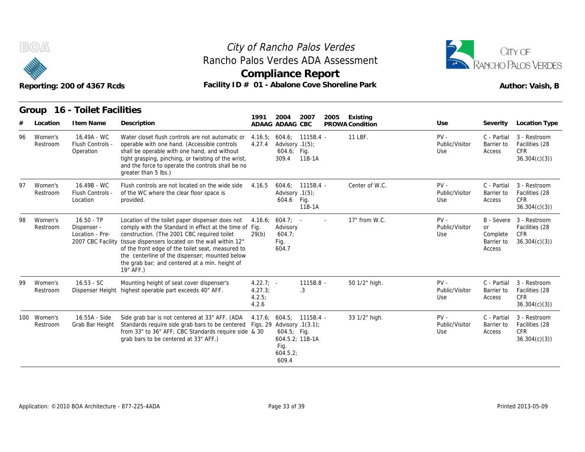



|    |                         | Reporting: 200 of 4367 Rcds                    | Rancho Palos Verdes ADA Assessment<br><b>Compliance Report</b><br>Facility ID # 01 - Abalone Cove Shoreline Park                                                                                                                                                                                                                                                                                     |                                           |                                                                                                 | RANCHO PALOS VERDES<br>Author: Vaish, B |      |                 |                                 |                                               |                                                                         |
|----|-------------------------|------------------------------------------------|------------------------------------------------------------------------------------------------------------------------------------------------------------------------------------------------------------------------------------------------------------------------------------------------------------------------------------------------------------------------------------------------------|-------------------------------------------|-------------------------------------------------------------------------------------------------|-----------------------------------------|------|-----------------|---------------------------------|-----------------------------------------------|-------------------------------------------------------------------------|
|    |                         | Group 16 - Toilet Facilities                   |                                                                                                                                                                                                                                                                                                                                                                                                      | 1991                                      | 2004                                                                                            | 2007                                    | 2005 | Existing        |                                 |                                               |                                                                         |
|    | Location                | I tem Name                                     | Description                                                                                                                                                                                                                                                                                                                                                                                          |                                           | ADAAG ADAAG CBC                                                                                 |                                         |      | PROWA Condition | Use                             | Severity                                      | Location Type                                                           |
| 96 | Women's<br>Restroom     | 16.49A - WC<br>Flush Controls -<br>Operation   | Water closet flush controls are not automatic or<br>operable with one hand. (Accessible controls<br>shall be operable with one hand, and without<br>tight grasping, pinching, or twisting of the wrist,<br>and the force to operate the controls shall be no<br>greater than 5 lbs.)                                                                                                                 | 4.16.5:<br>4.27.4                         | Advisory $.1(5)$ ;<br>$604.6$ ; Fig.<br>309.4 11B-1A                                            | $604.6: 1115B.4 -$                      |      | 11 LBF.         | $PV -$<br>Public/Visitor<br>Use | C - Partial<br>Barrier to<br>Access           | 3 - Restroom<br>Facilities (28<br><b>CFR</b><br>36.304(c)(3)            |
| 97 | Women's<br>Restroom     | 16.49B - WC<br>Flush Controls -<br>Location    | Flush controls are not located on the wide side<br>of the WC where the clear floor space is<br>provided.                                                                                                                                                                                                                                                                                             | 4.16.5                                    | Advisory .1(5)<br>604.6 Fig.                                                                    | $604.6: 1115B.4 -$<br>11B-1A            |      | Center of W.C.  | $PV -$<br>Public/Visitor<br>Use | C - Partial<br>Barrier to<br>Access           | 3 - Restroom<br>Facilities (28<br><b>CFR</b><br>36.304(c)(3)            |
| 98 | Women's<br>Restroom     | $16.50 - TP$<br>Dispenser -<br>Location - Pre- | Location of the toilet paper dispenser does not<br>comply with the Standard in effect at the time of Fig.<br>construction. (The 2001 CBC required toilet<br>2007 CBC Facility tissue dispensers located on the wall within 12"<br>of the front edge of the toilet seat, measured to<br>the centerline of the dispenser; mounted below<br>the grab bar; and centered at a min. height of<br>19" AFF.) | 4.16.6;<br>29(b)                          | $604.7$ ; -<br>Advisory<br>604.7;<br>Fig.<br>604.7                                              |                                         |      | 17" from W.C.   | $PV -$<br>Public/Visitor<br>Use | <b>or</b><br>Complete<br>Barrier to<br>Access | B - Severe 3 - Restroom<br>Facilities (28<br><b>CFR</b><br>36.304(c)(3) |
| 99 | Women's<br>Restroom     | $16.53 - SC$                                   | Mounting height of seat cover dispenser's<br>Dispenser Height highest operable part exceeds 40" AFF.                                                                                                                                                                                                                                                                                                 | $4.22.7: -$<br>4.27.3;<br>4.2.5;<br>4.2.6 |                                                                                                 | 1115B.8 -<br>.3                         |      | 50 1/2" high.   | $PV -$<br>Public/Visitor<br>Use | C - Partial<br>Barrier to<br>Access           | 3 - Restroom<br>Facilities (28<br><b>CFR</b><br>36.304(c)(3)            |
|    | 100 Women's<br>Restroom | 16.55A - Side<br>Grab Bar Height               | Side grab bar is not centered at 33" AFF. (ADA<br>Standards require side grab bars to be centered<br>from 33" to 36" AFF; CBC Standards require side & 30<br>grab bars to be centered at 33" AFF.)                                                                                                                                                                                                   | 4.17.6;                                   | Figs. 29 Advisory $.1(3.1)$ ;<br>$604.5$ ; Fig.<br>604.5.2; 11B-1A<br>Fig.<br>604.5.2;<br>609.4 | $604.5$ ; 1115B.4 -                     |      | 33 1/2" high.   | $PV -$<br>Public/Visitor<br>Use | C - Partial<br>Barrier to<br>Access           | 3 - Restroom<br>Facilities (28<br><b>CFR</b><br>36.304(c)(3)            |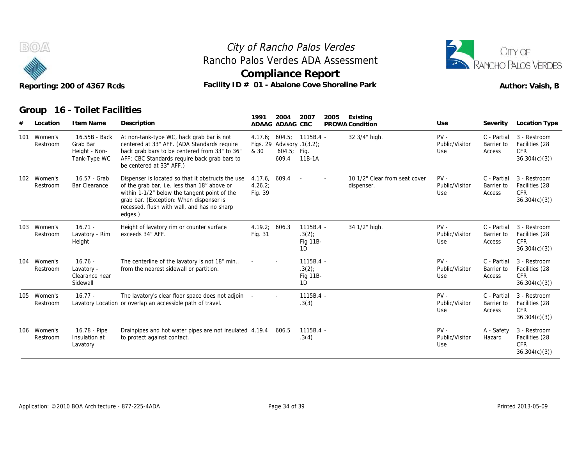



|     |                         | Reporting: 200 of 4367 Rcds                                | Rancho Palos Verdes ADA Assessment<br>Facility ID # 01 - Abalone Cove Shoreline Park                                                                                                                                                                   |                                     |                                                       | <b>Compliance Report</b>               |      |                                             |                                 |                                     | <b>RANCHO PALOS VERDES</b><br>Author: Vaish, B               |
|-----|-------------------------|------------------------------------------------------------|--------------------------------------------------------------------------------------------------------------------------------------------------------------------------------------------------------------------------------------------------------|-------------------------------------|-------------------------------------------------------|----------------------------------------|------|---------------------------------------------|---------------------------------|-------------------------------------|--------------------------------------------------------------|
|     | Group                   | 16 - Toilet Facilities                                     |                                                                                                                                                                                                                                                        | 1991                                | 2004                                                  | 2007                                   | 2005 | Existing                                    |                                 |                                     |                                                              |
|     | Location                | I tem Name                                                 | Description                                                                                                                                                                                                                                            |                                     | ADAAG ADAAG CBC                                       |                                        |      | PROWA Condition                             | Use                             | Severity                            | Location Type                                                |
| 101 | Women's<br>Restroom     | 16.55B - Back<br>Grab Bar<br>Height - Non-<br>Tank-Type WC | At non-tank-type WC, back grab bar is not<br>centered at 33" AFF. (ADA Standards require<br>back grab bars to be centered from 33" to 36"<br>AFF; CBC Standards require back grab bars to<br>be centered at 33" AFF.)                                  | & 30                                | Figs. 29 Advisory .1(3.2);<br>$604.5$ ; Fig.<br>609.4 | 4.17.6; 604.5; 1115B.4 -<br>11B-1A     |      | 32 3/4" high.                               | $PV -$<br>Public/Visitor<br>Use | C - Partial<br>Barrier to<br>Access | 3 - Restroom<br>Facilities (28<br><b>CFR</b><br>36.304(c)(3) |
|     | 102 Women's<br>Restroom | 16.57 - Grab<br><b>Bar Clearance</b>                       | Dispenser is located so that it obstructs the use<br>of the grab bar, i.e. less than 18" above or<br>within 1-1/2" below the tangent point of the<br>grab bar. (Exception: When dispenser is<br>recessed, flush with wall, and has no sharp<br>edges.) | 4.17.6, 609.4<br>4.26.2:<br>Fig. 39 |                                                       |                                        |      | 10 1/2" Clear from seat cover<br>dispenser. | $PV -$<br>Public/Visitor<br>Use | C - Partial<br>Barrier to<br>Access | 3 - Restroom<br>Facilities (28<br><b>CFR</b><br>36.304(c)(3) |
|     | 103 Women's<br>Restroom | $16.71 -$<br>Lavatory - Rim<br>Height                      | Height of lavatory rim or counter surface<br>exceeds 34" AFF.                                                                                                                                                                                          | 4.19.2: 606.3<br>Fig. 31            |                                                       | $1115B.4 -$<br>.3(2)<br>Fig 11B-<br>1D |      | 34 1/2" high.                               | $PV -$<br>Public/Visitor<br>Use | C - Partial<br>Barrier to<br>Access | 3 - Restroom<br>Facilities (28<br>CFR.<br>36.304(c)(3)       |
|     | 104 Women's<br>Restroom | $16.76 -$<br>Lavatory -<br>Clearance near<br>Sidewall      | The centerline of the lavatory is not 18" min<br>from the nearest sidewall or partition.                                                                                                                                                               |                                     |                                                       | $1115B.4 -$<br>.3(2)<br>Fig 11B-<br>1D |      |                                             | $PV -$<br>Public/Visitor<br>Use | C - Partial<br>Barrier to<br>Access | 3 - Restroom<br>Facilities (28<br><b>CFR</b><br>36.304(c)(3) |
|     | 105 Women's<br>Restroom | $16.77 -$                                                  | The lavatory's clear floor space does not adjoin -<br>Lavatory Location or overlap an accessible path of travel.                                                                                                                                       |                                     |                                                       | 1115B.4 -<br>.3(3)                     |      |                                             | $PV -$<br>Public/Visitor<br>Use | C - Partial<br>Barrier to<br>Access | 3 - Restroom<br>Facilities (28<br><b>CFR</b><br>36.304(c)(3) |
|     | 106 Women's<br>Restroom | 16.78 - Pipe<br>Insulation at<br>Lavatory                  | Drainpipes and hot water pipes are not insulated 4.19.4<br>to protect against contact.                                                                                                                                                                 |                                     | 606.5                                                 | $1115B.4 -$<br>.3(4)                   |      |                                             | $PV -$<br>Public/Visitor<br>Use | A - Safety<br>Hazard                | 3 - Restroom<br>Facilities (28<br><b>CFR</b><br>36.304(c)(3) |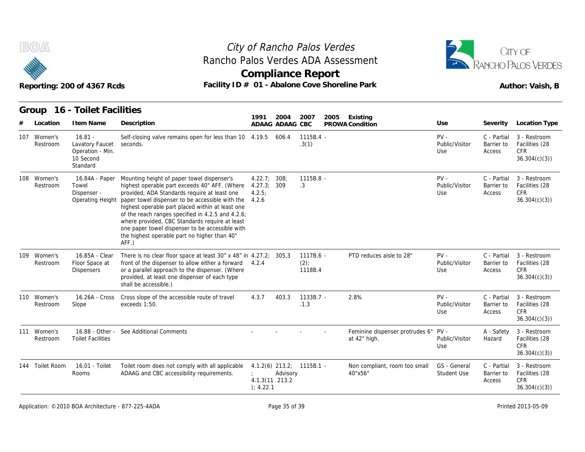



| Reporting: 200 of 4367 Rcds |                         |                                                                           | Rancho Palos Verdes ADA Assessment<br>Facility ID # 01 - Abalone Cove Shoreline Park                                                                                                                                                                                                                                                                                                                                                                                     | City of Rancho Palos Verdes<br><b>Compliance Report</b> |                            | CITY OF<br>RANCHO PALOS VERDES<br>Author: Vaish, B |                                                 |                                    |                                     |                                                              |
|-----------------------------|-------------------------|---------------------------------------------------------------------------|--------------------------------------------------------------------------------------------------------------------------------------------------------------------------------------------------------------------------------------------------------------------------------------------------------------------------------------------------------------------------------------------------------------------------------------------------------------------------|---------------------------------------------------------|----------------------------|----------------------------------------------------|-------------------------------------------------|------------------------------------|-------------------------------------|--------------------------------------------------------------|
|                             | Group                   | 16 - Toilet Facilities                                                    |                                                                                                                                                                                                                                                                                                                                                                                                                                                                          | 1991                                                    | 2004                       | 2007                                               | 2005                                            |                                    |                                     |                                                              |
|                             | Location                | I tem Name                                                                | Description                                                                                                                                                                                                                                                                                                                                                                                                                                                              |                                                         | ADAAG ADAAG CBC            |                                                    | Existing<br>PROWA Condition                     | Use                                | Severity                            | Location Type                                                |
|                             | 107 Women's<br>Restroom | $16.81 -$<br>Lavatory Faucet<br>Operation - Min.<br>10 Second<br>Standard | Self-closing valve remains open for less than 10 4.19.5 606.4<br>seconds.                                                                                                                                                                                                                                                                                                                                                                                                |                                                         |                            | $1115B.4 -$<br>.3(1)                               |                                                 | $PV -$<br>Public/Visitor<br>Use    | C - Partial<br>Barrier to<br>Access | 3 - Restroom<br>Facilities (28<br><b>CFR</b><br>36.304(c)(3) |
|                             | 108 Women's<br>Restroom | 16.84A - Paper<br>Towel<br>Dispenser -<br>Operating Height                | Mounting height of paper towel dispenser's<br>highest operable part exceeds 40" AFF. (Where<br>provided, ADA Standards require at least one<br>paper towel dispenser to be accessible with the<br>highest operable part placed within at least one<br>of the reach ranges specified in 4.2.5 and 4.2.6;<br>where provided, CBC Standards require at least<br>one paper towel dispenser to be accessible with<br>the highest operable part no higher than 40"<br>$AFF.$ ) | 4.22.7; 308;<br>4.27.3;<br>4.2.5;<br>4.2.6              | 309                        | 1115B.8 -<br>.3                                    |                                                 | $PV -$<br>Public/Visitor<br>Use    | C - Partial<br>Barrier to<br>Access | 3 - Restroom<br>Facilities (28<br><b>CFR</b><br>36.304(c)(3) |
|                             | 109 Women's<br>Restroom | 16.85A - Clear<br>Floor Space at<br><b>Dispensers</b>                     | There is no clear floor space at least 30" x 48" in 4.27.2; 305.3<br>front of the dispenser to allow either a forward<br>or a parallel approach to the dispenser. (Where<br>provided, at least one dispenser of each type<br>shall be accessible.)                                                                                                                                                                                                                       | 4.2.4                                                   |                            | $1117B.6 -$<br>(2)<br>1118B.4                      | PTD reduces aisle to 28"                        | $PV -$<br>Public/Visitor<br>Use    | C - Partial<br>Barrier to<br>Access | 3 - Restroom<br>Facilities (28<br><b>CFR</b><br>36.304(c)(3) |
|                             | 110 Women's<br>Restroom | 16.26A - Cross<br>Slope                                                   | Cross slope of the accessible route of travel<br>exceeds 1:50.                                                                                                                                                                                                                                                                                                                                                                                                           | 4.3.7                                                   | 403.3                      | $1133B.7 -$<br>.1.3                                | 2.8%                                            | $PV -$<br>Public/Visitor<br>Use    | C - Partial<br>Barrier to<br>Access | 3 - Restroom<br>Facilities (28<br><b>CFR</b><br>36.304(c)(3) |
|                             | 111 Women's<br>Restroom | 16.88 - Other -<br><b>Toilet Facilities</b>                               | See Additional Comments                                                                                                                                                                                                                                                                                                                                                                                                                                                  |                                                         |                            |                                                    | Feminine dispenser protrudes 6"<br>at 42" high. | $PV -$<br>Public/Visitor<br>Use    | A - Safety<br>Hazard                | 3 - Restroom<br>Facilities (28<br><b>CFR</b><br>36.304(c)(3) |
|                             | 144 Toilet Room         | 16.01 - Toilet<br>Rooms                                                   | Toilet room does not comply with all applicable<br>ADAAG and CBC accessibility requirements.                                                                                                                                                                                                                                                                                                                                                                             | ); 4.22.1                                               | Advisory<br>4.1.3(11 213.2 | $4.1.2(6)$ 213.2; 1115B.1 -                        | Non compliant, room too small<br>40"x56"        | GS - General<br><b>Student Use</b> | C - Partial<br>Barrier to<br>Access | 3 - Restroom<br>Facilities (28<br><b>CFR</b><br>36.304(c)(3) |

#### Application: ©2010 BOA Architecture - 877-225-4ADA Page 35 of 39 Page 35 of 39 Printed 2013-05-09 Printed 2013-05-09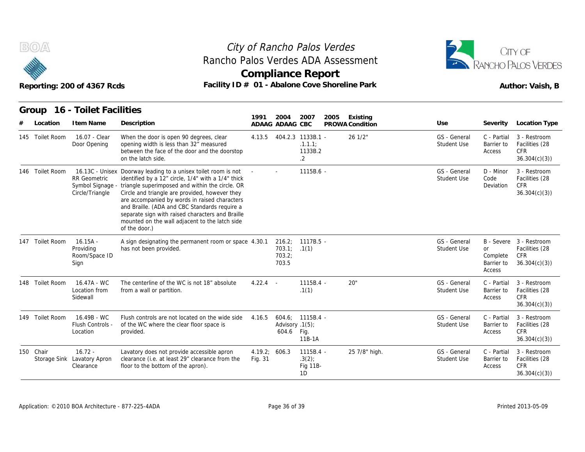



|                           | Reporting: 200 of 4367 Rcds                      | Facility ID # 01 - Abalone Cove Shoreline Park                                                                                                                                                                                                                                                                                                                                                                                                                      |                          | <b>Compliance Report</b>        |                                      |      |                             | RANCHO PALOS VERDES<br>Author: Vaish, B |                                        |                                                                  |  |
|---------------------------|--------------------------------------------------|---------------------------------------------------------------------------------------------------------------------------------------------------------------------------------------------------------------------------------------------------------------------------------------------------------------------------------------------------------------------------------------------------------------------------------------------------------------------|--------------------------|---------------------------------|--------------------------------------|------|-----------------------------|-----------------------------------------|----------------------------------------|------------------------------------------------------------------|--|
|                           | Group 16 - Toilet Facilities                     |                                                                                                                                                                                                                                                                                                                                                                                                                                                                     | 1991                     | 2004                            |                                      | 2005 |                             |                                         |                                        |                                                                  |  |
| Location                  | I tem Name                                       | Description                                                                                                                                                                                                                                                                                                                                                                                                                                                         |                          | ADAAG ADAAG CBC                 | 2007                                 |      | Existing<br>PROWA Condition | Use                                     | Severity                               | Location Type                                                    |  |
| 145 Toilet Room           | 16.07 - Clear<br>Door Opening                    | When the door is open 90 degrees, clear<br>opening width is less than 32" measured<br>between the face of the door and the doorstop<br>on the latch side.                                                                                                                                                                                                                                                                                                           |                          | 4.13.5 404.2.3 1133B.1 -        | .1.1.1<br>1133B.2<br>.2              |      | 261/2"                      | GS - General<br><b>Student Use</b>      | C - Partial<br>Barrier to<br>Access    | 3 - Restroom<br>Facilities (28<br><b>CFR</b><br>36.304(c)(3)     |  |
| 146 Toilet Room           | <b>RR</b> Geometric<br>Circle/Triangle           | 16.13C - Unisex Doorway leading to a unisex toilet room is not<br>identified by a 12" circle, 1/4" with a 1/4" thick<br>Symbol Signage - triangle superimposed and within the circle. OR<br>Circle and triangle are provided, however they<br>are accompanied by words in raised characters<br>and Braille. (ADA and CBC Standards require a<br>separate sign with raised characters and Braille<br>mounted on the wall adjacent to the latch side<br>of the door.) |                          | $\sim$                          | 1115B.6 -                            |      |                             | GS - General<br>Student Use             | D - Minor<br>Code<br>Deviation         | 3 - Restroom<br>Facilities (28<br><b>CFR</b><br>36.304(c)(3)     |  |
| 147 Toilet Room           | $16.15A -$<br>Providing<br>Room/Space ID<br>Sign | A sign designating the permanent room or space 4.30.1<br>has not been provided.                                                                                                                                                                                                                                                                                                                                                                                     |                          | 703.1; .1(1)<br>703.2;<br>703.5 | $216.2$ ; $1117B.5$ -                |      |                             | GS - General<br>Student Use             | or<br>Complete<br>Barrier to<br>Access | B - Severe 3 - Restroom<br>Facilities (28<br>CFR<br>36.304(c)(3) |  |
| 148 Toilet Room           | 16.47A - WC<br>Location from<br>Sidewall         | The centerline of the WC is not 18" absolute<br>from a wall or partition.                                                                                                                                                                                                                                                                                                                                                                                           | $4.22.4 -$               |                                 | $1115B.4 -$<br>.1(1)                 |      | 20"                         | GS - General<br><b>Student Use</b>      | C - Partial<br>Barrier to<br>Access    | 3 - Restroom<br>Facilities (28<br><b>CFR</b><br>36.304(c)(3)     |  |
| 149 Toilet Room           | 16.49B - WC<br>Flush Controls -<br>Location      | Flush controls are not located on the wide side<br>of the WC where the clear floor space is<br>provided.                                                                                                                                                                                                                                                                                                                                                            | 4.16.5                   | Advisory .1(5);<br>604.6 Fig.   | 604.6; 1115B.4 -<br>11B-1A           |      |                             | GS - General<br><b>Student Use</b>      | C - Partial<br>Barrier to<br>Access    | 3 - Restroom<br>Facilities (28<br>CFR<br>36.304(c)(3)            |  |
| 150 Chair<br>Storage Sink | $16.72 -$<br>Lavatory Apron<br>Clearance         | Lavatory does not provide accessible apron<br>clearance (i.e. at least 29" clearance from the<br>floor to the bottom of the apron).                                                                                                                                                                                                                                                                                                                                 | 4.19.2; 606.3<br>Fig. 31 |                                 | 1115B.4 -<br>.3(2)<br>Fig 11B-<br>1D |      | 25 7/8" high.               | GS - General<br>Student Use             | C - Partial<br>Barrier to<br>Access    | 3 - Restroom<br>Facilities (28<br><b>CFR</b><br>36.304(c)(3)     |  |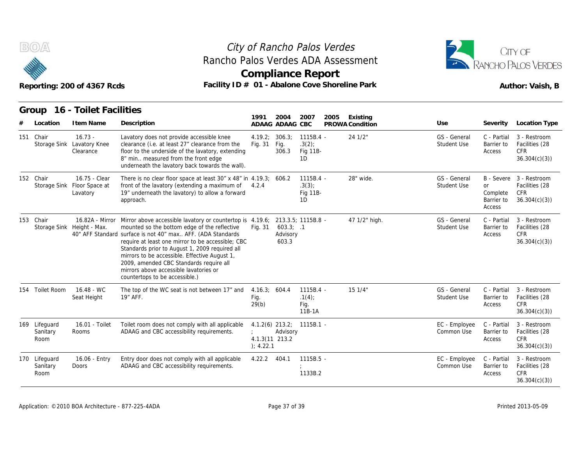



|                                   | Reporting: 200 of 4367 Rcds                          | Facility ID # 01 - Abalone Cove Shoreline Park                                                                                                                                                                                                                                                                                                                                                                                                                                             |                                                  |                                | <b>Compliance Report</b>                   |                             | Author: Vaish, B                   |                                               |                                                                         |  |
|-----------------------------------|------------------------------------------------------|--------------------------------------------------------------------------------------------------------------------------------------------------------------------------------------------------------------------------------------------------------------------------------------------------------------------------------------------------------------------------------------------------------------------------------------------------------------------------------------------|--------------------------------------------------|--------------------------------|--------------------------------------------|-----------------------------|------------------------------------|-----------------------------------------------|-------------------------------------------------------------------------|--|
| Group<br>Location                 | 16 - Toilet Facilities<br>I tem Name                 | Description                                                                                                                                                                                                                                                                                                                                                                                                                                                                                | 1991                                             | 2004<br>ADAAG ADAAG CBC        | 2007<br>2005                               | Existing<br>PROWA Condition | Use                                | Severity                                      | Location Type                                                           |  |
| 151 Chair                         | $16.73 -$<br>Storage Sink Lavatory Knee<br>Clearance | Lavatory does not provide accessible knee<br>clearance (i.e. at least 27" clearance from the<br>floor to the underside of the lavatory, extending<br>8" min measured from the front edge<br>underneath the lavatory back towards the wall).                                                                                                                                                                                                                                                | 4.19.2;<br>Fig. 31                               | 306.3:<br>Fig.<br>306.3        | $1115B.4 -$<br>.3(2)<br>Fig 11B-<br>1D     | 24 1/2"                     | GS - General<br><b>Student Use</b> | C - Partial<br>Barrier to<br>Access           | 3 - Restroom<br>Facilities (28<br><b>CFR</b><br>36.304(c)(3)            |  |
| 152 Chair<br>Storage Sink         | 16.75 - Clear<br>Floor Space at<br>Lavatory          | There is no clear floor space at least $30''$ x $48''$ in $4.19.3$ ; 606.2<br>front of the lavatory (extending a maximum of<br>19" underneath the lavatory) to allow a forward<br>approach.                                                                                                                                                                                                                                                                                                | 4.2.4                                            |                                | $1115B.4 -$<br>$.3(3)$ ;<br>Fig 11B-<br>1D | 28" wide.                   | GS - General<br>Student Use        | <b>or</b><br>Complete<br>Barrier to<br>Access | B - Severe 3 - Restroom<br>Facilities (28<br><b>CFR</b><br>36.304(c)(3) |  |
| 153 Chair                         | Storage Sink Height - Max.                           | 16.82A - Mirror Mirror above accessible lavatory or countertop is 4.19.6; 213.3.5; 1115B.8 -<br>mounted so the bottom edge of the reflective<br>40" AFF Standard surface is not 40" max AFF. (ADA Standards<br>require at least one mirror to be accessible; CBC<br>Standards prior to August 1, 2009 required all<br>mirrors to be accessible. Effective August 1,<br>2009, amended CBC Standards require all<br>mirrors above accessible lavatories or<br>countertops to be accessible.) | Fig. 31                                          | 603.3; .1<br>Advisory<br>603.3 |                                            | 47 1/2" high.               | GS - General<br>Student Use        | C - Partial<br>Barrier to<br>Access           | 3 - Restroom<br>Facilities (28<br><b>CFR</b><br>36.304(c)(3)            |  |
| 154 Toilet Room                   | $16.48 - WC$<br>Seat Height                          | The top of the WC seat is not between 17" and<br>19" AFF.                                                                                                                                                                                                                                                                                                                                                                                                                                  | 4.16.3; 604.4<br>Fig.<br>29(b)                   |                                | $1115B.4 -$<br>.1(4)<br>Fig.<br>11B-1A     | 151/4"                      | GS - General<br>Student Use        | C - Partial<br>Barrier to<br>Access           | 3 - Restroom<br>Facilities (28<br><b>CFR</b><br>36.304(c)(3)            |  |
| 169 Lifequard<br>Sanitary<br>Room | 16.01 - Toilet<br>Rooms                              | Toilet room does not comply with all applicable<br>ADAAG and CBC accessibility requirements.                                                                                                                                                                                                                                                                                                                                                                                               | $4.1.2(6)$ 213.2;<br>4.1.3(11 213.2<br>); 4.22.1 | Advisory                       | 1115B.1 -                                  |                             | EC - Employee<br>Common Use        | C - Partial<br>Barrier to<br>Access           | 3 - Restroom<br>Facilities (28<br>CFR.<br>36.304(c)(3)                  |  |
| 170 Lifequard<br>Sanitary<br>Room | 16.06 - Entry<br>Doors                               | Entry door does not comply with all applicable<br>ADAAG and CBC accessibility requirements.                                                                                                                                                                                                                                                                                                                                                                                                | 4.22.2 404.1                                     |                                | $1115B.5 -$<br>1133B.2                     |                             | EC - Employee<br>Common Use        | C - Partial<br>Barrier to<br>Access           | 3 - Restroom<br>Facilities (28<br><b>CFR</b><br>36.304(c)(3)            |  |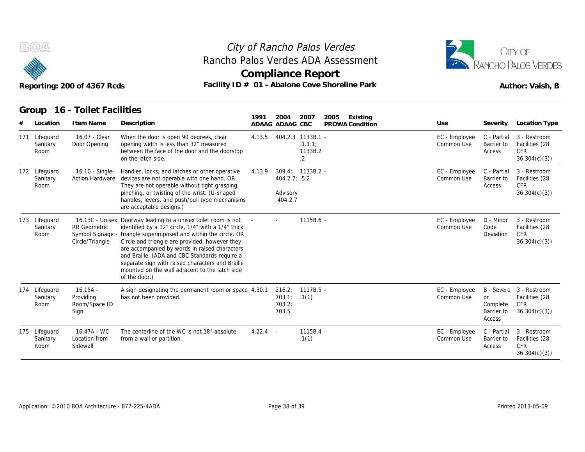



|               |                  | Reporting: 200 of 4367 Rcds                      |                                                                                                                                                                                                                                                                                                                                                                                                                                                                     |            | <b>Compliance Report</b>                                   | Facility ID # 01 - Abalone Cove Shoreline Park |                             |                                        | RANCHO PALOS VERDES<br>Author: Vaish, B                                 |  |
|---------------|------------------|--------------------------------------------------|---------------------------------------------------------------------------------------------------------------------------------------------------------------------------------------------------------------------------------------------------------------------------------------------------------------------------------------------------------------------------------------------------------------------------------------------------------------------|------------|------------------------------------------------------------|------------------------------------------------|-----------------------------|----------------------------------------|-------------------------------------------------------------------------|--|
|               | Location         | Group 16 - Toilet Facilities<br>I tem Name       | Description                                                                                                                                                                                                                                                                                                                                                                                                                                                         | 1991       | 2004<br>2007<br>ADAAG ADAAG CBC                            | Existing<br>2005<br>PROWA Condition            | Use                         | Severity                               | <b>Location Type</b>                                                    |  |
| 171 Lifeguard | Sanitary<br>Room | 16.07 - Clear<br>Door Opening                    | When the door is open 90 degrees, clear<br>opening width is less than 32" measured<br>between the face of the door and the doorstop<br>on the latch side.                                                                                                                                                                                                                                                                                                           | 4.13.5     | 404.2.3 1133B.1 -<br>.1.1.1:<br>1133B.2<br>$\overline{2}$  |                                                | EC - Employee<br>Common Use | C - Partial<br>Barrier to<br>Access    | 3 - Restroom<br>Facilities (28<br><b>CFR</b><br>36.304(c)(3)            |  |
| 172 Lifeguard | Sanitary<br>Room | 16.10 - Single-                                  | Handles, locks, and latches or other operative<br>Action Hardware devices are not operable with one hand. OR<br>They are not operable without tight grasping,<br>pinching, or twisting of the wrist. (U-shaped<br>handles, levers, and push/pull type mechanisms<br>are acceptable designs.)                                                                                                                                                                        | 4.13.9     | 309.4<br>1133B.2 -<br>404.2.7; .5.2<br>Advisory<br>404.2.7 |                                                | EC - Employee<br>Common Use | C - Partial<br>Barrier to<br>Access    | 3 - Restroom<br>Facilities (28<br><b>CFR</b><br>36.304(c)(3)            |  |
| 173 Lifeguard | Sanitary<br>Room | <b>RR</b> Geometric<br>Circle/Triangle           | 16.13C - Unisex Doorway leading to a unisex toilet room is not<br>identified by a 12" circle, 1/4" with a 1/4" thick<br>Symbol Signage - triangle superimposed and within the circle. OR<br>Circle and triangle are provided, however they<br>are accompanied by words in raised characters<br>and Braille. (ADA and CBC Standards require a<br>separate sign with raised characters and Braille<br>mounted on the wall adjacent to the latch side<br>of the door.) |            | 1115B.6 -                                                  |                                                | EC - Employee<br>Common Use | D - Minor<br>Code<br>Deviation         | 3 - Restroom<br>Facilities (28<br><b>CFR</b><br>36.304(c)(3)            |  |
| 174 Lifeguard | Sanitary<br>Room | $16.15A -$<br>Providing<br>Room/Space ID<br>Sign | A sign designating the permanent room or space 4.30.1<br>has not been provided.                                                                                                                                                                                                                                                                                                                                                                                     |            | 216.2;<br>1117B.5 -<br>703.1; .1(1)<br>703.2:<br>703.5     |                                                | EC - Employee<br>Common Use | or<br>Complete<br>Barrier to<br>Access | B - Severe 3 - Restroom<br>Facilities (28<br><b>CFR</b><br>36.304(c)(3) |  |
| 175 Lifeguard | Sanitary<br>Room | 16.47A - WC<br>Location from<br>Sidewall         | The centerline of the WC is not 18" absolute<br>from a wall or partition.                                                                                                                                                                                                                                                                                                                                                                                           | $4.22.4 -$ | 1115B.4 -<br>.1(1)                                         |                                                | EC - Employee<br>Common Use | C - Partial<br>Barrier to<br>Access    | 3 - Restroom<br>Facilities (28<br><b>CFR</b><br>36.304(c)(3)            |  |